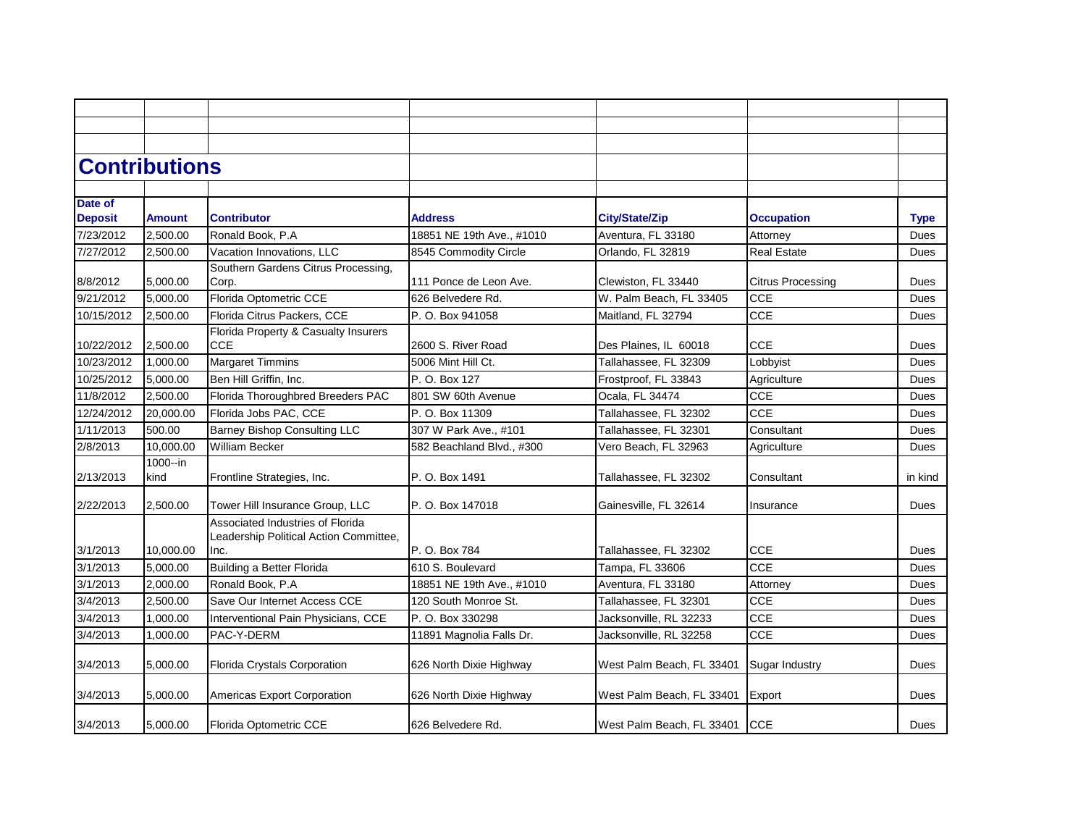|                | <b>Contributions</b> |                                                    |                           |                               |                          |             |
|----------------|----------------------|----------------------------------------------------|---------------------------|-------------------------------|--------------------------|-------------|
|                |                      |                                                    |                           |                               |                          |             |
| Date of        |                      |                                                    |                           |                               |                          |             |
| <b>Deposit</b> | <b>Amount</b>        | <b>Contributor</b>                                 | <b>Address</b>            | <b>City/State/Zip</b>         | <b>Occupation</b>        | <b>Type</b> |
| 7/23/2012      | 2,500.00             | Ronald Book, P.A                                   | 18851 NE 19th Ave., #1010 | Aventura, FL 33180            | Attorney                 | Dues        |
| 7/27/2012      | 2,500.00             | Vacation Innovations, LLC                          | 8545 Commodity Circle     | Orlando, FL 32819             | <b>Real Estate</b>       | Dues        |
|                |                      | Southern Gardens Citrus Processing,                |                           |                               |                          |             |
| 8/8/2012       | 5,000.00             | Corp.                                              | 111 Ponce de Leon Ave.    | Clewiston, FL 33440           | <b>Citrus Processing</b> | Dues        |
| 9/21/2012      | 5,000.00             | Florida Optometric CCE                             | 626 Belvedere Rd.         | W. Palm Beach, FL 33405       | <b>CCE</b>               | <b>Dues</b> |
| 10/15/2012     | 2,500.00             | Florida Citrus Packers, CCE                        | P. O. Box 941058          | Maitland, FL 32794            | <b>CCE</b>               | Dues        |
| 10/22/2012     | 2,500.00             | Florida Property & Casualty Insurers<br><b>CCE</b> | 2600 S. River Road        | Des Plaines, IL 60018         | <b>CCE</b>               | Dues        |
| 10/23/2012     | 1,000.00             | <b>Margaret Timmins</b>                            | 5006 Mint Hill Ct.        | Tallahassee, FL 32309         | Lobbyist                 | Dues        |
| 10/25/2012     | 5,000.00             | Ben Hill Griffin, Inc.                             | P. O. Box 127             | Frostproof, FL 33843          | Agriculture              | Dues        |
| 11/8/2012      | 2,500.00             | Florida Thoroughbred Breeders PAC                  | 801 SW 60th Avenue        | Ocala, FL 34474               | <b>CCE</b>               | Dues        |
| 12/24/2012     | 20,000.00            | Florida Jobs PAC, CCE                              | P. O. Box 11309           | Tallahassee, FL 32302         | <b>CCE</b>               | Dues        |
| 1/11/2013      | 500.00               | <b>Barney Bishop Consulting LLC</b>                | 307 W Park Ave., #101     | Tallahassee, FL 32301         | Consultant               | Dues        |
| 2/8/2013       | 10.000.00            | <b>William Becker</b>                              | 582 Beachland Blvd., #300 | Vero Beach, FL 32963          | Agriculture              | Dues        |
|                | 1000--in             |                                                    |                           |                               |                          |             |
| 2/13/2013      | kind                 | Frontline Strategies, Inc.                         | P. O. Box 1491            | Tallahassee, FL 32302         | Consultant               | in kind     |
| 2/22/2013      | 2,500.00             | Tower Hill Insurance Group, LLC                    | P. O. Box 147018          | Gainesville, FL 32614         | Insurance                | Dues        |
|                |                      | Associated Industries of Florida                   |                           |                               |                          |             |
| 3/1/2013       | 10.000.00            | Leadership Political Action Committee,<br>llnc.    | P. O. Box 784             | Tallahassee, FL 32302         | <b>CCE</b>               | <b>Dues</b> |
| 3/1/2013       | 5.000.00             | Building a Better Florida                          | 610 S. Boulevard          | Tampa, FL 33606               | <b>CCE</b>               | <b>Dues</b> |
| 3/1/2013       | 2.000.00             | Ronald Book, P.A                                   | 18851 NE 19th Ave., #1010 | Aventura, FL 33180            | Attorney                 | Dues        |
| 3/4/2013       | 2,500.00             | Save Our Internet Access CCE                       | 120 South Monroe St.      | Tallahassee, FL 32301         | <b>CCE</b>               | Dues        |
| 3/4/2013       | 1.000.00             | Interventional Pain Physicians, CCE                | P. O. Box 330298          | Jacksonville, RL 32233        | CCE                      | <b>Dues</b> |
| 3/4/2013       | 1.000.00             | PAC-Y-DERM                                         | 11891 Magnolia Falls Dr.  | Jacksonville, RL 32258        | CCE                      | Dues        |
|                |                      |                                                    |                           |                               |                          |             |
| 3/4/2013       | 5,000.00             | Florida Crystals Corporation                       | 626 North Dixie Highway   | West Palm Beach, FL 33401     | Sugar Industry           | Dues        |
| 3/4/2013       | 5,000.00             | Americas Export Corporation                        | 626 North Dixie Highway   | West Palm Beach, FL 33401     | Export                   | Dues        |
| 3/4/2013       | 5,000.00             | Florida Optometric CCE                             | 626 Belvedere Rd.         | West Palm Beach, FL 33401 CCE |                          | Dues        |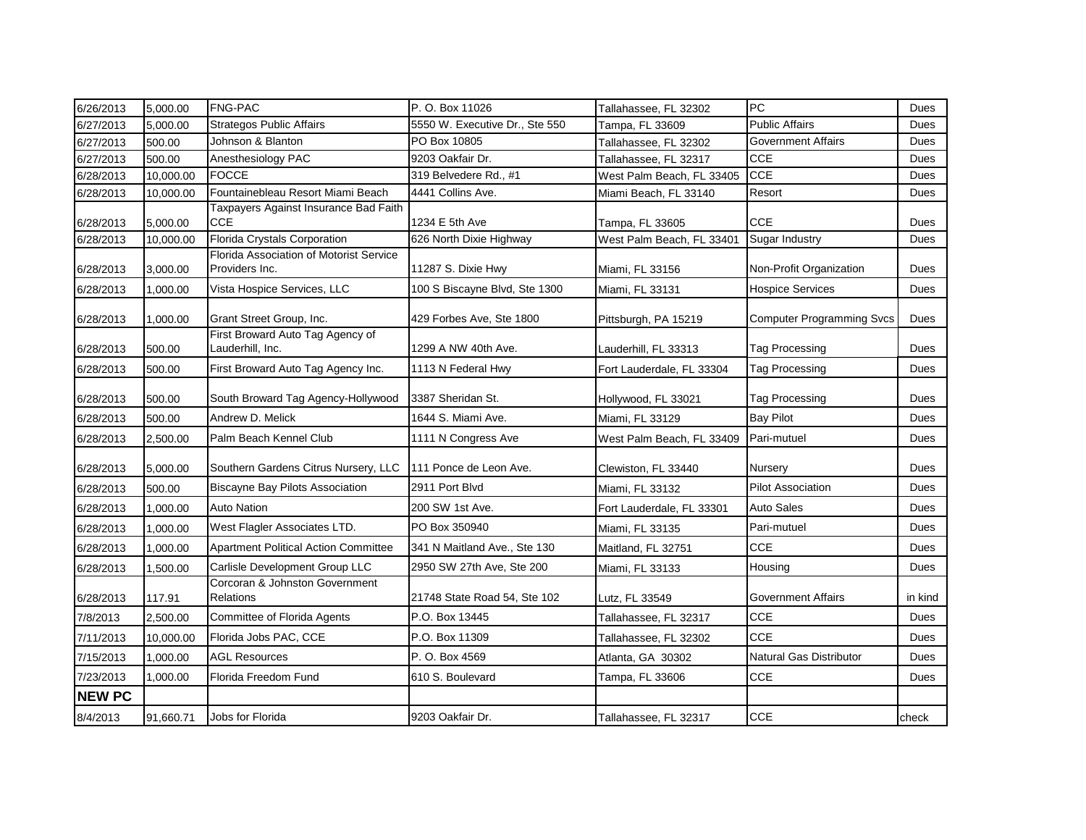| 6/26/2013     | 5,000.00  | <b>FNG-PAC</b>                                            | P. O. Box 11026                | Tallahassee, FL 32302     | PC                               | Dues    |
|---------------|-----------|-----------------------------------------------------------|--------------------------------|---------------------------|----------------------------------|---------|
| 6/27/2013     | 5,000.00  | <b>Strategos Public Affairs</b>                           | 5550 W. Executive Dr., Ste 550 | Tampa, FL 33609           | <b>Public Affairs</b>            | Dues    |
| 6/27/2013     | 500.00    | Johnson & Blanton                                         | PO Box 10805                   | Tallahassee, FL 32302     | <b>Government Affairs</b>        | Dues    |
| 6/27/2013     | 500.00    | Anesthesiology PAC                                        | 9203 Oakfair Dr.               | Tallahassee, FL 32317     | <b>CCE</b>                       | Dues    |
| 6/28/2013     | 10,000.00 | <b>FOCCE</b>                                              | 319 Belvedere Rd., #1          | West Palm Beach, FL 33405 | <b>CCE</b>                       | Dues    |
| 6/28/2013     | 10,000.00 | Fountainebleau Resort Miami Beach                         | 4441 Collins Ave.              | Miami Beach, FL 33140     | Resort                           | Dues    |
| 6/28/2013     | 5,000.00  | Taxpayers Against Insurance Bad Faith<br>CCE              | 1234 E 5th Ave                 | Tampa, FL 33605           | <b>CCE</b>                       | Dues    |
| 6/28/2013     | 10,000.00 | Florida Crystals Corporation                              | 626 North Dixie Highway        | West Palm Beach, FL 33401 | <b>Sugar Industry</b>            | Dues    |
| 6/28/2013     | 3,000.00  | Florida Association of Motorist Service<br>Providers Inc. | 11287 S. Dixie Hwy             | Miami, FL 33156           | Non-Profit Organization          | Dues    |
| 6/28/2013     | 1,000.00  | Vista Hospice Services, LLC                               | 100 S Biscayne Blvd, Ste 1300  | Miami, FL 33131           | <b>Hospice Services</b>          | Dues    |
| 6/28/2013     | 1,000.00  | Grant Street Group, Inc.                                  | 429 Forbes Ave, Ste 1800       | Pittsburgh, PA 15219      | <b>Computer Programming Svcs</b> | Dues    |
| 6/28/2013     | 500.00    | First Broward Auto Tag Agency of<br>Lauderhill, Inc.      | 1299 A NW 40th Ave.            | Lauderhill, FL 33313      | <b>Tag Processing</b>            | Dues    |
| 6/28/2013     | 500.00    | First Broward Auto Tag Agency Inc.                        | 1113 N Federal Hwy             | Fort Lauderdale, FL 33304 | Tag Processing                   | Dues    |
| 6/28/2013     | 500.00    | South Broward Tag Agency-Hollywood                        | 3387 Sheridan St.              | Hollywood, FL 33021       | <b>Tag Processing</b>            | Dues    |
| 6/28/2013     | 500.00    | Andrew D. Melick                                          | 1644 S. Miami Ave.             | Miami, FL 33129           | <b>Bay Pilot</b>                 | Dues    |
| 6/28/2013     | 2,500.00  | Palm Beach Kennel Club                                    | 1111 N Congress Ave            | West Palm Beach, FL 33409 | Pari-mutuel                      | Dues    |
| 6/28/2013     | 5,000.00  | Southern Gardens Citrus Nursery, LLC                      | 111 Ponce de Leon Ave.         | Clewiston, FL 33440       | Nursery                          | Dues    |
| 6/28/2013     | 500.00    | <b>Biscayne Bay Pilots Association</b>                    | 2911 Port Blvd                 | Miami, FL 33132           | <b>Pilot Association</b>         | Dues    |
| 6/28/2013     | 1,000.00  | <b>Auto Nation</b>                                        | 200 SW 1st Ave.                | Fort Lauderdale, FL 33301 | Auto Sales                       | Dues    |
| 6/28/2013     | 1,000.00  | West Flagler Associates LTD.                              | PO Box 350940                  | Miami, FL 33135           | Pari-mutuel                      | Dues    |
| 6/28/2013     | 1,000.00  | <b>Apartment Political Action Committee</b>               | 341 N Maitland Ave., Ste 130   | Maitland, FL 32751        | <b>CCE</b>                       | Dues    |
| 6/28/2013     | 1,500.00  | Carlisle Development Group LLC                            | 2950 SW 27th Ave, Ste 200      | Miami, FL 33133           | Housing                          | Dues    |
| 6/28/2013     | 117.91    | Corcoran & Johnston Government<br>Relations               | 21748 State Road 54, Ste 102   | Lutz, FL 33549            | <b>Government Affairs</b>        | in kind |
| 7/8/2013      | 2,500.00  | <b>Committee of Florida Agents</b>                        | P.O. Box 13445                 | Tallahassee, FL 32317     | <b>CCE</b>                       | Dues    |
| 7/11/2013     | 10,000.00 | Florida Jobs PAC, CCE                                     | P.O. Box 11309                 | Tallahassee, FL 32302     | <b>CCE</b>                       | Dues    |
| 7/15/2013     | 1,000.00  | <b>AGL Resources</b>                                      | P. O. Box 4569                 | Atlanta, GA 30302         | Natural Gas Distributor          | Dues    |
| 7/23/2013     | 1,000.00  | Florida Freedom Fund                                      | 610 S. Boulevard               | Tampa, FL 33606           | <b>CCE</b>                       | Dues    |
| <b>NEW PC</b> |           |                                                           |                                |                           |                                  |         |
| 8/4/2013      | 91,660.71 | Jobs for Florida                                          | 9203 Oakfair Dr.               | Tallahassee, FL 32317     | <b>CCE</b>                       | check   |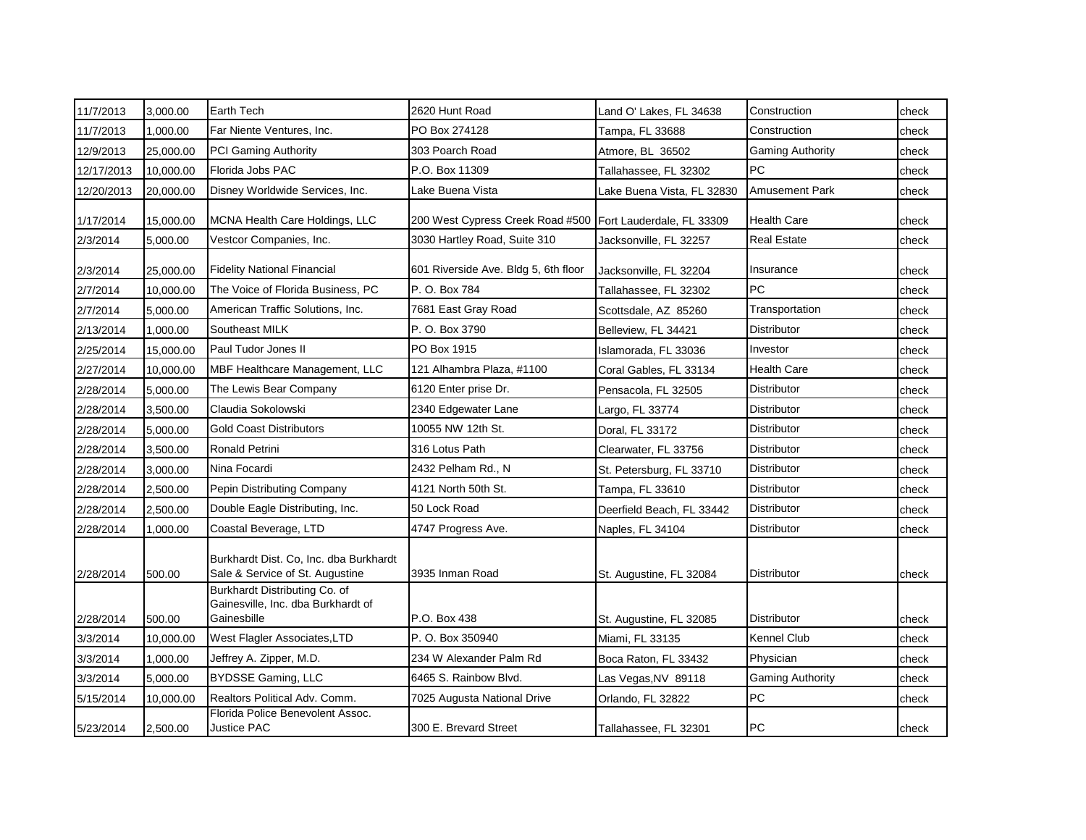| 11/7/2013  | 3,000.00  | Earth Tech                                                                         | 2620 Hunt Road                                             | Land O' Lakes, FL 34638    | Construction            | check |
|------------|-----------|------------------------------------------------------------------------------------|------------------------------------------------------------|----------------------------|-------------------------|-------|
| 11/7/2013  | 1,000.00  | Far Niente Ventures, Inc.                                                          | PO Box 274128                                              | Tampa, FL 33688            | Construction            | check |
| 12/9/2013  | 25,000.00 | <b>PCI Gaming Authority</b>                                                        | 303 Poarch Road                                            | Atmore, BL 36502           | <b>Gaming Authority</b> | check |
| 12/17/2013 | 10,000.00 | Florida Jobs PAC                                                                   | P.O. Box 11309                                             | Tallahassee, FL 32302      | PC                      | check |
| 12/20/2013 | 20,000.00 | Disney Worldwide Services, Inc.                                                    | Lake Buena Vista                                           | Lake Buena Vista, FL 32830 | <b>Amusement Park</b>   | check |
| 1/17/2014  | 15,000.00 | MCNA Health Care Holdings, LLC                                                     | 200 West Cypress Creek Road #500 Fort Lauderdale, FL 33309 |                            | <b>Health Care</b>      | check |
| 2/3/2014   | 5,000.00  | Vestcor Companies, Inc.                                                            | 3030 Hartley Road, Suite 310                               | Jacksonville, FL 32257     | <b>Real Estate</b>      | check |
| 2/3/2014   | 25,000.00 | <b>Fidelity National Financial</b>                                                 | 601 Riverside Ave. Bldg 5, 6th floor                       | Jacksonville, FL 32204     | Insurance               | check |
| 2/7/2014   | 10,000.00 | The Voice of Florida Business, PC                                                  | P. O. Box 784                                              | Tallahassee, FL 32302      | PC                      | check |
| 2/7/2014   | 5,000.00  | American Traffic Solutions, Inc.                                                   | 7681 East Gray Road                                        | Scottsdale, AZ 85260       | Transportation          | check |
| 2/13/2014  | 1,000.00  | Southeast MILK                                                                     | P. O. Box 3790                                             | Belleview, FL 34421        | Distributor             | check |
| 2/25/2014  | 15,000.00 | Paul Tudor Jones II                                                                | PO Box 1915                                                | Islamorada, FL 33036       | Investor                | check |
| 2/27/2014  | 10,000.00 | MBF Healthcare Management, LLC                                                     | 121 Alhambra Plaza, #1100                                  | Coral Gables, FL 33134     | <b>Health Care</b>      | check |
| 2/28/2014  | 5,000.00  | The Lewis Bear Company                                                             | 6120 Enter prise Dr.                                       | Pensacola, FL 32505        | Distributor             | check |
| 2/28/2014  | 3,500.00  | Claudia Sokolowski                                                                 | 2340 Edgewater Lane                                        | Largo, FL 33774            | <b>Distributor</b>      | check |
| 2/28/2014  | 5,000.00  | <b>Gold Coast Distributors</b>                                                     | 10055 NW 12th St.                                          | Doral, FL 33172            | <b>Distributor</b>      | check |
| 2/28/2014  | 3,500.00  | Ronald Petrini                                                                     | 316 Lotus Path                                             | Clearwater, FL 33756       | Distributor             | check |
| 2/28/2014  | 3,000.00  | Nina Focardi                                                                       | 2432 Pelham Rd., N                                         | St. Petersburg, FL 33710   | Distributor             | check |
| 2/28/2014  | 2,500.00  | Pepin Distributing Company                                                         | 4121 North 50th St.                                        | Tampa, FL 33610            | <b>Distributor</b>      | check |
| 2/28/2014  | 2,500.00  | Double Eagle Distributing, Inc.                                                    | 50 Lock Road                                               | Deerfield Beach. FL 33442  | <b>Distributor</b>      | check |
| 2/28/2014  | 1,000.00  | Coastal Beverage, LTD                                                              | 4747 Progress Ave.                                         | Naples, FL 34104           | Distributor             | check |
| 2/28/2014  | 500.00    | Burkhardt Dist. Co, Inc. dba Burkhardt<br>Sale & Service of St. Augustine          | 3935 Inman Road                                            | St. Augustine, FL 32084    | Distributor             | check |
| 2/28/2014  | 500.00    | Burkhardt Distributing Co. of<br>Gainesville, Inc. dba Burkhardt of<br>Gainesbille | P.O. Box 438                                               | St. Augustine, FL 32085    | <b>Distributor</b>      | check |
| 3/3/2014   | 10,000.00 | West Flagler Associates, LTD                                                       | P. O. Box 350940                                           | Miami, FL 33135            | Kennel Club             | check |
| 3/3/2014   | 1,000.00  | Jeffrey A. Zipper, M.D.                                                            | 234 W Alexander Palm Rd                                    | Boca Raton, FL 33432       | Physician               | check |
| 3/3/2014   | 5,000.00  | <b>BYDSSE Gaming, LLC</b>                                                          | 6465 S. Rainbow Blvd.                                      | Las Vegas, NV 89118        | <b>Gaming Authority</b> | check |
| 5/15/2014  | 10,000.00 | Realtors Political Adv. Comm.                                                      | 7025 Augusta National Drive                                | Orlando, FL 32822          | PC                      | check |
| 5/23/2014  | 2,500.00  | Florida Police Benevolent Assoc.<br><b>Justice PAC</b>                             | 300 E. Brevard Street                                      | Tallahassee, FL 32301      | PC                      | check |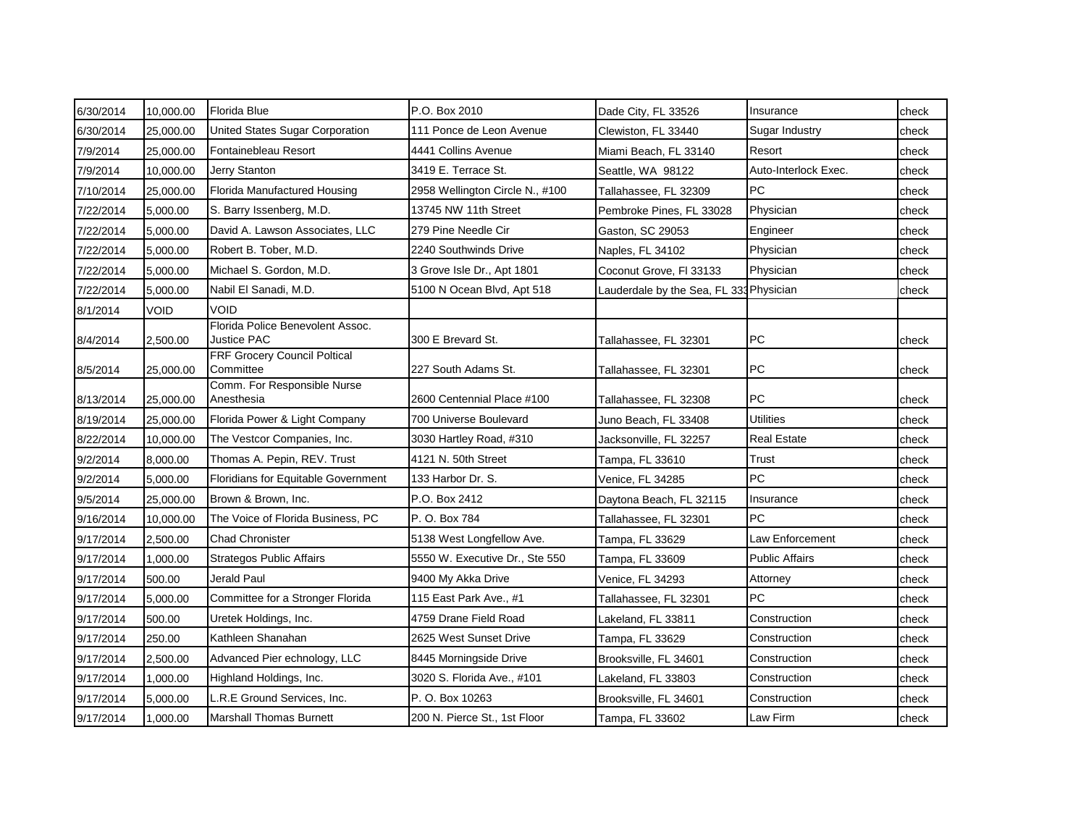| 6/30/2014 | 10,000.00 | Florida Blue                                           | P.O. Box 2010                   | Dade City, FL 33526                     | Insurance             | check |
|-----------|-----------|--------------------------------------------------------|---------------------------------|-----------------------------------------|-----------------------|-------|
| 6/30/2014 | 25,000.00 | United States Sugar Corporation                        | 111 Ponce de Leon Avenue        | Clewiston, FL 33440                     | Sugar Industry        | check |
| 7/9/2014  | 25,000.00 | Fontainebleau Resort                                   | 4441 Collins Avenue             | Miami Beach, FL 33140                   | Resort                | check |
| 7/9/2014  | 10,000.00 | Jerry Stanton                                          | 3419 E. Terrace St.             | Seattle, WA 98122                       | Auto-Interlock Exec.  | check |
| 7/10/2014 | 25,000.00 | Florida Manufactured Housing                           | 2958 Wellington Circle N., #100 | Tallahassee, FL 32309                   | PC                    | check |
| 7/22/2014 | 5,000.00  | S. Barry Issenberg, M.D.                               | 13745 NW 11th Street            | Pembroke Pines, FL 33028                | Physician             | check |
| 7/22/2014 | 5,000.00  | David A. Lawson Associates, LLC                        | 279 Pine Needle Cir             | Gaston, SC 29053                        | Engineer              | check |
| 7/22/2014 | 5,000.00  | Robert B. Tober, M.D.                                  | 2240 Southwinds Drive           | Naples, FL 34102                        | Physician             | check |
| 7/22/2014 | 5,000.00  | Michael S. Gordon, M.D.                                | 3 Grove Isle Dr., Apt 1801      | Coconut Grove, FI 33133                 | Physician             | check |
| 7/22/2014 | 5,000.00  | Nabil El Sanadi, M.D.                                  | 5100 N Ocean Blvd, Apt 518      | Lauderdale by the Sea, FL 333 Physician |                       | check |
| 8/1/2014  | Void      | VOID                                                   |                                 |                                         |                       |       |
| 8/4/2014  | 2,500.00  | Florida Police Benevolent Assoc.<br><b>Justice PAC</b> | 300 E Brevard St.               | Tallahassee, FL 32301                   | <b>PC</b>             | check |
| 8/5/2014  | 25,000.00 | FRF Grocery Council Poltical<br>Committee              | 227 South Adams St.             | Tallahassee, FL 32301                   | PC                    | check |
| 8/13/2014 | 25,000.00 | Comm. For Responsible Nurse<br>Anesthesia              | 2600 Centennial Place #100      | Tallahassee, FL 32308                   | PC                    | check |
| 8/19/2014 | 25,000.00 | Florida Power & Light Company                          | 700 Universe Boulevard          | Juno Beach, FL 33408                    | <b>Utilities</b>      | check |
| 8/22/2014 | 10,000.00 | The Vestcor Companies, Inc.                            | 3030 Hartley Road, #310         | Jacksonville, FL 32257                  | <b>Real Estate</b>    | check |
| 9/2/2014  | 8,000.00  | Thomas A. Pepin, REV. Trust                            | 4121 N. 50th Street             | Tampa, FL 33610                         | Trust                 | check |
| 9/2/2014  | 5,000.00  | Floridians for Equitable Government                    | 133 Harbor Dr. S.               | Venice, FL 34285                        | PC                    | check |
| 9/5/2014  | 25,000.00 | Brown & Brown, Inc.                                    | P.O. Box 2412                   | Daytona Beach, FL 32115                 | Insurance             | check |
| 9/16/2014 | 10.000.00 | The Voice of Florida Business, PC                      | P. O. Box 784                   | Tallahassee, FL 32301                   | <b>PC</b>             | check |
| 9/17/2014 | 2,500.00  | <b>Chad Chronister</b>                                 | 5138 West Longfellow Ave.       | Tampa, FL 33629                         | Law Enforcement       | check |
| 9/17/2014 | 1,000.00  | Strategos Public Affairs                               | 5550 W. Executive Dr., Ste 550  | Tampa, FL 33609                         | <b>Public Affairs</b> | check |
| 9/17/2014 | 500.00    | Jerald Paul                                            | 9400 My Akka Drive              | Venice, FL 34293                        | Attorney              | check |
| 9/17/2014 | 5,000.00  | Committee for a Stronger Florida                       | 115 East Park Ave., #1          | Tallahassee, FL 32301                   | PC                    | check |
| 9/17/2014 | 500.00    | Uretek Holdings, Inc.                                  | 4759 Drane Field Road           | Lakeland, FL 33811                      | Construction          | check |
| 9/17/2014 | 250.00    | Kathleen Shanahan                                      | 2625 West Sunset Drive          | Tampa, FL 33629                         | Construction          | check |
| 9/17/2014 | 2,500.00  | Advanced Pier echnology, LLC                           | 8445 Morningside Drive          | Brooksville, FL 34601                   | Construction          | check |
| 9/17/2014 | 1,000.00  | Highland Holdings, Inc.                                | 3020 S. Florida Ave., #101      | Lakeland, FL 33803                      | Construction          | check |
| 9/17/2014 | 5,000.00  | L.R.E Ground Services, Inc.                            | P. O. Box 10263                 | Brooksville, FL 34601                   | Construction          | check |
| 9/17/2014 | 1,000.00  | <b>Marshall Thomas Burnett</b>                         | 200 N. Pierce St., 1st Floor    | Tampa, FL 33602                         | Law Firm              | check |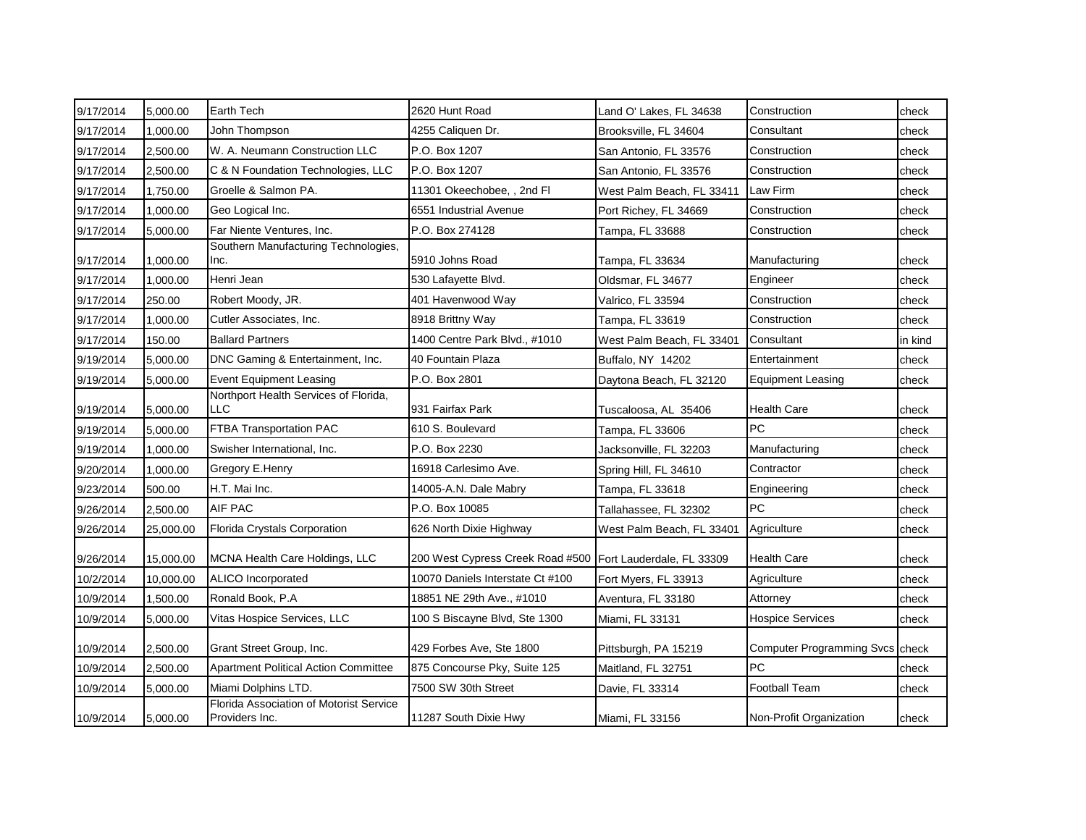| 9/17/2014 | 5,000.00  | <b>Earth Tech</b>                                         | 2620 Hunt Road                   | Land O' Lakes, FL 34638   | Construction                    | check   |
|-----------|-----------|-----------------------------------------------------------|----------------------------------|---------------------------|---------------------------------|---------|
| 9/17/2014 | 1,000.00  | John Thompson                                             | 4255 Caliquen Dr.                | Brooksville, FL 34604     | Consultant                      | check   |
| 9/17/2014 | 2,500.00  | W. A. Neumann Construction LLC                            | P.O. Box 1207                    | San Antonio, FL 33576     | Construction                    | check   |
| 9/17/2014 | 2,500.00  | C & N Foundation Technologies, LLC                        | P.O. Box 1207                    | San Antonio, FL 33576     | Construction                    | check   |
| 9/17/2014 | 1,750.00  | Groelle & Salmon PA.                                      | 11301 Okeechobee, , 2nd Fl       | West Palm Beach, FL 33411 | Law Firm                        | check   |
| 9/17/2014 | 1,000.00  | Geo Logical Inc.                                          | 6551 Industrial Avenue           | Port Richey, FL 34669     | Construction                    | check   |
| 9/17/2014 | 5,000.00  | Far Niente Ventures, Inc.                                 | P.O. Box 274128                  | Tampa, FL 33688           | Construction                    | check   |
| 9/17/2014 | 1,000.00  | Southern Manufacturing Technologies,<br>Inc.              | 5910 Johns Road                  | Tampa, FL 33634           | Manufacturing                   | check   |
| 9/17/2014 | 1,000.00  | Henri Jean                                                | 530 Lafayette Blvd.              | Oldsmar, FL 34677         | Engineer                        | check   |
| 9/17/2014 | 250.00    | Robert Moody, JR.                                         | 401 Havenwood Way                | Valrico, FL 33594         | Construction                    | check   |
| 9/17/2014 | 1,000.00  | Cutler Associates, Inc.                                   | 8918 Brittny Way                 | Tampa, FL 33619           | Construction                    | check   |
| 9/17/2014 | 150.00    | <b>Ballard Partners</b>                                   | 1400 Centre Park Blvd., #1010    | West Palm Beach, FL 33401 | Consultant                      | in kind |
| 9/19/2014 | 5,000.00  | DNC Gaming & Entertainment, Inc.                          | 40 Fountain Plaza                | Buffalo, NY 14202         | Entertainment                   | check   |
| 9/19/2014 | 5,000.00  | <b>Event Equipment Leasing</b>                            | P.O. Box 2801                    | Daytona Beach, FL 32120   | <b>Equipment Leasing</b>        | check   |
| 9/19/2014 | 5,000.00  | Northport Health Services of Florida,<br>LLC              | 931 Fairfax Park                 | Tuscaloosa, AL 35406      | <b>Health Care</b>              | check   |
| 9/19/2014 | 5,000.00  | FTBA Transportation PAC                                   | 610 S. Boulevard                 | Tampa, FL 33606           | <b>PC</b>                       | check   |
| 9/19/2014 | 1,000.00  | Swisher International, Inc.                               | P.O. Box 2230                    | Jacksonville, FL 32203    | Manufacturing                   | check   |
| 9/20/2014 | 1,000.00  | Gregory E.Henry                                           | 16918 Carlesimo Ave.             | Spring Hill, FL 34610     | Contractor                      | check   |
| 9/23/2014 | 500.00    | H.T. Mai Inc.                                             | 14005-A.N. Dale Mabry            | Tampa, FL 33618           | Engineering                     | check   |
| 9/26/2014 | 2,500.00  | AIF PAC                                                   | P.O. Box 10085                   | Tallahassee, FL 32302     | <b>PC</b>                       | check   |
| 9/26/2014 | 25,000.00 | Florida Crystals Corporation                              | 626 North Dixie Highway          | West Palm Beach, FL 33401 | Agriculture                     | check   |
| 9/26/2014 | 15,000.00 | MCNA Health Care Holdings, LLC                            | 200 West Cypress Creek Road #500 | Fort Lauderdale, FL 33309 | <b>Health Care</b>              | check   |
| 10/2/2014 | 10,000.00 | <b>ALICO</b> Incorporated                                 | 10070 Daniels Interstate Ct #100 | Fort Myers, FL 33913      | Agriculture                     | check   |
| 10/9/2014 | 1,500.00  | Ronald Book, P.A                                          | 18851 NE 29th Ave., #1010        | Aventura, FL 33180        | Attorney                        | check   |
| 10/9/2014 | 5,000.00  | Vitas Hospice Services, LLC                               | 100 S Biscayne Blvd, Ste 1300    | Miami, FL 33131           | <b>Hospice Services</b>         | check   |
| 10/9/2014 | 2,500.00  | Grant Street Group, Inc.                                  | 429 Forbes Ave, Ste 1800         | Pittsburgh, PA 15219      | Computer Programming Svcs check |         |
| 10/9/2014 | 2,500.00  | <b>Apartment Political Action Committee</b>               | 875 Concourse Pky, Suite 125     | Maitland, FL 32751        | <b>PC</b>                       | check   |
| 10/9/2014 | 5,000.00  | Miami Dolphins LTD.                                       | 7500 SW 30th Street              | Davie, FL 33314           | <b>Football Team</b>            | check   |
| 10/9/2014 | 5,000.00  | Florida Association of Motorist Service<br>Providers Inc. | 11287 South Dixie Hwy            | Miami, FL 33156           | Non-Profit Organization         | check   |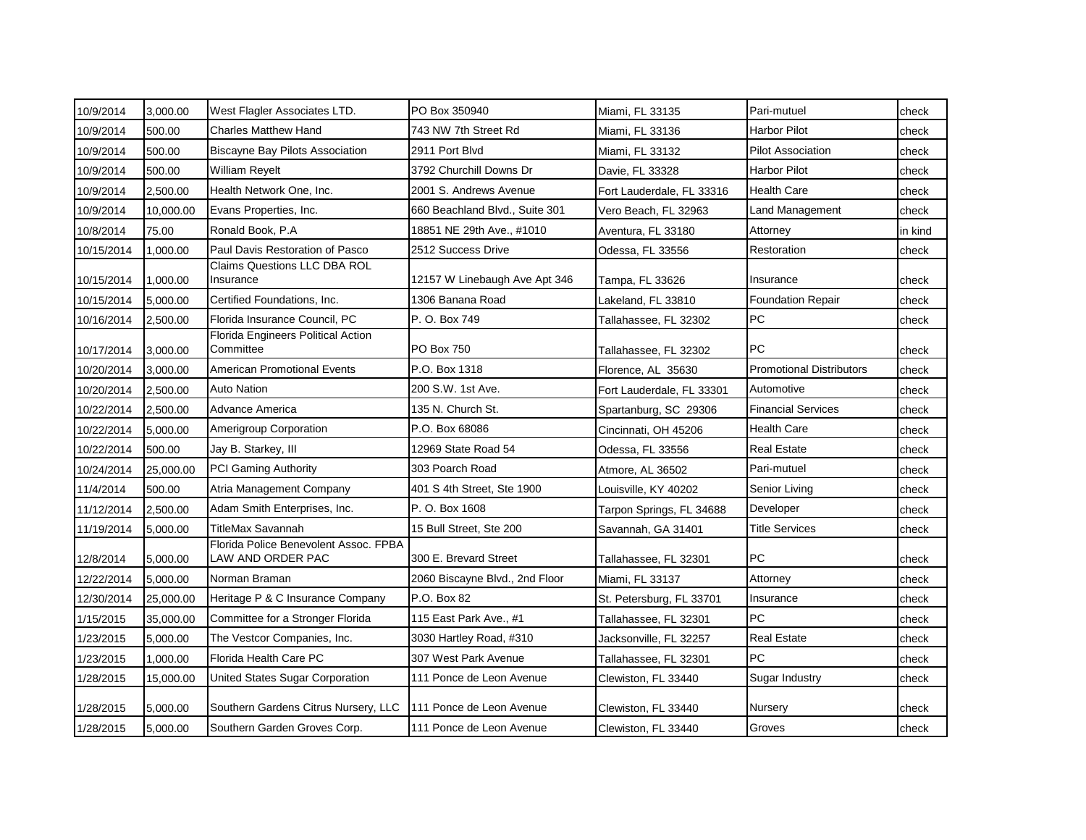| 10/9/2014  | 3,000.00  | West Flagler Associates LTD.                               | PO Box 350940                  | Miami, FL 33135           | Pari-mutuel                     | check   |
|------------|-----------|------------------------------------------------------------|--------------------------------|---------------------------|---------------------------------|---------|
| 10/9/2014  | 500.00    | Charles Matthew Hand                                       | 743 NW 7th Street Rd           | Miami, FL 33136           | <b>Harbor Pilot</b>             | check   |
| 10/9/2014  | 500.00    | <b>Biscayne Bay Pilots Association</b>                     | 2911 Port Blvd                 | Miami, FL 33132           | <b>Pilot Association</b>        | check   |
| 10/9/2014  | 500.00    | William Reyelt                                             | 3792 Churchill Downs Dr        | Davie, FL 33328           | <b>Harbor Pilot</b>             | check   |
| 10/9/2014  | 2,500.00  | Health Network One, Inc.                                   | 2001 S. Andrews Avenue         | Fort Lauderdale, FL 33316 | <b>Health Care</b>              | check   |
| 10/9/2014  | 10.000.00 | Evans Properties, Inc.                                     | 660 Beachland Blvd., Suite 301 | Vero Beach, FL 32963      | Land Management                 | check   |
| 10/8/2014  | 75.00     | Ronald Book, P.A                                           | 18851 NE 29th Ave., #1010      | Aventura, FL 33180        | Attorney                        | in kind |
| 10/15/2014 | 1,000.00  | Paul Davis Restoration of Pasco                            | 2512 Success Drive             | Odessa, FL 33556          | Restoration                     | check   |
| 10/15/2014 | 1,000.00  | <b>Claims Questions LLC DBA ROL</b><br>Insurance           | 12157 W Linebaugh Ave Apt 346  | Tampa, FL 33626           | Insurance                       | check   |
| 10/15/2014 | 5,000.00  | Certified Foundations, Inc.                                | 1306 Banana Road               | Lakeland, FL 33810        | <b>Foundation Repair</b>        | check   |
| 10/16/2014 | 2,500.00  | Florida Insurance Council, PC                              | P. O. Box 749                  | Tallahassee, FL 32302     | PC                              | check   |
| 10/17/2014 | 3,000.00  | Florida Engineers Political Action<br>Committee            | PO Box 750                     | Tallahassee, FL 32302     | PC                              | check   |
| 10/20/2014 | 3,000.00  | <b>American Promotional Events</b>                         | P.O. Box 1318                  | Florence, AL 35630        | <b>Promotional Distributors</b> | check   |
| 10/20/2014 | 2,500.00  | Auto Nation                                                | 200 S.W. 1st Ave.              | Fort Lauderdale, FL 33301 | Automotive                      | check   |
| 10/22/2014 | 2,500.00  | Advance America                                            | 135 N. Church St.              | Spartanburg, SC 29306     | <b>Financial Services</b>       | check   |
| 10/22/2014 | 5,000.00  | <b>Amerigroup Corporation</b>                              | P.O. Box 68086                 | Cincinnati, OH 45206      | <b>Health Care</b>              | check   |
| 10/22/2014 | 500.00    | Jay B. Starkey, III                                        | 12969 State Road 54            | Odessa, FL 33556          | <b>Real Estate</b>              | check   |
| 10/24/2014 | 25,000.00 | <b>PCI Gaming Authority</b>                                | 303 Poarch Road                | Atmore, AL 36502          | Pari-mutuel                     | check   |
| 11/4/2014  | 500.00    | Atria Management Company                                   | 401 S 4th Street, Ste 1900     | Louisville, KY 40202      | Senior Living                   | check   |
| 11/12/2014 | 2,500.00  | Adam Smith Enterprises, Inc.                               | P. O. Box 1608                 | Tarpon Springs, FL 34688  | Developer                       | check   |
| 11/19/2014 | 5,000.00  | TitleMax Savannah                                          | 15 Bull Street, Ste 200        | Savannah, GA 31401        | <b>Title Services</b>           | check   |
| 12/8/2014  | 5,000.00  | Florida Police Benevolent Assoc. FPBA<br>LAW AND ORDER PAC | 300 E. Brevard Street          | Tallahassee, FL 32301     | PC                              | check   |
| 12/22/2014 | 5,000.00  | Norman Braman                                              | 2060 Biscayne Blvd., 2nd Floor | Miami, FL 33137           | Attorney                        | check   |
| 12/30/2014 | 25,000.00 | Heritage P & C Insurance Company                           | P.O. Box 82                    | St. Petersburg, FL 33701  | Insurance                       | check   |
| 1/15/2015  | 35,000.00 | Committee for a Stronger Florida                           | 115 East Park Ave., #1         | Tallahassee, FL 32301     | <b>PC</b>                       | check   |
| 1/23/2015  | 5,000.00  | The Vestcor Companies, Inc.                                | 3030 Hartley Road, #310        | Jacksonville, FL 32257    | <b>Real Estate</b>              | check   |
| 1/23/2015  | 1,000.00  | Florida Health Care PC                                     | 307 West Park Avenue           | Tallahassee, FL 32301     | <b>PC</b>                       | check   |
| 1/28/2015  | 15,000.00 | United States Sugar Corporation                            | 111 Ponce de Leon Avenue       | Clewiston, FL 33440       | Sugar Industry                  | check   |
| 1/28/2015  | 5,000.00  | Southern Gardens Citrus Nursery, LLC                       | 111 Ponce de Leon Avenue       | Clewiston, FL 33440       | Nursery                         | check   |
| 1/28/2015  | 5,000.00  | Southern Garden Groves Corp.                               | 111 Ponce de Leon Avenue       | Clewiston, FL 33440       | Groves                          | check   |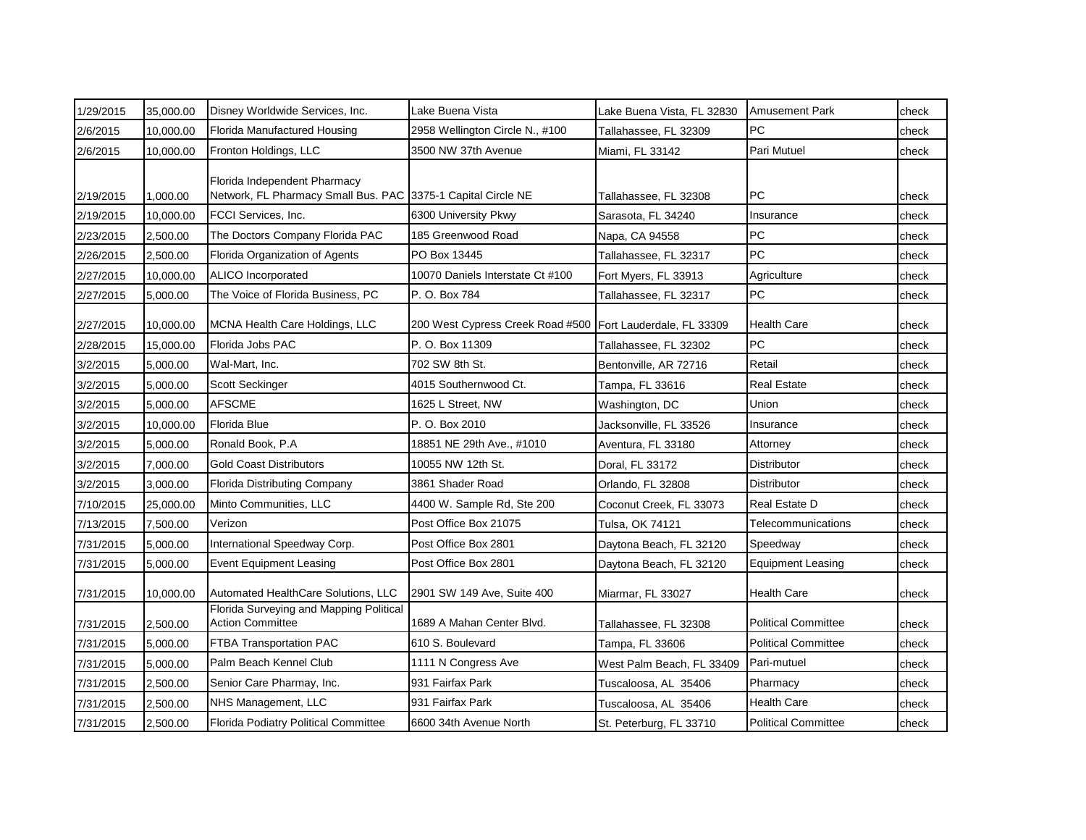| 1/29/2015 | 35,000.00 | Disney Worldwide Services, Inc.                                                              | Lake Buena Vista                 | Lake Buena Vista, FL 32830 | <b>Amusement Park</b>      | check |
|-----------|-----------|----------------------------------------------------------------------------------------------|----------------------------------|----------------------------|----------------------------|-------|
| 2/6/2015  | 10,000.00 | <b>Florida Manufactured Housing</b>                                                          | 2958 Wellington Circle N., #100  | Tallahassee, FL 32309      | <b>PC</b>                  | check |
| 2/6/2015  | 10,000.00 | Fronton Holdings, LLC                                                                        | 3500 NW 37th Avenue              | Miami, FL 33142            | Pari Mutuel                | check |
| 2/19/2015 | 1,000.00  | Florida Independent Pharmacy<br>Network, FL Pharmacy Small Bus. PAC 3375-1 Capital Circle NE |                                  | Tallahassee, FL 32308      | <b>PC</b>                  | check |
| 2/19/2015 | 10,000.00 | FCCI Services, Inc.                                                                          | 6300 University Pkwy             | Sarasota, FL 34240         | Insurance                  | check |
| 2/23/2015 | 2,500.00  | The Doctors Company Florida PAC                                                              | 185 Greenwood Road               | Napa, CA 94558             | PC                         | check |
| 2/26/2015 | 2,500.00  | Florida Organization of Agents                                                               | PO Box 13445                     | Tallahassee, FL 32317      | PC                         | check |
| 2/27/2015 | 10,000.00 | ALICO Incorporated                                                                           | 10070 Daniels Interstate Ct #100 | Fort Myers, FL 33913       | Agriculture                | check |
| 2/27/2015 | 5,000.00  | The Voice of Florida Business, PC                                                            | P. O. Box 784                    | Tallahassee, FL 32317      | <b>PC</b>                  | check |
| 2/27/2015 | 10,000.00 | MCNA Health Care Holdings, LLC                                                               | 200 West Cypress Creek Road #500 | Fort Lauderdale, FL 33309  | <b>Health Care</b>         | check |
| 2/28/2015 | 15,000.00 | Florida Jobs PAC                                                                             | P. O. Box 11309                  | Tallahassee, FL 32302      | PC                         | check |
| 3/2/2015  | 5,000.00  | Wal-Mart, Inc.                                                                               | 702 SW 8th St.                   | Bentonville, AR 72716      | Retail                     | check |
| 3/2/2015  | 5,000.00  | Scott Seckinger                                                                              | 4015 Southernwood Ct.            | Tampa, FL 33616            | <b>Real Estate</b>         | check |
| 3/2/2015  | 5,000.00  | <b>AFSCME</b>                                                                                | 1625 L Street, NW                | Washington, DC             | Union                      | check |
| 3/2/2015  | 10,000.00 | Florida Blue                                                                                 | P. O. Box 2010                   | Jacksonville, FL 33526     | Insurance                  | check |
| 3/2/2015  | 5,000.00  | Ronald Book, P.A.                                                                            | 18851 NE 29th Ave., #1010        | Aventura, FL 33180         | Attorney                   | check |
| 3/2/2015  | 7,000.00  | <b>Gold Coast Distributors</b>                                                               | 10055 NW 12th St.                | Doral, FL 33172            | Distributor                | check |
| 3/2/2015  | 3,000.00  | <b>Florida Distributing Company</b>                                                          | 3861 Shader Road                 | Orlando, FL 32808          | <b>Distributor</b>         | check |
| 7/10/2015 | 25,000.00 | Minto Communities, LLC                                                                       | 4400 W. Sample Rd, Ste 200       | Coconut Creek, FL 33073    | Real Estate D              | check |
| 7/13/2015 | 7,500.00  | Verizon                                                                                      | Post Office Box 21075            | Tulsa, OK 74121            | Telecommunications         | check |
| 7/31/2015 | 5,000.00  | International Speedway Corp.                                                                 | Post Office Box 2801             | Daytona Beach, FL 32120    | Speedway                   | check |
| 7/31/2015 | 5,000.00  | <b>Event Equipment Leasing</b>                                                               | Post Office Box 2801             | Daytona Beach, FL 32120    | <b>Equipment Leasing</b>   | check |
| 7/31/2015 | 10,000.00 | Automated HealthCare Solutions, LLC                                                          | 2901 SW 149 Ave, Suite 400       | Miarmar, FL 33027          | <b>Health Care</b>         | check |
| 7/31/2015 | 2,500.00  | Florida Surveying and Mapping Political<br><b>Action Committee</b>                           | 1689 A Mahan Center Blvd.        | Tallahassee, FL 32308      | <b>Political Committee</b> | check |
| 7/31/2015 | 5,000.00  | FTBA Transportation PAC                                                                      | 610 S. Boulevard                 | Tampa, FL 33606            | <b>Political Committee</b> | check |
| 7/31/2015 | 5,000.00  | Palm Beach Kennel Club                                                                       | 1111 N Congress Ave              | West Palm Beach, FL 33409  | Pari-mutuel                | check |
| 7/31/2015 | 2,500.00  | Senior Care Pharmay, Inc.                                                                    | 931 Fairfax Park                 | Tuscaloosa, AL 35406       | Pharmacy                   | check |
| 7/31/2015 | 2,500.00  | NHS Management, LLC                                                                          | 931 Fairfax Park                 | Tuscaloosa, AL 35406       | Health Care                | check |
| 7/31/2015 | 2,500.00  | <b>Florida Podiatry Political Committee</b>                                                  | 6600 34th Avenue North           | St. Peterburg, FL 33710    | <b>Political Committee</b> | check |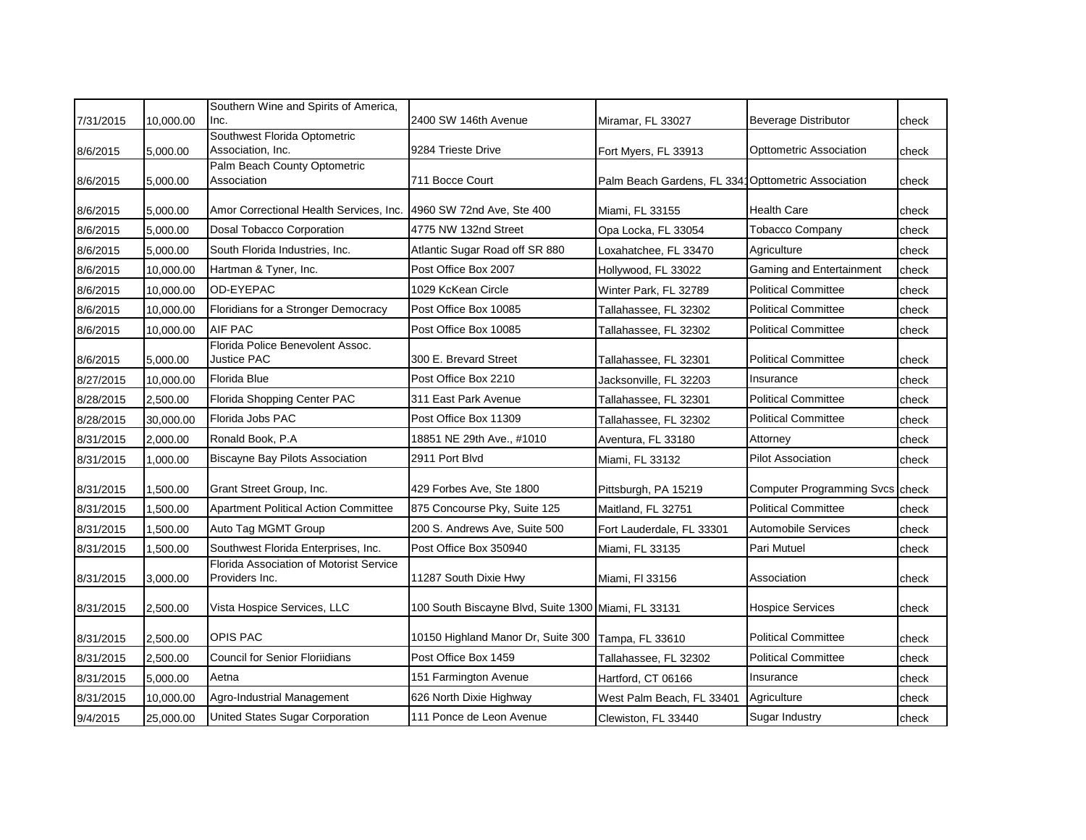|           |           | Southern Wine and Spirits of America,                     |                                                     |                                                     |                                 |       |
|-----------|-----------|-----------------------------------------------------------|-----------------------------------------------------|-----------------------------------------------------|---------------------------------|-------|
| 7/31/2015 | 10,000.00 | Inc.                                                      | 2400 SW 146th Avenue                                | Miramar, FL 33027                                   | <b>Beverage Distributor</b>     | check |
| 8/6/2015  | 5,000.00  | Southwest Florida Optometric<br>Association, Inc.         | 9284 Trieste Drive                                  | Fort Myers, FL 33913                                | Opttometric Association         | check |
| 8/6/2015  | 5,000.00  | Palm Beach County Optometric<br>Association               | 711 Bocce Court                                     | Palm Beach Gardens, FL 3341 Opttometric Association |                                 | check |
| 8/6/2015  | 5,000.00  | Amor Correctional Health Services, Inc.                   | 4960 SW 72nd Ave, Ste 400                           | Miami, FL 33155                                     | Health Care                     | check |
| 8/6/2015  | 5,000.00  | Dosal Tobacco Corporation                                 | 4775 NW 132nd Street                                | Opa Locka, FL 33054                                 | <b>Tobacco Company</b>          | check |
| 8/6/2015  | 5,000.00  | South Florida Industries, Inc.                            | Atlantic Sugar Road off SR 880                      | Loxahatchee, FL 33470                               | Agriculture                     | check |
| 8/6/2015  | 10,000.00 | Hartman & Tyner, Inc.                                     | Post Office Box 2007                                | Hollywood, FL 33022                                 | Gaming and Entertainment        | check |
| 8/6/2015  | 10,000.00 | OD-EYEPAC                                                 | 1029 KcKean Circle                                  | Winter Park, FL 32789                               | <b>Political Committee</b>      | check |
| 8/6/2015  | 10,000.00 | Floridians for a Stronger Democracy                       | Post Office Box 10085                               | Tallahassee, FL 32302                               | Political Committee             | check |
| 8/6/2015  | 10,000.00 | <b>AIF PAC</b>                                            | Post Office Box 10085                               | Tallahassee, FL 32302                               | <b>Political Committee</b>      | check |
| 8/6/2015  | 5,000.00  | Florida Police Benevolent Assoc.<br><b>Justice PAC</b>    | 300 E. Brevard Street                               | Tallahassee, FL 32301                               | <b>Political Committee</b>      | check |
| 8/27/2015 | 10,000.00 | Florida Blue                                              | Post Office Box 2210                                | Jacksonville, FL 32203                              | Insurance                       | check |
| 8/28/2015 | 2,500.00  | Florida Shopping Center PAC                               | 311 East Park Avenue                                | Tallahassee, FL 32301                               | <b>Political Committee</b>      | check |
| 8/28/2015 | 30,000.00 | Florida Jobs PAC                                          | Post Office Box 11309                               | Tallahassee, FL 32302                               | <b>Political Committee</b>      | check |
| 8/31/2015 | 2,000.00  | Ronald Book, P.A                                          | 18851 NE 29th Ave., #1010                           | Aventura, FL 33180                                  | Attorney                        | check |
| 8/31/2015 | 1,000.00  | <b>Biscayne Bay Pilots Association</b>                    | 2911 Port Blvd                                      | Miami, FL 33132                                     | <b>Pilot Association</b>        | check |
| 8/31/2015 | 1,500.00  | Grant Street Group, Inc.                                  | 429 Forbes Ave, Ste 1800                            | Pittsburgh, PA 15219                                | Computer Programming Svcs check |       |
| 8/31/2015 | 1,500.00  | <b>Apartment Political Action Committee</b>               | 875 Concourse Pky, Suite 125                        | Maitland, FL 32751                                  | <b>Political Committee</b>      | check |
| 8/31/2015 | 1,500.00  | Auto Tag MGMT Group                                       | 200 S. Andrews Ave, Suite 500                       | Fort Lauderdale, FL 33301                           | <b>Automobile Services</b>      | check |
| 8/31/2015 | 1,500.00  | Southwest Florida Enterprises, Inc.                       | Post Office Box 350940                              | Miami, FL 33135                                     | Pari Mutuel                     | check |
| 8/31/2015 | 3,000.00  | Florida Association of Motorist Service<br>Providers Inc. | 11287 South Dixie Hwy                               | Miami, FI 33156                                     | Association                     | check |
| 8/31/2015 | 2,500.00  | Vista Hospice Services, LLC                               | 100 South Biscayne Blvd, Suite 1300 Miami, FL 33131 |                                                     | <b>Hospice Services</b>         | check |
| 8/31/2015 | 2,500.00  | <b>OPIS PAC</b>                                           | 10150 Highland Manor Dr, Suite 300                  | Tampa, FL 33610                                     | <b>Political Committee</b>      | check |
| 8/31/2015 | 2,500.00  | <b>Council for Senior Floriidians</b>                     | Post Office Box 1459                                | Tallahassee, FL 32302                               | <b>Political Committee</b>      | check |
| 8/31/2015 | 5,000.00  | Aetna                                                     | 151 Farmington Avenue                               | Hartford, CT 06166                                  | Insurance                       | check |
| 8/31/2015 | 10,000.00 | Agro-Industrial Management                                | 626 North Dixie Highway                             | West Palm Beach, FL 33401                           | Agriculture                     | check |
| 9/4/2015  | 25,000.00 | United States Sugar Corporation                           | 111 Ponce de Leon Avenue                            | Clewiston, FL 33440                                 | Sugar Industry                  | check |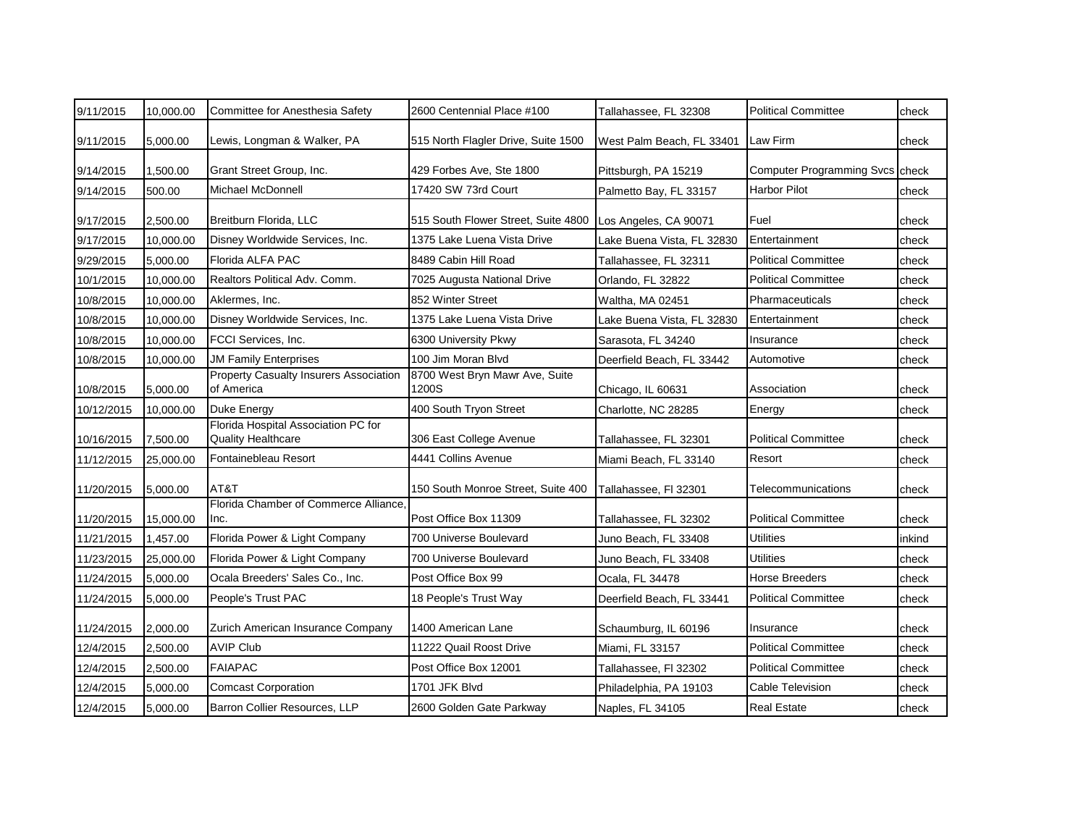| 9/11/2015  | 10,000.00 | Committee for Anesthesia Safety                                  | 2600 Centennial Place #100              | Tallahassee, FL 32308      | <b>Political Committee</b>      | check  |
|------------|-----------|------------------------------------------------------------------|-----------------------------------------|----------------------------|---------------------------------|--------|
| 9/11/2015  | 5,000.00  | Lewis, Longman & Walker, PA                                      | 515 North Flagler Drive, Suite 1500     | West Palm Beach, FL 33401  | <b>ILaw Firm</b>                | check  |
| 9/14/2015  | 1,500.00  | Grant Street Group, Inc.                                         | 429 Forbes Ave, Ste 1800                | Pittsburgh, PA 15219       | Computer Programming Svcs check |        |
| 9/14/2015  | 500.00    | Michael McDonnell                                                | 17420 SW 73rd Court                     | Palmetto Bay, FL 33157     | Harbor Pilot                    | check  |
| 9/17/2015  | 2,500.00  | Breitburn Florida, LLC                                           | 515 South Flower Street, Suite 4800     | Los Angeles, CA 90071      | Fuel                            | check  |
| 9/17/2015  | 10,000.00 | Disney Worldwide Services, Inc.                                  | 1375 Lake Luena Vista Drive             | Lake Buena Vista, FL 32830 | Entertainment                   | check  |
| 9/29/2015  | 5,000.00  | Florida ALFA PAC                                                 | 8489 Cabin Hill Road                    | Tallahassee, FL 32311      | <b>Political Committee</b>      | check  |
| 10/1/2015  | 10.000.00 | Realtors Political Adv. Comm.                                    | 7025 Augusta National Drive             | Orlando, FL 32822          | <b>Political Committee</b>      | check  |
| 10/8/2015  | 10,000.00 | Aklermes, Inc.                                                   | 852 Winter Street                       | Waltha, MA 02451           | Pharmaceuticals                 | check  |
| 10/8/2015  | 10,000.00 | Disney Worldwide Services, Inc.                                  | 1375 Lake Luena Vista Drive             | Lake Buena Vista, FL 32830 | Entertainment                   | check  |
| 10/8/2015  | 10,000.00 | <b>FCCI Services, Inc.</b>                                       | 6300 University Pkwy                    | Sarasota, FL 34240         | Insurance                       | check  |
| 10/8/2015  | 10,000.00 | <b>JM Family Enterprises</b>                                     | 100 Jim Moran Blvd                      | Deerfield Beach, FL 33442  | Automotive                      | check  |
| 10/8/2015  | 5,000.00  | <b>Property Casualty Insurers Association</b><br>of America      | 8700 West Bryn Mawr Ave, Suite<br>1200S | Chicago, IL 60631          | Association                     | check  |
| 10/12/2015 | 10,000.00 | Duke Energy                                                      | 400 South Tryon Street                  | Charlotte, NC 28285        | Energy                          | check  |
| 10/16/2015 | 7,500.00  | Florida Hospital Association PC for<br><b>Quality Healthcare</b> | 306 East College Avenue                 | Tallahassee, FL 32301      | <b>Political Committee</b>      | check  |
| 11/12/2015 | 25,000.00 | Fontainebleau Resort                                             | 4441 Collins Avenue                     | Miami Beach, FL 33140      | Resort                          | check  |
| 11/20/2015 | 5,000.00  | AT&T                                                             | 150 South Monroe Street, Suite 400      | Tallahassee, FI 32301      | Telecommunications              | check  |
| 11/20/2015 | 15,000.00 | Florida Chamber of Commerce Alliance<br>Inc.                     | Post Office Box 11309                   | Tallahassee, FL 32302      | <b>Political Committee</b>      | check  |
| 11/21/2015 | 1,457.00  | Florida Power & Light Company                                    | 700 Universe Boulevard                  | Juno Beach, FL 33408       | Utilities                       | inkind |
| 11/23/2015 | 25,000.00 | Florida Power & Light Company                                    | 700 Universe Boulevard                  | Juno Beach, FL 33408       | Utilities                       | check  |
| 11/24/2015 | 5,000.00  | Ocala Breeders' Sales Co., Inc.                                  | Post Office Box 99                      | Ocala, FL 34478            | Horse Breeders                  | check  |
| 11/24/2015 | 5,000.00  | People's Trust PAC                                               | 18 People's Trust Way                   | Deerfield Beach, FL 33441  | <b>Political Committee</b>      | check  |
| 11/24/2015 | 2,000.00  | Zurich American Insurance Company                                | 1400 American Lane                      | Schaumburg, IL 60196       | Insurance                       | check  |
| 12/4/2015  | 2,500.00  | <b>AVIP Club</b>                                                 | 11222 Quail Roost Drive                 | Miami, FL 33157            | <b>Political Committee</b>      | check  |
| 12/4/2015  | 2,500.00  | <b>FAIAPAC</b>                                                   | Post Office Box 12001                   | Tallahassee, FI 32302      | <b>Political Committee</b>      | check  |
| 12/4/2015  | 5,000.00  | <b>Comcast Corporation</b>                                       | 1701 JFK Blvd                           | Philadelphia, PA 19103     | Cable Television                | check  |
| 12/4/2015  | 5,000.00  | Barron Collier Resources, LLP                                    | 2600 Golden Gate Parkway                | Naples, FL 34105           | <b>Real Estate</b>              | check  |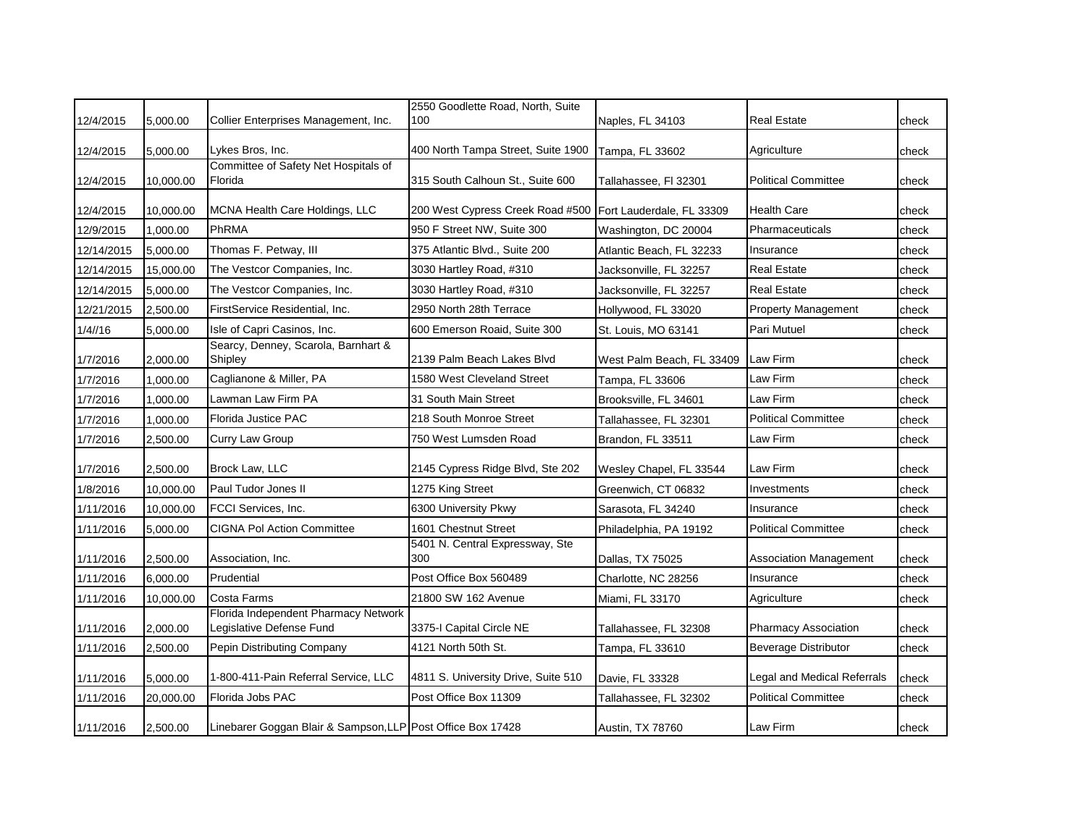|            |           |                                                                  | 2550 Goodlette Road, North, Suite      |                           |                               |       |
|------------|-----------|------------------------------------------------------------------|----------------------------------------|---------------------------|-------------------------------|-------|
| 12/4/2015  | 5,000.00  | Collier Enterprises Management, Inc.                             | 100                                    | Naples, FL 34103          | <b>Real Estate</b>            | check |
| 12/4/2015  | 5,000.00  | Lykes Bros, Inc.                                                 | 400 North Tampa Street, Suite 1900     | Tampa, FL 33602           | Agriculture                   | check |
| 12/4/2015  | 10,000.00 | Committee of Safety Net Hospitals of<br>Florida                  | 315 South Calhoun St., Suite 600       | Tallahassee, FI 32301     | <b>Political Committee</b>    | check |
| 12/4/2015  | 10,000.00 | MCNA Health Care Holdings, LLC                                   | 200 West Cypress Creek Road #500       | Fort Lauderdale, FL 33309 | <b>Health Care</b>            | check |
| 12/9/2015  | 1,000.00  | PhRMA                                                            | 950 F Street NW, Suite 300             | Washington, DC 20004      | Pharmaceuticals               | check |
| 12/14/2015 | 5,000.00  | Thomas F. Petway, III                                            | 375 Atlantic Blvd., Suite 200          | Atlantic Beach, FL 32233  | Insurance                     | check |
| 12/14/2015 | 15,000.00 | The Vestcor Companies, Inc.                                      | 3030 Hartley Road, #310                | Jacksonville, FL 32257    | Real Estate                   | check |
| 12/14/2015 | 5,000.00  | The Vestcor Companies, Inc.                                      | 3030 Hartley Road, #310                | Jacksonville, FL 32257    | <b>Real Estate</b>            | check |
| 12/21/2015 | 2,500.00  | FirstService Residential, Inc.                                   | 2950 North 28th Terrace                | Hollywood, FL 33020       | <b>Property Management</b>    | check |
| 1/4/16     | 5,000.00  | Isle of Capri Casinos, Inc.                                      | 600 Emerson Roaid, Suite 300           | St. Louis, MO 63141       | Pari Mutuel                   | check |
| 1/7/2016   | 2,000.00  | Searcy, Denney, Scarola, Barnhart &<br>Shipley                   | 2139 Palm Beach Lakes Blvd             | West Palm Beach, FL 33409 | <b>Law Firm</b>               | check |
| 1/7/2016   | 1,000.00  | Caglianone & Miller, PA                                          | 1580 West Cleveland Street             | Tampa, FL 33606           | Law Firm                      | check |
| 1/7/2016   | 1,000.00  | Lawman Law Firm PA                                               | 31 South Main Street                   | Brooksville, FL 34601     | Law Firm                      | check |
| 1/7/2016   | 1,000.00  | Florida Justice PAC                                              | 218 South Monroe Street                | Tallahassee, FL 32301     | <b>Political Committee</b>    | check |
| 1/7/2016   | 2,500.00  | Curry Law Group                                                  | 750 West Lumsden Road                  | Brandon, FL 33511         | Law Firm                      | check |
| 1/7/2016   | 2,500.00  | Brock Law, LLC                                                   | 2145 Cypress Ridge Blvd, Ste 202       | Wesley Chapel, FL 33544   | Law Firm                      | check |
| 1/8/2016   | 10,000.00 | Paul Tudor Jones II                                              | 1275 King Street                       | Greenwich, CT 06832       | Investments                   | check |
| 1/11/2016  | 10,000.00 | FCCI Services, Inc.                                              | 6300 University Pkwy                   | Sarasota, FL 34240        | Insurance                     | check |
| 1/11/2016  | 5,000.00  | <b>CIGNA Pol Action Committee</b>                                | 1601 Chestnut Street                   | Philadelphia, PA 19192    | <b>Political Committee</b>    | check |
| 1/11/2016  | 2,500.00  | Association, Inc.                                                | 5401 N. Central Expressway, Ste<br>300 | Dallas, TX 75025          | <b>Association Management</b> | check |
| 1/11/2016  | 6,000.00  | Prudential                                                       | Post Office Box 560489                 | Charlotte, NC 28256       | Insurance                     | check |
| 1/11/2016  | 10,000.00 | Costa Farms                                                      | 21800 SW 162 Avenue                    | Miami, FL 33170           | Agriculture                   | check |
| 1/11/2016  | 2,000.00  | Florida Independent Pharmacy Network<br>Legislative Defense Fund | 3375-I Capital Circle NE               | Tallahassee, FL 32308     | Pharmacy Association          | check |
| 1/11/2016  | 2,500.00  | Pepin Distributing Company                                       | 4121 North 50th St.                    | Tampa, FL 33610           | <b>Beverage Distributor</b>   | check |
| 1/11/2016  | 5,000.00  | 1-800-411-Pain Referral Service, LLC                             | 4811 S. University Drive, Suite 510    | Davie, FL 33328           | Legal and Medical Referrals   | check |
| 1/11/2016  | 20,000.00 | Florida Jobs PAC                                                 | Post Office Box 11309                  | Tallahassee, FL 32302     | <b>Political Committee</b>    | check |
| 1/11/2016  | 2,500.00  | Linebarer Goggan Blair & Sampson, LLP Post Office Box 17428      |                                        | Austin, TX 78760          | Law Firm                      | check |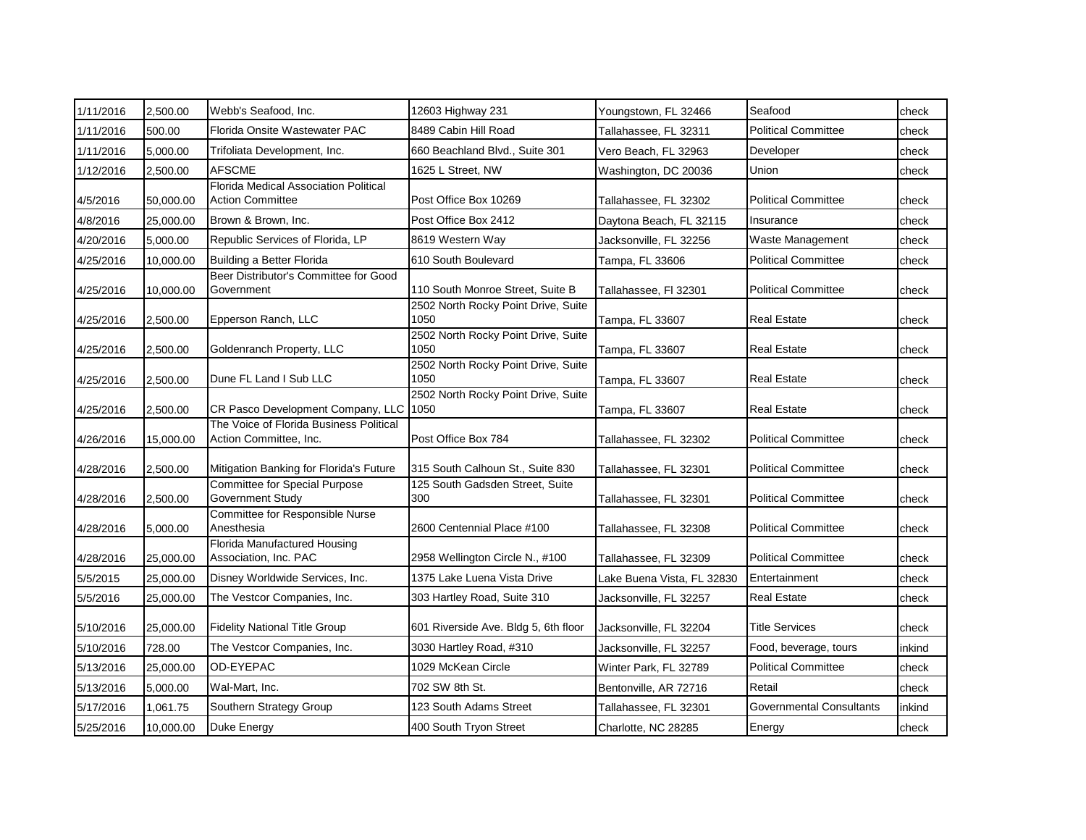| 1/11/2016 | 2,500.00  | Webb's Seafood, Inc.                                              | 12603 Highway 231                           | Youngstown, FL 32466       | Seafood                         | check  |
|-----------|-----------|-------------------------------------------------------------------|---------------------------------------------|----------------------------|---------------------------------|--------|
| 1/11/2016 | 500.00    | Florida Onsite Wastewater PAC                                     | 8489 Cabin Hill Road                        | Tallahassee, FL 32311      | <b>Political Committee</b>      | check  |
| 1/11/2016 | 5,000.00  | Trifoliata Development, Inc.                                      | 660 Beachland Blvd., Suite 301              | Vero Beach, FL 32963       | Developer                       | check  |
| 1/12/2016 | 2,500.00  | <b>AFSCME</b>                                                     | 1625 L Street, NW                           | Washington, DC 20036       | Union                           | check  |
| 4/5/2016  | 50,000.00 | Florida Medical Association Political<br><b>Action Committee</b>  | Post Office Box 10269                       | Tallahassee, FL 32302      | <b>Political Committee</b>      | check  |
| 4/8/2016  | 25,000.00 | Brown & Brown, Inc.                                               | Post Office Box 2412                        | Daytona Beach, FL 32115    | Insurance                       | check  |
| 4/20/2016 | 5,000.00  | Republic Services of Florida, LP                                  | 8619 Western Way                            | Jacksonville, FL 32256     | Waste Management                | check  |
| 4/25/2016 | 10,000.00 | Building a Better Florida                                         | 610 South Boulevard                         | Tampa, FL 33606            | <b>Political Committee</b>      | check  |
| 4/25/2016 | 10,000.00 | Beer Distributor's Committee for Good<br>Government               | 110 South Monroe Street, Suite B            | Tallahassee, Fl 32301      | <b>Political Committee</b>      | check  |
| 4/25/2016 | 2,500.00  | Epperson Ranch, LLC                                               | 2502 North Rocky Point Drive, Suite<br>1050 | Tampa, FL 33607            | <b>Real Estate</b>              | check  |
| 4/25/2016 | 2,500.00  | Goldenranch Property, LLC                                         | 2502 North Rocky Point Drive, Suite<br>1050 | Tampa, FL 33607            | <b>Real Estate</b>              | check  |
| 4/25/2016 | 2,500.00  | Dune FL Land I Sub LLC                                            | 2502 North Rocky Point Drive, Suite<br>1050 | Tampa, FL 33607            | <b>Real Estate</b>              | check  |
| 4/25/2016 | 2,500.00  | CR Pasco Development Company, LLC                                 | 2502 North Rocky Point Drive, Suite<br>1050 | Tampa, FL 33607            | <b>Real Estate</b>              | check  |
| 4/26/2016 | 15,000.00 | The Voice of Florida Business Political<br>Action Committee, Inc. | Post Office Box 784                         | Tallahassee, FL 32302      | <b>Political Committee</b>      | check  |
| 4/28/2016 | 2,500.00  | Mitigation Banking for Florida's Future                           | 315 South Calhoun St., Suite 830            | Tallahassee, FL 32301      | <b>Political Committee</b>      | check  |
| 4/28/2016 | 2,500.00  | Committee for Special Purpose<br>Government Study                 | 125 South Gadsden Street, Suite<br>300      | Tallahassee, FL 32301      | <b>Political Committee</b>      | check  |
| 4/28/2016 | 5,000.00  | Committee for Responsible Nurse<br>Anesthesia                     | 2600 Centennial Place #100                  | Tallahassee, FL 32308      | <b>Political Committee</b>      | check  |
| 4/28/2016 | 25,000.00 | Florida Manufactured Housing<br>Association, Inc. PAC             | 2958 Wellington Circle N., #100             | Tallahassee, FL 32309      | <b>Political Committee</b>      | check  |
| 5/5/2015  | 25,000.00 | Disney Worldwide Services, Inc.                                   | 1375 Lake Luena Vista Drive                 | Lake Buena Vista, FL 32830 | Entertainment                   | check  |
| 5/5/2016  | 25,000.00 | The Vestcor Companies, Inc.                                       | 303 Hartley Road, Suite 310                 | Jacksonville, FL 32257     | <b>Real Estate</b>              | check  |
| 5/10/2016 | 25,000.00 | <b>Fidelity National Title Group</b>                              | 601 Riverside Ave. Bldg 5, 6th floor        | Jacksonville, FL 32204     | <b>Title Services</b>           | check  |
| 5/10/2016 | 728.00    | The Vestcor Companies, Inc.                                       | 3030 Hartley Road, #310                     | Jacksonville, FL 32257     | Food, beverage, tours           | inkind |
| 5/13/2016 | 25,000.00 | OD-EYEPAC                                                         | 1029 McKean Circle                          | Winter Park, FL 32789      | <b>Political Committee</b>      | check  |
| 5/13/2016 | 5,000.00  | Wal-Mart, Inc.                                                    | 702 SW 8th St.                              | Bentonville, AR 72716      | Retail                          | check  |
| 5/17/2016 | 1,061.75  | Southern Strategy Group                                           | 123 South Adams Street                      | Tallahassee, FL 32301      | <b>Governmental Consultants</b> | inkind |
| 5/25/2016 | 10,000.00 | <b>Duke Energy</b>                                                | 400 South Tryon Street                      | Charlotte, NC 28285        | Energy                          | check  |
|           |           |                                                                   |                                             |                            |                                 |        |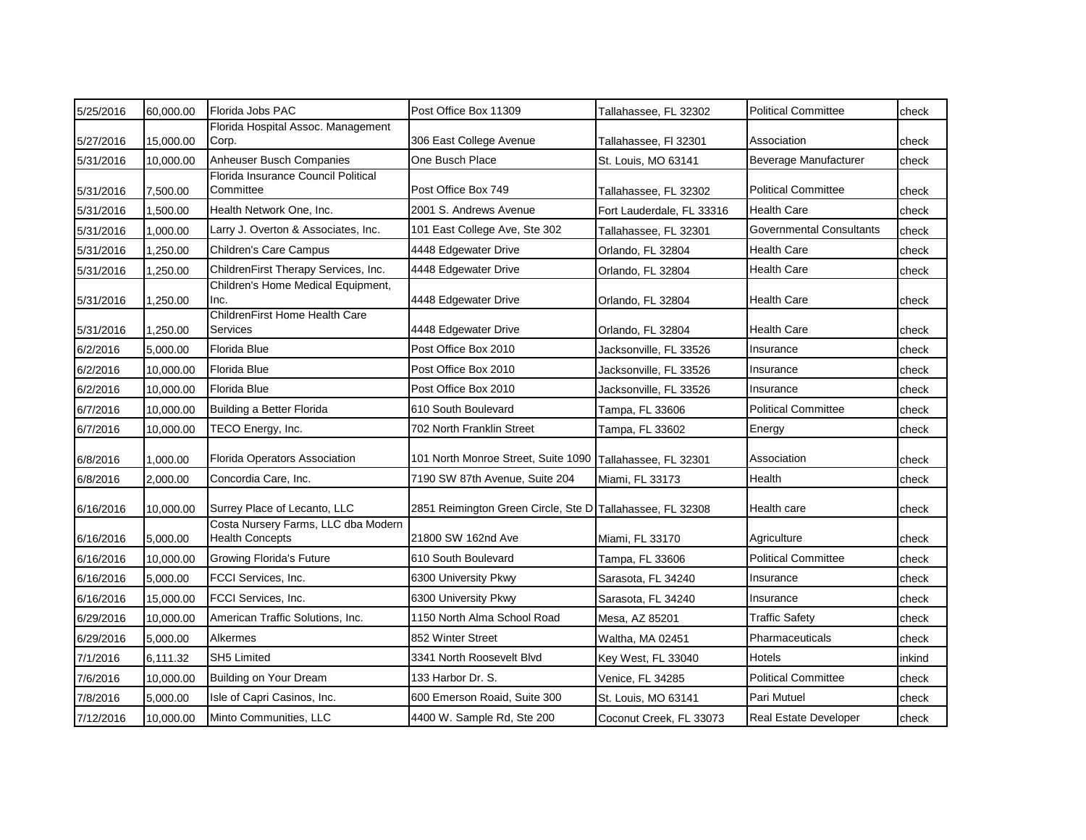| 5/25/2016 | 60,000.00 | Florida Jobs PAC                                              | Post Office Box 11309                                     | Tallahassee, FL 32302     | <b>Political Committee</b>      | check  |
|-----------|-----------|---------------------------------------------------------------|-----------------------------------------------------------|---------------------------|---------------------------------|--------|
| 5/27/2016 | 15,000.00 | Florida Hospital Assoc. Management<br>Corp.                   | 306 East College Avenue                                   | Tallahassee, Fl 32301     | Association                     | check  |
| 5/31/2016 | 10,000.00 | Anheuser Busch Companies                                      | One Busch Place                                           | St. Louis, MO 63141       | Beverage Manufacturer           | check  |
| 5/31/2016 | 7,500.00  | Florida Insurance Council Political<br>Committee              | Post Office Box 749                                       | Tallahassee, FL 32302     | <b>Political Committee</b>      | check  |
| 5/31/2016 | 1,500.00  | Health Network One, Inc.                                      | 2001 S. Andrews Avenue                                    | Fort Lauderdale, FL 33316 | <b>Health Care</b>              | check  |
| 5/31/2016 | 1,000.00  | Larry J. Overton & Associates, Inc.                           | 101 East College Ave, Ste 302                             | Tallahassee, FL 32301     | <b>Governmental Consultants</b> | check  |
| 5/31/2016 | 1,250.00  | <b>Children's Care Campus</b>                                 | 4448 Edgewater Drive                                      | Orlando, FL 32804         | <b>Health Care</b>              | check  |
| 5/31/2016 | 1,250.00  | ChildrenFirst Therapy Services, Inc.                          | 4448 Edgewater Drive                                      | Orlando, FL 32804         | <b>Health Care</b>              | check  |
| 5/31/2016 | 1,250.00  | Children's Home Medical Equipment,<br>Inc.                    | 4448 Edgewater Drive                                      | Orlando, FL 32804         | Health Care                     | check  |
| 5/31/2016 | 1,250.00  | ChildrenFirst Home Health Care<br>Services                    | 4448 Edgewater Drive                                      | Orlando, FL 32804         | <b>Health Care</b>              | check  |
| 6/2/2016  | 5,000.00  | Florida Blue                                                  | Post Office Box 2010                                      | Jacksonville, FL 33526    | Insurance                       | check  |
| 6/2/2016  | 10,000.00 | Florida Blue                                                  | Post Office Box 2010                                      | Jacksonville, FL 33526    | Insurance                       | check  |
| 6/2/2016  | 10,000.00 | <b>Florida Blue</b>                                           | Post Office Box 2010                                      | Jacksonville, FL 33526    | Insurance                       | check  |
| 6/7/2016  | 10,000.00 | Building a Better Florida                                     | 610 South Boulevard                                       | Tampa, FL 33606           | <b>Political Committee</b>      | check  |
| 6/7/2016  | 10,000.00 | TECO Energy, Inc.                                             | 702 North Franklin Street                                 | Tampa, FL 33602           | Energy                          | check  |
| 6/8/2016  | 1,000.00  | Florida Operators Association                                 | 101 North Monroe Street, Suite 1090                       | Tallahassee, FL 32301     | Association                     | check  |
| 6/8/2016  | 2,000.00  | Concordia Care, Inc.                                          | 7190 SW 87th Avenue, Suite 204                            | Miami, FL 33173           | Health                          | check  |
| 6/16/2016 | 10,000.00 | Surrey Place of Lecanto, LLC                                  | 2851 Reimington Green Circle, Ste D Tallahassee, FL 32308 |                           | Health care                     | check  |
| 6/16/2016 | 5,000.00  | Costa Nursery Farms, LLC dba Modern<br><b>Health Concepts</b> | 21800 SW 162nd Ave                                        | Miami, FL 33170           | Agriculture                     | check  |
| 6/16/2016 | 10,000.00 | <b>Growing Florida's Future</b>                               | 610 South Boulevard                                       | Tampa, FL 33606           | <b>Political Committee</b>      | check  |
| 6/16/2016 | 5,000.00  | FCCI Services, Inc.                                           | 6300 University Pkwy                                      | Sarasota, FL 34240        | Insurance                       | check  |
| 6/16/2016 | 15,000.00 | FCCI Services, Inc.                                           | 6300 University Pkwy                                      | Sarasota, FL 34240        | Insurance                       | check  |
| 6/29/2016 | 10,000.00 | American Traffic Solutions, Inc.                              | 1150 North Alma School Road                               | Mesa, AZ 85201            | <b>Traffic Safety</b>           | check  |
| 6/29/2016 | 5,000.00  | Alkermes                                                      | 852 Winter Street                                         | Waltha, MA 02451          | Pharmaceuticals                 | check  |
| 7/1/2016  | 6,111.32  | <b>SH5 Limited</b>                                            | 3341 North Roosevelt Blvd                                 | Key West, FL 33040        | Hotels                          | inkind |
| 7/6/2016  | 10,000.00 | Building on Your Dream                                        | 133 Harbor Dr. S.                                         | Venice, FL 34285          | <b>Political Committee</b>      | check  |
| 7/8/2016  | 5,000.00  | Isle of Capri Casinos, Inc.                                   | 600 Emerson Roaid, Suite 300                              | St. Louis, MO 63141       | Pari Mutuel                     | check  |
| 7/12/2016 | 10,000.00 | Minto Communities, LLC                                        | 4400 W. Sample Rd, Ste 200                                | Coconut Creek, FL 33073   | <b>Real Estate Developer</b>    | check  |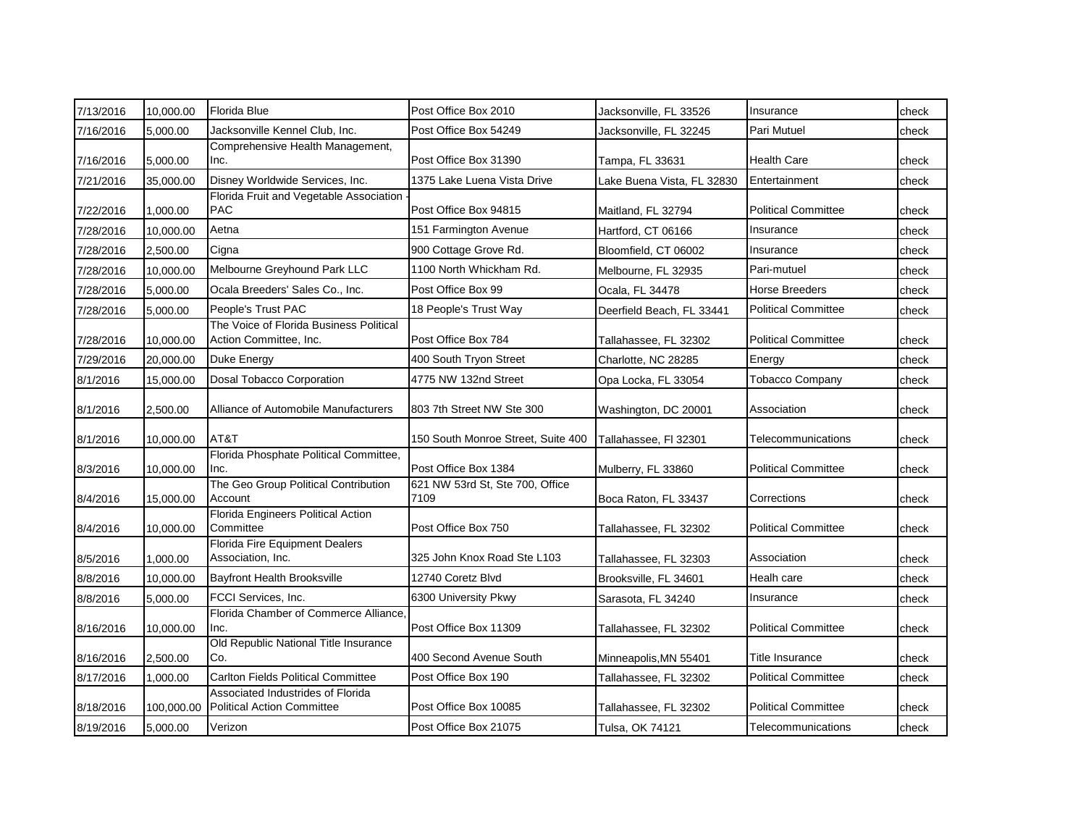| 7/13/2016 | 10,000.00  | Florida Blue                                                           | Post Office Box 2010                    | Jacksonville, FL 33526     | Insurance                  | check |
|-----------|------------|------------------------------------------------------------------------|-----------------------------------------|----------------------------|----------------------------|-------|
| 7/16/2016 | 5,000.00   | Jacksonville Kennel Club, Inc.                                         | Post Office Box 54249                   | Jacksonville, FL 32245     | Pari Mutuel                | check |
| 7/16/2016 | 5,000.00   | Comprehensive Health Management,<br>Inc.                               | Post Office Box 31390                   | Tampa, FL 33631            | <b>Health Care</b>         | check |
| 7/21/2016 | 35,000.00  | Disney Worldwide Services, Inc.                                        | 1375 Lake Luena Vista Drive             | Lake Buena Vista, FL 32830 | Entertainment              | check |
| 7/22/2016 | 1,000.00   | Florida Fruit and Vegetable Association<br><b>PAC</b>                  | Post Office Box 94815                   | Maitland, FL 32794         | <b>Political Committee</b> | check |
| 7/28/2016 | 10,000.00  | Aetna                                                                  | 151 Farmington Avenue                   | Hartford, CT 06166         | Insurance                  | check |
| 7/28/2016 | 2,500.00   | Cigna                                                                  | 900 Cottage Grove Rd.                   | Bloomfield, CT 06002       | Insurance                  | check |
| 7/28/2016 | 10,000.00  | Melbourne Greyhound Park LLC                                           | 1100 North Whickham Rd.                 | Melbourne, FL 32935        | Pari-mutuel                | check |
| 7/28/2016 | 5,000.00   | Ocala Breeders' Sales Co., Inc.                                        | Post Office Box 99                      | Ocala, FL 34478            | <b>Horse Breeders</b>      | check |
| 7/28/2016 | 5,000.00   | People's Trust PAC                                                     | 18 People's Trust Way                   | Deerfield Beach, FL 33441  | <b>Political Committee</b> | check |
| 7/28/2016 | 10,000.00  | The Voice of Florida Business Political<br>Action Committee, Inc.      | Post Office Box 784                     | Tallahassee, FL 32302      | <b>Political Committee</b> | check |
| 7/29/2016 | 20,000.00  | Duke Energy                                                            | 400 South Tryon Street                  | Charlotte, NC 28285        | Energy                     | check |
| 8/1/2016  | 15,000.00  | Dosal Tobacco Corporation                                              | 4775 NW 132nd Street                    | Opa Locka, FL 33054        | <b>Tobacco Company</b>     | check |
| 8/1/2016  | 2,500.00   | Alliance of Automobile Manufacturers                                   | 803 7th Street NW Ste 300               | Washington, DC 20001       | Association                | check |
| 8/1/2016  | 10,000.00  | AT&T                                                                   | 150 South Monroe Street, Suite 400      | Tallahassee, FI 32301      | Telecommunications         | check |
| 8/3/2016  | 10,000.00  | Florida Phosphate Political Committee,<br>Inc.                         | Post Office Box 1384                    | Mulberry, FL 33860         | <b>Political Committee</b> | check |
| 8/4/2016  | 15,000.00  | The Geo Group Political Contribution<br>Account                        | 621 NW 53rd St, Ste 700, Office<br>7109 | Boca Raton, FL 33437       | Corrections                | check |
| 8/4/2016  | 10,000.00  | Florida Engineers Political Action<br>Committee                        | Post Office Box 750                     | Tallahassee, FL 32302      | <b>Political Committee</b> | check |
| 8/5/2016  | 1,000.00   | <b>Florida Fire Equipment Dealers</b><br>Association, Inc.             | 325 John Knox Road Ste L103             | Tallahassee, FL 32303      | Association                | check |
| 8/8/2016  | 10,000.00  | <b>Bayfront Health Brooksville</b>                                     | 12740 Coretz Blvd                       | Brooksville, FL 34601      | Healh care                 | check |
| 8/8/2016  | 5,000.00   | <b>FCCI Services. Inc.</b>                                             | 6300 University Pkwy                    | Sarasota, FL 34240         | Insurance                  | check |
| 8/16/2016 | 10,000.00  | Florida Chamber of Commerce Alliance,<br>Inc.                          | Post Office Box 11309                   | Tallahassee, FL 32302      | <b>Political Committee</b> | check |
| 8/16/2016 | 2,500.00   | Old Republic National Title Insurance<br>Co.                           | 400 Second Avenue South                 | Minneapolis, MN 55401      | Title Insurance            | check |
| 8/17/2016 | 1,000.00   | <b>Carlton Fields Political Committee</b>                              | Post Office Box 190                     | Tallahassee, FL 32302      | <b>Political Committee</b> | check |
| 8/18/2016 | 100,000.00 | Associated Industrides of Florida<br><b>Political Action Committee</b> | Post Office Box 10085                   | Tallahassee, FL 32302      | <b>Political Committee</b> | check |
| 8/19/2016 | 5,000.00   | Verizon                                                                | Post Office Box 21075                   | Tulsa, OK 74121            | Telecommunications         | check |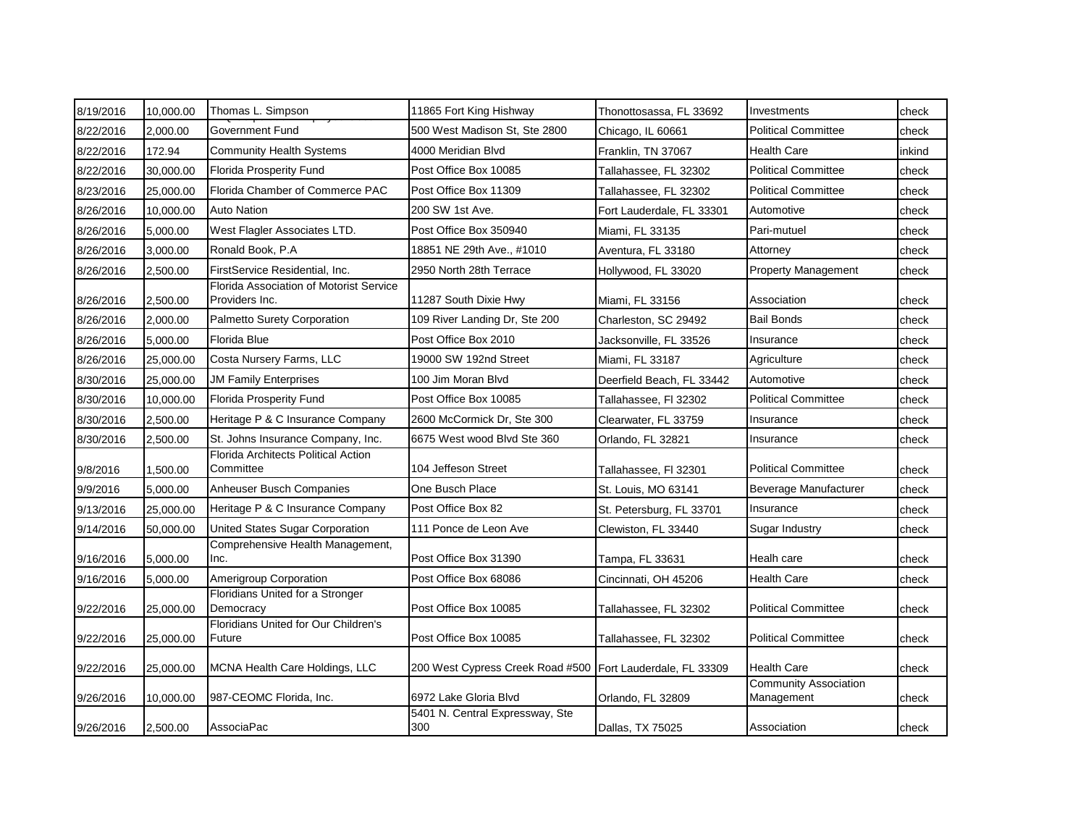| 8/19/2016 | 10,000.00 | Thomas L. Simpson                                         | 11865 Fort King Hishway                | Thonottosassa, FL 33692   | Investments                                | check  |
|-----------|-----------|-----------------------------------------------------------|----------------------------------------|---------------------------|--------------------------------------------|--------|
| 8/22/2016 | 2,000.00  | Government Fund                                           | 500 West Madison St, Ste 2800          | Chicago, IL 60661         | <b>Political Committee</b>                 | check  |
| 8/22/2016 | 172.94    | <b>Community Health Systems</b>                           | 4000 Meridian Blvd                     | Franklin, TN 37067        | <b>Health Care</b>                         | inkind |
| 8/22/2016 | 30,000.00 | <b>Florida Prosperity Fund</b>                            | Post Office Box 10085                  | Tallahassee, FL 32302     | <b>Political Committee</b>                 | check  |
| 8/23/2016 | 25,000.00 | Florida Chamber of Commerce PAC                           | Post Office Box 11309                  | Tallahassee, FL 32302     | <b>Political Committee</b>                 | check  |
| 8/26/2016 | 10,000.00 | <b>Auto Nation</b>                                        | 200 SW 1st Ave.                        | Fort Lauderdale, FL 33301 | Automotive                                 | check  |
| 8/26/2016 | 5,000.00  | West Flagler Associates LTD.                              | Post Office Box 350940                 | Miami, FL 33135           | Pari-mutuel                                | check  |
| 8/26/2016 | 3,000.00  | Ronald Book, P.A.                                         | 18851 NE 29th Ave., #1010              | Aventura, FL 33180        | Attorney                                   | check  |
| 8/26/2016 | 2,500.00  | FirstService Residential, Inc.                            | 2950 North 28th Terrace                | Hollywood, FL 33020       | <b>Property Management</b>                 | check  |
| 8/26/2016 | 2,500.00  | Florida Association of Motorist Service<br>Providers Inc. | 11287 South Dixie Hwy                  | Miami, FL 33156           | Association                                | check  |
| 8/26/2016 | 2,000.00  | Palmetto Surety Corporation                               | 109 River Landing Dr, Ste 200          | Charleston, SC 29492      | <b>Bail Bonds</b>                          | check  |
| 8/26/2016 | 5,000.00  | Florida Blue                                              | Post Office Box 2010                   | Jacksonville, FL 33526    | Insurance                                  | check  |
| 8/26/2016 | 25,000.00 | Costa Nursery Farms, LLC                                  | 19000 SW 192nd Street                  | Miami, FL 33187           | Agriculture                                | check  |
| 8/30/2016 | 25,000.00 | <b>JM Family Enterprises</b>                              | 100 Jim Moran Blvd                     | Deerfield Beach, FL 33442 | Automotive                                 | check  |
| 8/30/2016 | 10,000.00 | <b>Florida Prosperity Fund</b>                            | Post Office Box 10085                  | Tallahassee, Fl 32302     | <b>Political Committee</b>                 | check  |
| 8/30/2016 | 2,500.00  | Heritage P & C Insurance Company                          | 2600 McCormick Dr, Ste 300             | Clearwater, FL 33759      | Insurance                                  | check  |
| 8/30/2016 | 2,500.00  | St. Johns Insurance Company, Inc.                         | 6675 West wood Blvd Ste 360            | Orlando, FL 32821         | Insurance                                  | check  |
| 9/8/2016  | 1,500.00  | Florida Architects Political Action<br>Committee          | 104 Jeffeson Street                    | Tallahassee, Fl 32301     | <b>Political Committee</b>                 | check  |
| 9/9/2016  | 5,000.00  | Anheuser Busch Companies                                  | One Busch Place                        | St. Louis, MO 63141       | Beverage Manufacturer                      | check  |
| 9/13/2016 | 25,000.00 | Heritage P & C Insurance Company                          | Post Office Box 82                     | St. Petersburg, FL 33701  | Insurance                                  | check  |
| 9/14/2016 | 50,000.00 | United States Sugar Corporation                           | 111 Ponce de Leon Ave                  | Clewiston, FL 33440       | Sugar Industry                             | check  |
| 9/16/2016 | 5,000.00  | Comprehensive Health Management,<br>Inc.                  | Post Office Box 31390                  | Tampa, FL 33631           | Healh care                                 | check  |
| 9/16/2016 | 5,000.00  | Amerigroup Corporation                                    | Post Office Box 68086                  | Cincinnati, OH 45206      | <b>Health Care</b>                         | check  |
| 9/22/2016 | 25,000.00 | Floridians United for a Stronger<br>Democracy             | Post Office Box 10085                  | Tallahassee, FL 32302     | <b>Political Committee</b>                 | check  |
| 9/22/2016 | 25,000.00 | Floridians United for Our Children's<br>Future            | Post Office Box 10085                  | Tallahassee, FL 32302     | <b>Political Committee</b>                 | check  |
| 9/22/2016 | 25,000.00 | MCNA Health Care Holdings, LLC                            | 200 West Cypress Creek Road #500       | Fort Lauderdale, FL 33309 | <b>Health Care</b>                         | check  |
| 9/26/2016 | 10,000.00 | 987-CEOMC Florida, Inc.                                   | 6972 Lake Gloria Blvd                  | Orlando, FL 32809         | <b>Community Association</b><br>Management | check  |
| 9/26/2016 | 2,500.00  | AssociaPac                                                | 5401 N. Central Expressway, Ste<br>300 | Dallas, TX 75025          | Association                                | check  |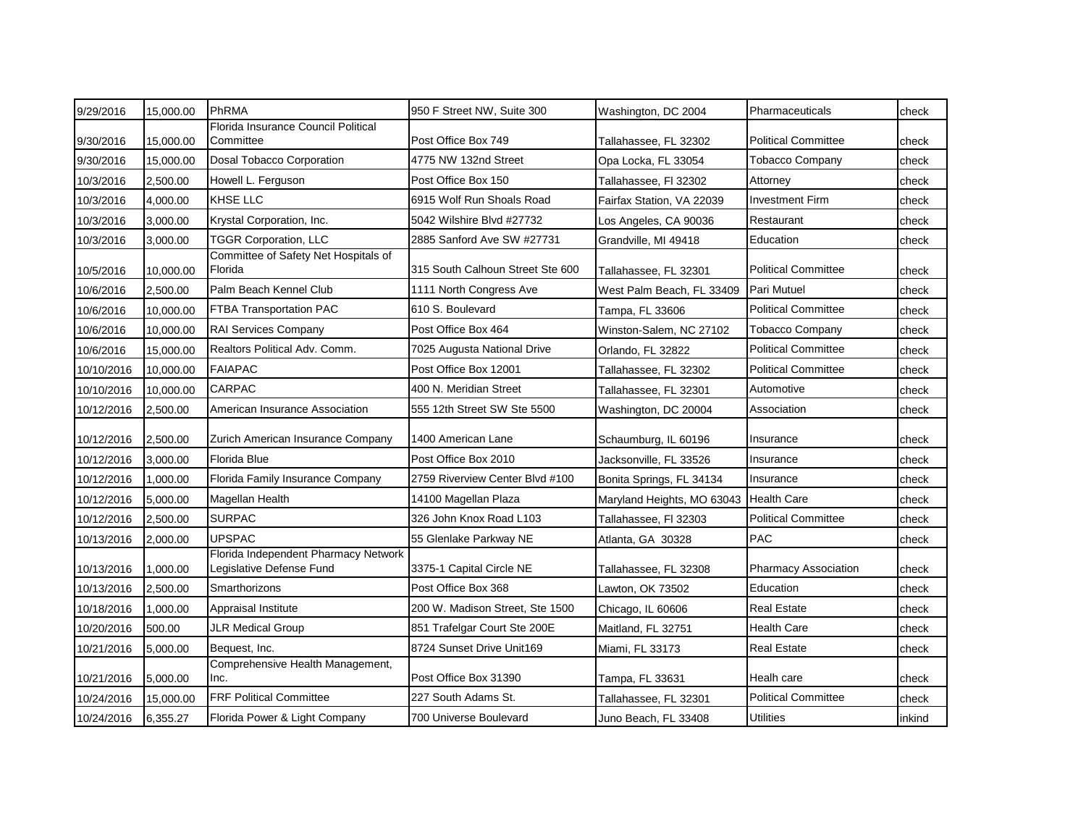| 9/29/2016  | 15,000.00 | PhRMA                                                            | 950 F Street NW, Suite 300       | Washington, DC 2004        | Pharmaceuticals            | check  |
|------------|-----------|------------------------------------------------------------------|----------------------------------|----------------------------|----------------------------|--------|
| 9/30/2016  | 15,000.00 | Florida Insurance Council Political<br>Committee                 | Post Office Box 749              | Tallahassee, FL 32302      | <b>Political Committee</b> | check  |
| 9/30/2016  | 15,000.00 | Dosal Tobacco Corporation                                        | 4775 NW 132nd Street             | Opa Locka, FL 33054        | <b>Tobacco Company</b>     | check  |
| 10/3/2016  | 2,500.00  | Howell L. Ferguson                                               | Post Office Box 150              | Tallahassee, Fl 32302      | Attorney                   | check  |
| 10/3/2016  | 4,000.00  | <b>KHSE LLC</b>                                                  | 6915 Wolf Run Shoals Road        | Fairfax Station, VA 22039  | Investment Firm            | check  |
| 10/3/2016  | 3,000.00  | Krystal Corporation, Inc.                                        | 5042 Wilshire Blvd #27732        | Los Angeles, CA 90036      | Restaurant                 | check  |
| 10/3/2016  | 3,000.00  | <b>TGGR Corporation, LLC</b>                                     | 2885 Sanford Ave SW #27731       | Grandville, MI 49418       | Education                  | check  |
| 10/5/2016  | 10,000.00 | Committee of Safety Net Hospitals of<br>Florida                  | 315 South Calhoun Street Ste 600 | Tallahassee, FL 32301      | <b>Political Committee</b> | check  |
| 10/6/2016  | 2,500.00  | Palm Beach Kennel Club                                           | 1111 North Congress Ave          | West Palm Beach, FL 33409  | Pari Mutuel                | check  |
| 10/6/2016  | 10.000.00 | <b>FTBA Transportation PAC</b>                                   | 610 S. Boulevard                 | Tampa, FL 33606            | <b>Political Committee</b> | check  |
| 10/6/2016  | 10,000.00 | <b>RAI Services Company</b>                                      | Post Office Box 464              | Winston-Salem, NC 27102    | <b>Tobacco Company</b>     | check  |
| 10/6/2016  | 15,000.00 | Realtors Political Adv. Comm.                                    | 7025 Augusta National Drive      | Orlando, FL 32822          | <b>Political Committee</b> | check  |
| 10/10/2016 | 10,000.00 | <b>FAIAPAC</b>                                                   | Post Office Box 12001            | Tallahassee, FL 32302      | <b>Political Committee</b> | check  |
| 10/10/2016 | 10,000.00 | <b>CARPAC</b>                                                    | 400 N. Meridian Street           | Tallahassee, FL 32301      | Automotive                 | check  |
| 10/12/2016 | 2,500.00  | American Insurance Association                                   | 555 12th Street SW Ste 5500      | Washington, DC 20004       | Association                | check  |
| 10/12/2016 | 2,500.00  | Zurich American Insurance Company                                | 1400 American Lane               | Schaumburg, IL 60196       | Insurance                  | check  |
| 10/12/2016 | 3,000.00  | Florida Blue                                                     | Post Office Box 2010             | Jacksonville, FL 33526     | Insurance                  | check  |
| 10/12/2016 | 1,000.00  | Florida Family Insurance Company                                 | 2759 Riverview Center Blvd #100  | Bonita Springs, FL 34134   | Insurance                  | check  |
| 10/12/2016 | 5,000.00  | Magellan Health                                                  | 14100 Magellan Plaza             | Maryland Heights, MO 63043 | <b>Health Care</b>         | check  |
| 10/12/2016 | 2,500.00  | <b>SURPAC</b>                                                    | 326 John Knox Road L103          | Tallahassee, FI 32303      | <b>Political Committee</b> | check  |
| 10/13/2016 | 2,000.00  | <b>UPSPAC</b>                                                    | 55 Glenlake Parkway NE           | Atlanta, GA 30328          | <b>PAC</b>                 | check  |
| 10/13/2016 | 1,000.00  | Florida Independent Pharmacy Network<br>Legislative Defense Fund | 3375-1 Capital Circle NE         | Tallahassee, FL 32308      | Pharmacy Association       | check  |
| 10/13/2016 | 2,500.00  | Smarthorizons                                                    | Post Office Box 368              | Lawton, OK 73502           | Education                  | check  |
| 10/18/2016 | 1,000.00  | Appraisal Institute                                              | 200 W. Madison Street, Ste 1500  | Chicago, IL 60606          | <b>Real Estate</b>         | check  |
| 10/20/2016 | 500.00    | <b>JLR Medical Group</b>                                         | 851 Trafelgar Court Ste 200E     | Maitland, FL 32751         | <b>Health Care</b>         | check  |
| 10/21/2016 | 5,000.00  | Bequest, Inc.                                                    | 8724 Sunset Drive Unit169        | Miami, FL 33173            | <b>Real Estate</b>         | check  |
| 10/21/2016 | 5,000.00  | Comprehensive Health Management,<br>Inc.                         | Post Office Box 31390            | Tampa, FL 33631            | Healh care                 | check  |
| 10/24/2016 | 15,000.00 | <b>FRF Political Committee</b>                                   | 227 South Adams St.              | Tallahassee, FL 32301      | <b>Political Committee</b> | check  |
| 10/24/2016 | 6,355.27  | Florida Power & Light Company                                    | 700 Universe Boulevard           | Juno Beach, FL 33408       | <b>Utilities</b>           | inkind |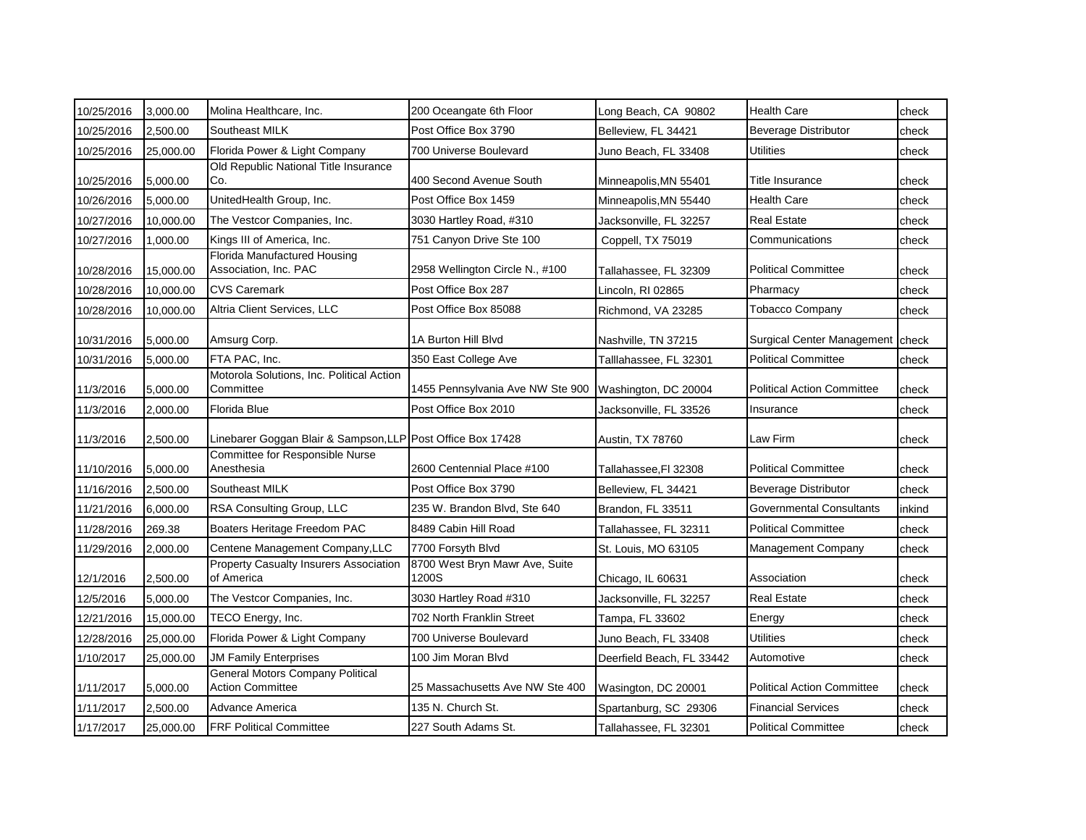| 10/25/2016 | 3,000.00  | Molina Healthcare, Inc.                                            | 200 Oceangate 6th Floor                 | Long Beach, CA 90802      | <b>Health Care</b>                 | check  |
|------------|-----------|--------------------------------------------------------------------|-----------------------------------------|---------------------------|------------------------------------|--------|
| 10/25/2016 | 2,500.00  | Southeast MILK                                                     | Post Office Box 3790                    | Belleview, FL 34421       | <b>Beverage Distributor</b>        | check  |
| 10/25/2016 | 25,000.00 | Florida Power & Light Company                                      | 700 Universe Boulevard                  | Juno Beach, FL 33408      | Utilities                          | check  |
| 10/25/2016 | 5,000.00  | Old Republic National Title Insurance<br>Co.                       | 400 Second Avenue South                 | Minneapolis,MN 55401      | Title Insurance                    | check  |
| 10/26/2016 | 5,000.00  | UnitedHealth Group, Inc.                                           | Post Office Box 1459                    | Minneapolis, MN 55440     | Health Care                        | check  |
| 10/27/2016 | 10,000.00 | The Vestcor Companies, Inc.                                        | 3030 Hartley Road, #310                 | Jacksonville, FL 32257    | <b>Real Estate</b>                 | check  |
| 10/27/2016 | 1,000.00  | Kings III of America, Inc.                                         | 751 Canyon Drive Ste 100                | Coppell, TX 75019         | Communications                     | check  |
| 10/28/2016 | 15,000.00 | Florida Manufactured Housing<br>Association, Inc. PAC              | 2958 Wellington Circle N., #100         | Tallahassee, FL 32309     | Political Committee                | check  |
| 10/28/2016 | 10,000.00 | <b>CVS Caremark</b>                                                | Post Office Box 287                     | Lincoln, RI 02865         | Pharmacy                           | check  |
| 10/28/2016 | 10,000.00 | Altria Client Services, LLC                                        | Post Office Box 85088                   | Richmond, VA 23285        | <b>Tobacco Company</b>             | check  |
| 10/31/2016 | 5,000.00  | Amsurg Corp.                                                       | 1A Burton Hill Blvd                     | Nashville, TN 37215       | Surgical Center Management   check |        |
| 10/31/2016 | 5,000.00  | FTA PAC, Inc.                                                      | 350 East College Ave                    | Talllahassee, FL 32301    | <b>Political Committee</b>         | check  |
| 11/3/2016  | 5,000.00  | Motorola Solutions, Inc. Political Action<br>Committee             | 1455 Pennsylvania Ave NW Ste 900        | Washington, DC 20004      | <b>Political Action Committee</b>  | check  |
| 11/3/2016  | 2,000.00  | Florida Blue                                                       | Post Office Box 2010                    | Jacksonville, FL 33526    | Insurance                          | check  |
| 11/3/2016  | 2,500.00  | Linebarer Goggan Blair & Sampson, LLP Post Office Box 17428        |                                         | Austin, TX 78760          | Law Firm                           | check  |
| 11/10/2016 | 5,000.00  | Committee for Responsible Nurse<br>Anesthesia                      | 2600 Centennial Place #100              | Tallahassee,Fl 32308      | <b>Political Committee</b>         | check  |
| 11/16/2016 | 2,500.00  | Southeast MILK                                                     | Post Office Box 3790                    | Belleview, FL 34421       | <b>Beverage Distributor</b>        | check  |
| 11/21/2016 | 6,000.00  | RSA Consulting Group, LLC                                          | 235 W. Brandon Blvd, Ste 640            | Brandon, FL 33511         | Governmental Consultants           | inkind |
| 11/28/2016 | 269.38    | Boaters Heritage Freedom PAC                                       | 8489 Cabin Hill Road                    | Tallahassee, FL 32311     | <b>Political Committee</b>         | check  |
| 11/29/2016 | 2,000.00  | Centene Management Company, LLC                                    | 7700 Forsyth Blvd                       | St. Louis, MO 63105       | Management Company                 | check  |
| 12/1/2016  | 2,500.00  | <b>Property Casualty Insurers Association</b><br>of America        | 8700 West Bryn Mawr Ave, Suite<br>1200S | Chicago, IL 60631         | Association                        | check  |
| 12/5/2016  | 5,000.00  | The Vestcor Companies, Inc.                                        | 3030 Hartley Road #310                  | Jacksonville, FL 32257    | <b>Real Estate</b>                 | check  |
| 12/21/2016 | 15,000.00 | TECO Energy, Inc.                                                  | 702 North Franklin Street               | Tampa, FL 33602           | Energy                             | check  |
| 12/28/2016 | 25,000.00 | Florida Power & Light Company                                      | 700 Universe Boulevard                  | Juno Beach, FL 33408      | Utilities                          | check  |
| 1/10/2017  | 25,000.00 | <b>JM Family Enterprises</b>                                       | 100 Jim Moran Blvd                      | Deerfield Beach, FL 33442 | Automotive                         | check  |
| 1/11/2017  | 5,000.00  | <b>General Motors Company Political</b><br><b>Action Committee</b> | 25 Massachusetts Ave NW Ste 400         | Wasington, DC 20001       | <b>Political Action Committee</b>  | check  |
| 1/11/2017  | 2,500.00  | Advance America                                                    | 135 N. Church St.                       | Spartanburg, SC 29306     | <b>Financial Services</b>          | check  |
| 1/17/2017  | 25,000.00 | <b>FRF Political Committee</b>                                     | 227 South Adams St.                     | Tallahassee, FL 32301     | <b>Political Committee</b>         | check  |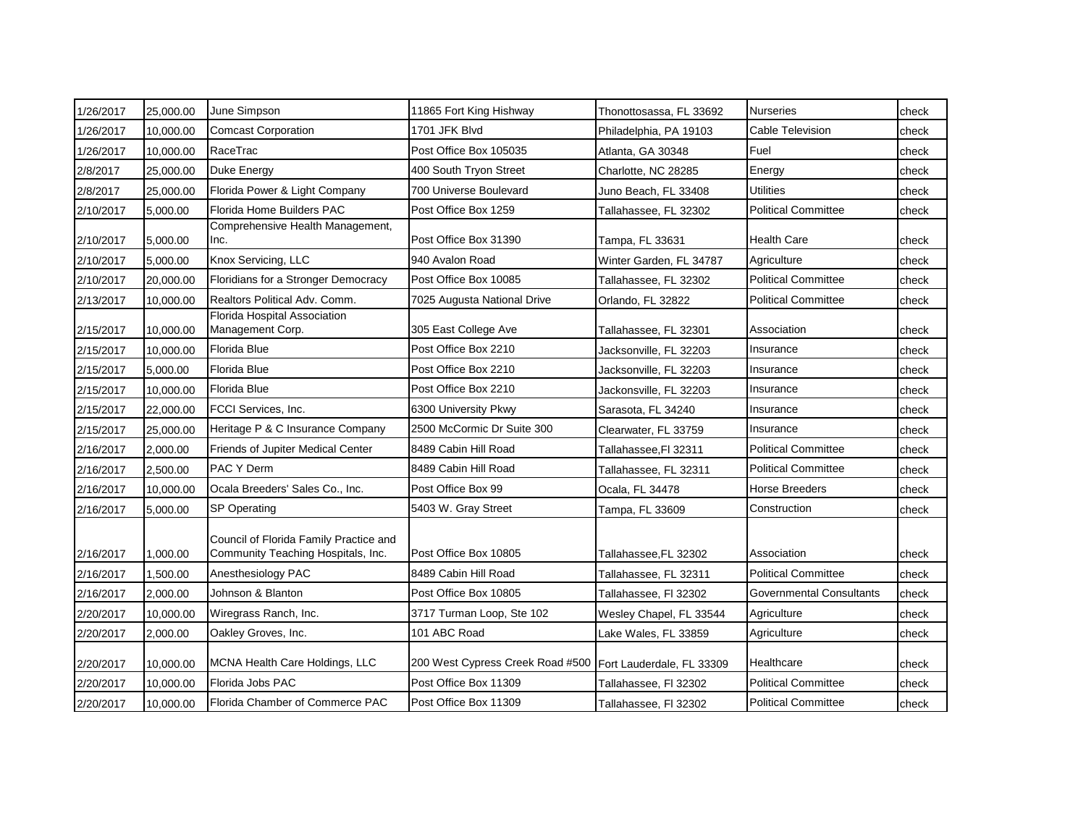| 1/26/2017 | 25,000.00 | June Simpson                                                                 | 11865 Fort King Hishway          | Thonottosassa, FL 33692   | <b>Nurseries</b>                | check |
|-----------|-----------|------------------------------------------------------------------------------|----------------------------------|---------------------------|---------------------------------|-------|
| 1/26/2017 | 10,000.00 | <b>Comcast Corporation</b>                                                   | 1701 JFK Blvd                    | Philadelphia, PA 19103    | Cable Television                | check |
| 1/26/2017 | 10,000.00 | RaceTrac                                                                     | Post Office Box 105035           | Atlanta, GA 30348         | Fuel                            | check |
| 2/8/2017  | 25,000.00 | Duke Energy                                                                  | 400 South Tryon Street           | Charlotte, NC 28285       | Energy                          | check |
| 2/8/2017  | 25,000.00 | Florida Power & Light Company                                                | 700 Universe Boulevard           | Juno Beach, FL 33408      | Utilities                       | check |
| 2/10/2017 | 5,000.00  | Florida Home Builders PAC                                                    | Post Office Box 1259             | Tallahassee, FL 32302     | <b>Political Committee</b>      | check |
| 2/10/2017 | 5,000.00  | Comprehensive Health Management,<br>Inc.                                     | Post Office Box 31390            | Tampa, FL 33631           | <b>Health Care</b>              | check |
| 2/10/2017 | 5,000.00  | Knox Servicing, LLC                                                          | 940 Avalon Road                  | Winter Garden, FL 34787   | Agriculture                     | check |
| 2/10/2017 | 20,000.00 | Floridians for a Stronger Democracy                                          | Post Office Box 10085            | Tallahassee, FL 32302     | <b>Political Committee</b>      | check |
| 2/13/2017 | 10,000.00 | Realtors Political Adv. Comm.                                                | 7025 Augusta National Drive      | Orlando, FL 32822         | <b>Political Committee</b>      | check |
| 2/15/2017 | 10,000.00 | Florida Hospital Association<br>Management Corp.                             | 305 East College Ave             | Tallahassee, FL 32301     | Association                     | check |
| 2/15/2017 | 10,000.00 | Florida Blue                                                                 | Post Office Box 2210             | Jacksonville, FL 32203    | Insurance                       | check |
| 2/15/2017 | 5,000.00  | Florida Blue                                                                 | Post Office Box 2210             | Jacksonville, FL 32203    | Insurance                       | check |
| 2/15/2017 | 10,000.00 | Florida Blue                                                                 | Post Office Box 2210             | Jackonsville, FL 32203    | Insurance                       | check |
| 2/15/2017 | 22,000.00 | FCCI Services, Inc.                                                          | 6300 University Pkwy             | Sarasota, FL 34240        | Insurance                       | check |
| 2/15/2017 | 25,000.00 | Heritage P & C Insurance Company                                             | 2500 McCormic Dr Suite 300       | Clearwater, FL 33759      | Insurance                       | check |
| 2/16/2017 | 2,000.00  | <b>Friends of Jupiter Medical Center</b>                                     | 8489 Cabin Hill Road             | Tallahassee,Fl 32311      | <b>Political Committee</b>      | check |
| 2/16/2017 | 2,500.00  | <b>PAC Y Derm</b>                                                            | 8489 Cabin Hill Road             | Tallahassee, FL 32311     | <b>Political Committee</b>      | check |
| 2/16/2017 | 10,000.00 | Ocala Breeders' Sales Co., Inc.                                              | Post Office Box 99               | Ocala, FL 34478           | <b>Horse Breeders</b>           | check |
| 2/16/2017 | 5,000.00  | <b>SP Operating</b>                                                          | 5403 W. Gray Street              | Tampa, FL 33609           | Construction                    | check |
| 2/16/2017 | 1,000.00  | Council of Florida Family Practice and<br>Community Teaching Hospitals, Inc. | Post Office Box 10805            | Tallahassee,FL 32302      | Association                     | check |
| 2/16/2017 | 1,500.00  | Anesthesiology PAC                                                           | 8489 Cabin Hill Road             | Tallahassee, FL 32311     | <b>Political Committee</b>      | check |
| 2/16/2017 | 2,000.00  | Johnson & Blanton                                                            | Post Office Box 10805            | Tallahassee, FI 32302     | <b>Governmental Consultants</b> | check |
| 2/20/2017 | 10,000.00 | Wiregrass Ranch, Inc.                                                        | 3717 Turman Loop, Ste 102        | Wesley Chapel, FL 33544   | Agriculture                     | check |
| 2/20/2017 | 2,000.00  | Oakley Groves, Inc.                                                          | 101 ABC Road                     | Lake Wales, FL 33859      | Agriculture                     | check |
| 2/20/2017 | 10,000.00 | MCNA Health Care Holdings, LLC                                               | 200 West Cypress Creek Road #500 | Fort Lauderdale, FL 33309 | Healthcare                      | check |
| 2/20/2017 | 10,000.00 | Florida Jobs PAC                                                             | Post Office Box 11309            | Tallahassee, Fl 32302     | <b>Political Committee</b>      | check |
| 2/20/2017 | 10,000.00 | Florida Chamber of Commerce PAC                                              | Post Office Box 11309            | Tallahassee, FI 32302     | <b>Political Committee</b>      | check |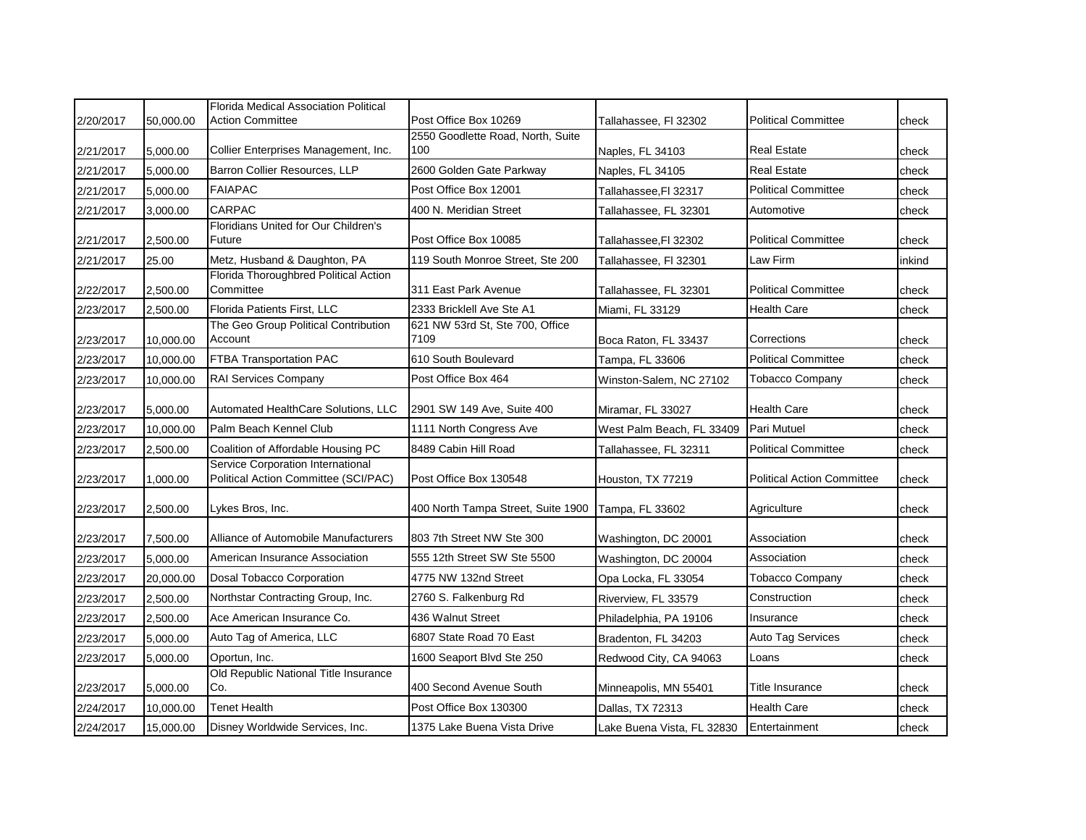| 2/20/2017 | 50,000.00 | <b>Florida Medical Association Political</b><br><b>Action Committee</b>   | Post Office Box 10269                    | Tallahassee, Fl 32302      | <b>Political Committee</b>        | check  |
|-----------|-----------|---------------------------------------------------------------------------|------------------------------------------|----------------------------|-----------------------------------|--------|
| 2/21/2017 | 5,000.00  | Collier Enterprises Management, Inc.                                      | 2550 Goodlette Road, North, Suite<br>100 | Naples, FL 34103           | <b>Real Estate</b>                | check  |
| 2/21/2017 | 5,000.00  | Barron Collier Resources, LLP                                             | 2600 Golden Gate Parkway                 | Naples, FL 34105           | <b>Real Estate</b>                | check  |
| 2/21/2017 | 5,000.00  | <b>FAIAPAC</b>                                                            | Post Office Box 12001                    | Tallahassee, Fl 32317      | <b>Political Committee</b>        | check  |
| 2/21/2017 | 3,000.00  | CARPAC                                                                    | 400 N. Meridian Street                   | Tallahassee, FL 32301      | Automotive                        | check  |
| 2/21/2017 | 2,500.00  | Floridians United for Our Children's<br>Future                            | Post Office Box 10085                    | Tallahassee,FI 32302       | <b>Political Committee</b>        | check  |
| 2/21/2017 | 25.00     | Metz, Husband & Daughton, PA                                              | 119 South Monroe Street, Ste 200         | Tallahassee, Fl 32301      | Law Firm                          | inkind |
| 2/22/2017 | 2,500.00  | Florida Thoroughbred Political Action<br>Committee                        | 311 East Park Avenue                     | Tallahassee, FL 32301      | <b>Political Committee</b>        | check  |
| 2/23/2017 | 2,500.00  | Florida Patients First, LLC                                               | 2333 Bricklell Ave Ste A1                | Miami, FL 33129            | <b>Health Care</b>                | check  |
| 2/23/2017 | 10,000.00 | The Geo Group Political Contribution<br>Account                           | 621 NW 53rd St, Ste 700, Office<br>7109  | Boca Raton, FL 33437       | Corrections                       | check  |
| 2/23/2017 | 10,000.00 | FTBA Transportation PAC                                                   | 610 South Boulevard                      | Tampa, FL 33606            | <b>Political Committee</b>        | check  |
| 2/23/2017 | 10,000.00 | RAI Services Company                                                      | Post Office Box 464                      | Winston-Salem, NC 27102    | <b>Tobacco Company</b>            | check  |
| 2/23/2017 | 5,000.00  | Automated HealthCare Solutions, LLC                                       | 2901 SW 149 Ave, Suite 400               | Miramar, FL 33027          | <b>Health Care</b>                | check  |
| 2/23/2017 | 10,000.00 | Palm Beach Kennel Club                                                    | 1111 North Congress Ave                  | West Palm Beach, FL 33409  | Pari Mutuel                       | check  |
| 2/23/2017 | 2,500.00  | Coalition of Affordable Housing PC                                        | 8489 Cabin Hill Road                     | Tallahassee, FL 32311      | <b>Political Committee</b>        | check  |
| 2/23/2017 | 1,000.00  | Service Corporation International<br>Political Action Committee (SCI/PAC) | Post Office Box 130548                   | Houston, TX 77219          | <b>Political Action Committee</b> | check  |
| 2/23/2017 | 2.500.00  | Lykes Bros, Inc.                                                          | 400 North Tampa Street, Suite 1900       | Tampa, FL 33602            | Agriculture                       | check  |
| 2/23/2017 | 7,500.00  | Alliance of Automobile Manufacturers                                      | 803 7th Street NW Ste 300                | Washington, DC 20001       | Association                       | check  |
| 2/23/2017 | 5,000.00  | American Insurance Association                                            | 555 12th Street SW Ste 5500              | Washington, DC 20004       | Association                       | check  |
| 2/23/2017 | 20,000.00 | Dosal Tobacco Corporation                                                 | 4775 NW 132nd Street                     | Opa Locka, FL 33054        | Tobacco Company                   | check  |
| 2/23/2017 | 2,500.00  | Northstar Contracting Group, Inc.                                         | 2760 S. Falkenburg Rd                    | Riverview, FL 33579        | Construction                      | check  |
| 2/23/2017 | 2,500.00  | Ace American Insurance Co.                                                | 436 Walnut Street                        | Philadelphia, PA 19106     | Insurance                         | check  |
| 2/23/2017 | 5,000.00  | Auto Tag of America, LLC                                                  | 6807 State Road 70 East                  | Bradenton, FL 34203        | Auto Tag Services                 | check  |
| 2/23/2017 | 5,000.00  | Oportun, Inc.                                                             | 1600 Seaport Blvd Ste 250                | Redwood City, CA 94063     | Loans                             | check  |
| 2/23/2017 | 5,000.00  | Old Republic National Title Insurance<br>Co.                              | 400 Second Avenue South                  | Minneapolis, MN 55401      | Title Insurance                   | check  |
| 2/24/2017 | 10,000.00 | <b>Tenet Health</b>                                                       | Post Office Box 130300                   | Dallas, TX 72313           | <b>Health Care</b>                | check  |
| 2/24/2017 | 15,000.00 | Disney Worldwide Services, Inc.                                           | 1375 Lake Buena Vista Drive              | Lake Buena Vista, FL 32830 | Entertainment                     | check  |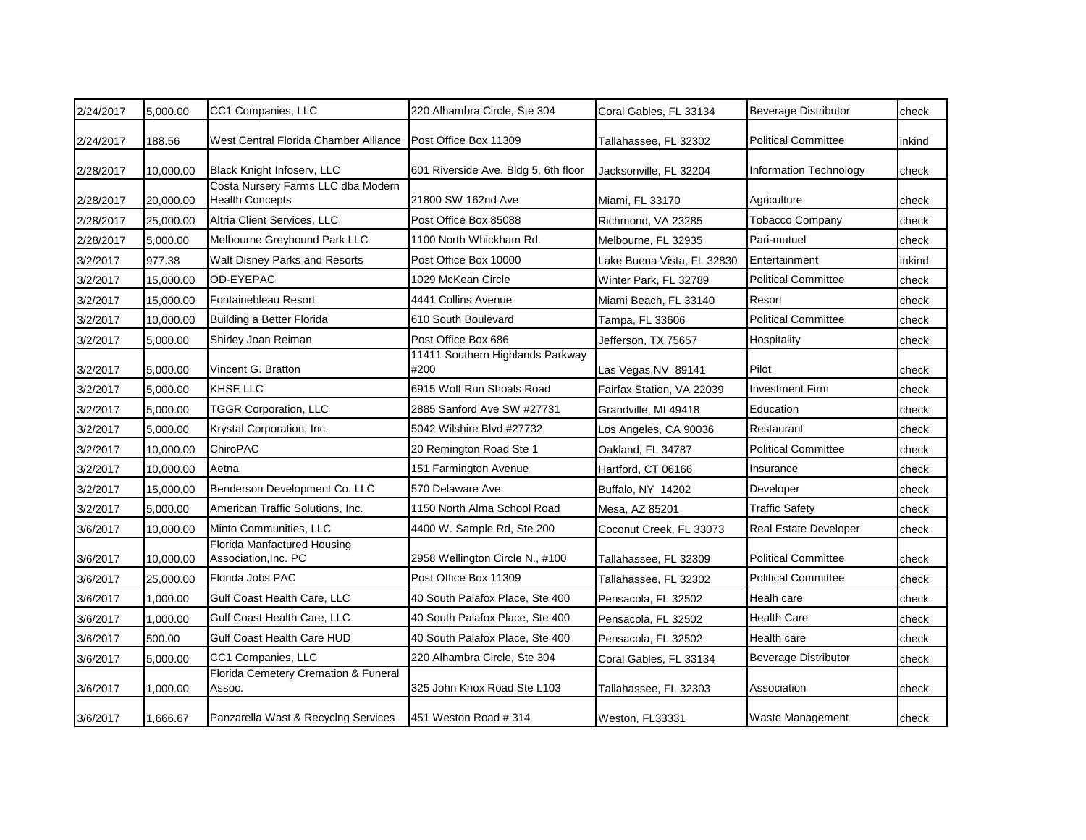| 2/24/2017 | 5,000.00  | CC1 Companies, LLC                                           | 220 Alhambra Circle, Ste 304             | Coral Gables, FL 33134     | <b>Beverage Distributor</b>  | check  |
|-----------|-----------|--------------------------------------------------------------|------------------------------------------|----------------------------|------------------------------|--------|
| 2/24/2017 | 188.56    | West Central Florida Chamber Alliance                        | Post Office Box 11309                    | Tallahassee, FL 32302      | <b>Political Committee</b>   | inkind |
| 2/28/2017 | 10,000.00 | Black Knight Infoserv, LLC                                   | 601 Riverside Ave. Bldg 5, 6th floor     | Jacksonville, FL 32204     | Information Technology       | check  |
| 2/28/2017 | 20,000.00 | Costa Nursery Farms LLC dba Modern<br><b>Health Concepts</b> | 21800 SW 162nd Ave                       | Miami, FL 33170            | Agriculture                  | check  |
| 2/28/2017 | 25,000.00 | Altria Client Services, LLC                                  | Post Office Box 85088                    | Richmond, VA 23285         | <b>Tobacco Company</b>       | check  |
| 2/28/2017 | 5,000.00  | Melbourne Greyhound Park LLC                                 | 1100 North Whickham Rd.                  | Melbourne, FL 32935        | Pari-mutuel                  | check  |
| 3/2/2017  | 977.38    | <b>Walt Disney Parks and Resorts</b>                         | Post Office Box 10000                    | Lake Buena Vista, FL 32830 | Entertainment                | inkind |
| 3/2/2017  | 15,000.00 | OD-EYEPAC                                                    | 1029 McKean Circle                       | Winter Park, FL 32789      | <b>Political Committee</b>   | check  |
| 3/2/2017  | 15.000.00 | Fontainebleau Resort                                         | 4441 Collins Avenue                      | Miami Beach, FL 33140      | Resort                       | check  |
| 3/2/2017  | 10,000.00 | Building a Better Florida                                    | 610 South Boulevard                      | Tampa, FL 33606            | <b>Political Committee</b>   | check  |
| 3/2/2017  | 5,000.00  | Shirley Joan Reiman                                          | Post Office Box 686                      | Jefferson, TX 75657        | Hospitality                  | check  |
| 3/2/2017  | 5,000.00  | Vincent G. Bratton                                           | 11411 Southern Highlands Parkway<br>#200 | Las Vegas, NV 89141        | Pilot                        | check  |
| 3/2/2017  | 5,000.00  | <b>KHSE LLC</b>                                              | 6915 Wolf Run Shoals Road                | Fairfax Station, VA 22039  | <b>Investment Firm</b>       | check  |
| 3/2/2017  | 5,000.00  | <b>TGGR Corporation, LLC</b>                                 | 2885 Sanford Ave SW #27731               | Grandville, MI 49418       | Education                    | check  |
| 3/2/2017  | 5,000.00  | Krystal Corporation, Inc.                                    | 5042 Wilshire Blvd #27732                | Los Angeles, CA 90036      | Restaurant                   | check  |
| 3/2/2017  | 10,000.00 | ChiroPAC                                                     | 20 Remington Road Ste 1                  | Oakland, FL 34787          | <b>Political Committee</b>   | check  |
| 3/2/2017  | 10,000.00 | Aetna                                                        | 151 Farmington Avenue                    | Hartford, CT 06166         | Insurance                    | check  |
| 3/2/2017  | 15,000.00 | Benderson Development Co. LLC                                | 570 Delaware Ave                         | Buffalo, NY 14202          | Developer                    | check  |
| 3/2/2017  | 5.000.00  | American Traffic Solutions. Inc.                             | 1150 North Alma School Road              | Mesa, AZ 85201             | <b>Traffic Safety</b>        | check  |
| 3/6/2017  | 10,000.00 | Minto Communities, LLC                                       | 4400 W. Sample Rd, Ste 200               | Coconut Creek, FL 33073    | <b>Real Estate Developer</b> | check  |
| 3/6/2017  | 10,000.00 | Florida Manfactured Housing<br>Association, Inc. PC          | 2958 Wellington Circle N., #100          | Tallahassee, FL 32309      | <b>Political Committee</b>   | check  |
| 3/6/2017  | 25,000.00 | Florida Jobs PAC                                             | Post Office Box 11309                    | Tallahassee, FL 32302      | <b>Political Committee</b>   | check  |
| 3/6/2017  | 1,000.00  | Gulf Coast Health Care, LLC                                  | 40 South Palafox Place, Ste 400          | Pensacola, FL 32502        | Healh care                   | check  |
| 3/6/2017  | 1,000.00  | Gulf Coast Health Care, LLC                                  | 40 South Palafox Place, Ste 400          | Pensacola, FL 32502        | <b>Health Care</b>           | check  |
| 3/6/2017  | 500.00    | Gulf Coast Health Care HUD                                   | 40 South Palafox Place, Ste 400          | Pensacola, FL 32502        | Health care                  | check  |
| 3/6/2017  | 5,000.00  | CC1 Companies, LLC                                           | 220 Alhambra Circle, Ste 304             | Coral Gables, FL 33134     | <b>Beverage Distributor</b>  | check  |
| 3/6/2017  | 1,000.00  | Florida Cemetery Cremation & Funeral<br>Assoc.               | 325 John Knox Road Ste L103              | Tallahassee, FL 32303      | Association                  | check  |
| 3/6/2017  | 1,666.67  | Panzarella Wast & Recyclng Services                          | 451 Weston Road # 314                    | Weston, FL33331            | <b>Waste Management</b>      | check  |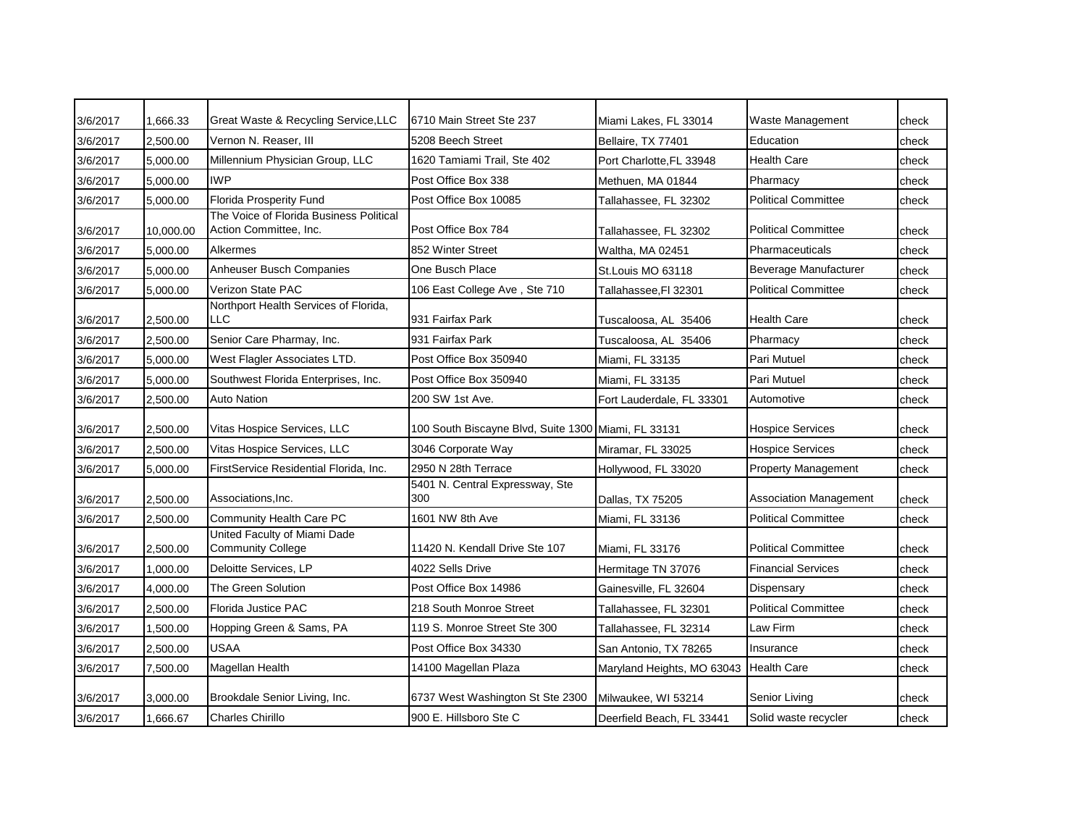| 3/6/2017 | 1,666.33  | Great Waste & Recycling Service, LLC                              | 6710 Main Street Ste 237                            | Miami Lakes, FL 33014      | Waste Management              | check |
|----------|-----------|-------------------------------------------------------------------|-----------------------------------------------------|----------------------------|-------------------------------|-------|
| 3/6/2017 | 2,500.00  | Vernon N. Reaser. III                                             | 5208 Beech Street                                   | Bellaire, TX 77401         | Education                     | check |
| 3/6/2017 | 5.000.00  | Millennium Physician Group, LLC                                   | 1620 Tamiami Trail, Ste 402                         | Port Charlotte.FL 33948    | <b>Health Care</b>            | check |
| 3/6/2017 | 5,000.00  | <b>IWP</b>                                                        | Post Office Box 338                                 | Methuen, MA 01844          | Pharmacy                      | check |
| 3/6/2017 | 5,000.00  | <b>Florida Prosperity Fund</b>                                    | Post Office Box 10085                               | Tallahassee, FL 32302      | <b>Political Committee</b>    | check |
| 3/6/2017 | 10,000.00 | The Voice of Florida Business Political<br>Action Committee, Inc. | Post Office Box 784                                 | Tallahassee, FL 32302      | <b>Political Committee</b>    | check |
| 3/6/2017 | 5,000.00  | Alkermes                                                          | 852 Winter Street                                   | Waltha, MA 02451           | Pharmaceuticals               | check |
| 3/6/2017 | 5,000.00  | Anheuser Busch Companies                                          | One Busch Place                                     | St.Louis MO 63118          | Beverage Manufacturer         | check |
| 3/6/2017 | 5,000.00  | Verizon State PAC                                                 | 106 East College Ave, Ste 710                       | Tallahassee, FI 32301      | <b>Political Committee</b>    | check |
| 3/6/2017 | 2,500.00  | Northport Health Services of Florida,<br><b>LLC</b>               | 931 Fairfax Park                                    | Tuscaloosa, AL  35406      | <b>Health Care</b>            | check |
| 3/6/2017 | 2,500.00  | Senior Care Pharmay, Inc.                                         | 931 Fairfax Park                                    | Tuscaloosa, AL 35406       | Pharmacy                      | check |
| 3/6/2017 | 5,000.00  | West Flagler Associates LTD.                                      | Post Office Box 350940                              | Miami, FL 33135            | Pari Mutuel                   | check |
| 3/6/2017 | 5,000.00  | Southwest Florida Enterprises, Inc.                               | Post Office Box 350940                              | Miami, FL 33135            | Pari Mutuel                   | check |
| 3/6/2017 | 2,500.00  | <b>Auto Nation</b>                                                | 200 SW 1st Ave.                                     | Fort Lauderdale, FL 33301  | Automotive                    | check |
| 3/6/2017 | 2.500.00  | Vitas Hospice Services, LLC                                       | 100 South Biscayne Blvd, Suite 1300 Miami, FL 33131 |                            | <b>Hospice Services</b>       | check |
| 3/6/2017 | 2,500.00  | Vitas Hospice Services, LLC                                       | 3046 Corporate Way                                  | Miramar, FL 33025          | <b>Hospice Services</b>       | check |
| 3/6/2017 | 5,000.00  | FirstService Residential Florida, Inc.                            | 2950 N 28th Terrace                                 | Hollywood, FL 33020        | <b>Property Management</b>    | check |
| 3/6/2017 | 2,500.00  | Associations, Inc.                                                | 5401 N. Central Expressway, Ste<br>300              | Dallas, TX 75205           | <b>Association Management</b> | check |
| 3/6/2017 | 2,500.00  | Community Health Care PC                                          | 1601 NW 8th Ave                                     | Miami, FL 33136            | <b>Political Committee</b>    | check |
| 3/6/2017 | 2,500.00  | United Faculty of Miami Dade<br><b>Community College</b>          | 11420 N. Kendall Drive Ste 107                      | Miami, FL 33176            | <b>Political Committee</b>    | check |
| 3/6/2017 | 1,000.00  | Deloitte Services, LP                                             | 4022 Sells Drive                                    | Hermitage TN 37076         | <b>Financial Services</b>     | check |
| 3/6/2017 | 4,000.00  | The Green Solution                                                | Post Office Box 14986                               | Gainesville, FL 32604      | Dispensary                    | check |
| 3/6/2017 | 2,500.00  | Florida Justice PAC                                               | 218 South Monroe Street                             | Tallahassee, FL 32301      | <b>Political Committee</b>    | check |
| 3/6/2017 | 1,500.00  | Hopping Green & Sams, PA                                          | 119 S. Monroe Street Ste 300                        | Tallahassee, FL 32314      | Law Firm                      | check |
| 3/6/2017 | 2.500.00  | <b>USAA</b>                                                       | Post Office Box 34330                               | San Antonio, TX 78265      | Insurance                     | check |
| 3/6/2017 | 7,500.00  | Magellan Health                                                   | 14100 Magellan Plaza                                | Maryland Heights, MO 63043 | <b>Health Care</b>            | check |
| 3/6/2017 | 3,000.00  | Brookdale Senior Living, Inc.                                     | 6737 West Washington St Ste 2300                    | Milwaukee, WI 53214        | Senior Living                 | check |
| 3/6/2017 | 1,666.67  | <b>Charles Chirillo</b>                                           | 900 E. Hillsboro Ste C                              | Deerfield Beach, FL 33441  | Solid waste recycler          | check |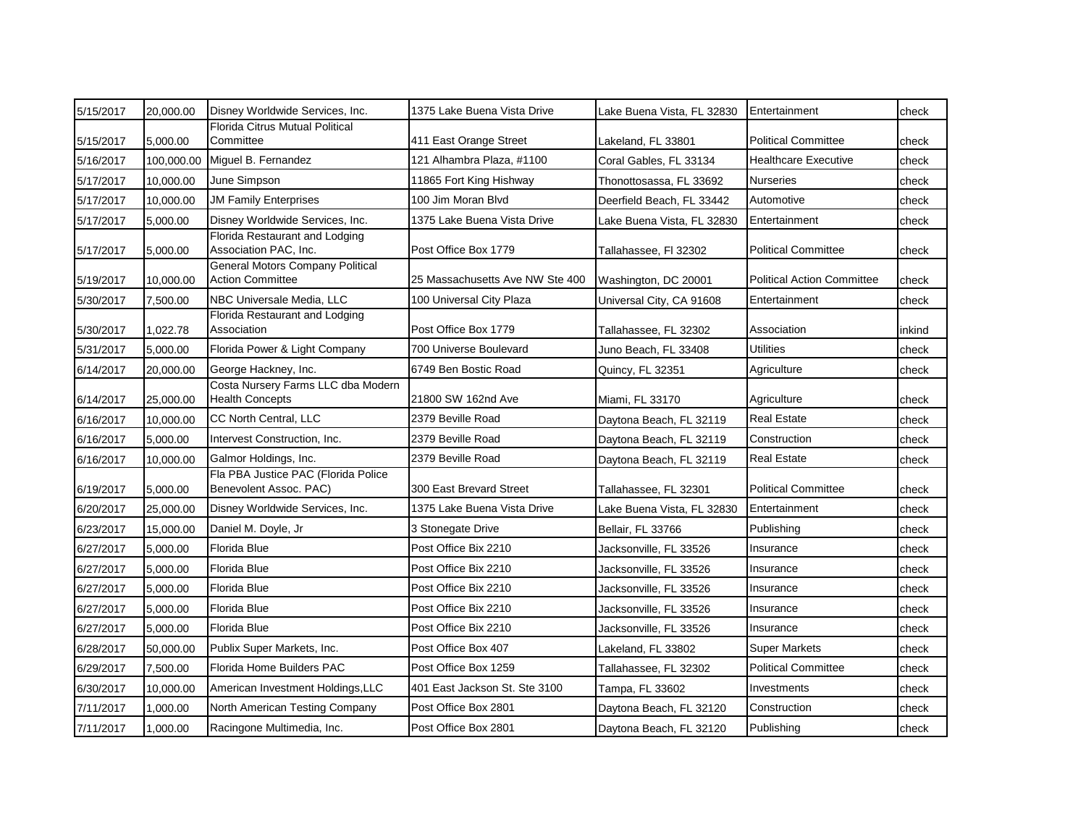| 5/15/2017 | 20,000.00  | Disney Worldwide Services, Inc.                                    | 1375 Lake Buena Vista Drive     | Lake Buena Vista, FL 32830 | Entertainment                     | check  |
|-----------|------------|--------------------------------------------------------------------|---------------------------------|----------------------------|-----------------------------------|--------|
| 5/15/2017 | 5,000.00   | Florida Citrus Mutual Political<br>Committee                       | 411 East Orange Street          | Lakeland, FL 33801         | <b>Political Committee</b>        | check  |
| 5/16/2017 | 100,000.00 | Miguel B. Fernandez                                                | 121 Alhambra Plaza, #1100       | Coral Gables, FL 33134     | Healthcare Executive              | check  |
| 5/17/2017 | 10,000.00  | June Simpson                                                       | 11865 Fort King Hishway         | Thonottosassa, FL 33692    | <b>Nurseries</b>                  | check  |
| 5/17/2017 | 10,000.00  | <b>JM Family Enterprises</b>                                       | 100 Jim Moran Blvd              | Deerfield Beach, FL 33442  | Automotive                        | check  |
| 5/17/2017 | 5,000.00   | Disney Worldwide Services, Inc.                                    | 1375 Lake Buena Vista Drive     | Lake Buena Vista, FL 32830 | Entertainment                     | check  |
| 5/17/2017 | 5,000.00   | Florida Restaurant and Lodging<br>Association PAC, Inc.            | Post Office Box 1779            | Tallahassee, FI 32302      | <b>Political Committee</b>        | check  |
| 5/19/2017 | 10,000.00  | <b>General Motors Company Political</b><br><b>Action Committee</b> | 25 Massachusetts Ave NW Ste 400 | Washington, DC 20001       | <b>Political Action Committee</b> | check  |
| 5/30/2017 | 7,500.00   | NBC Universale Media, LLC                                          | 100 Universal City Plaza        | Universal City, CA 91608   | Entertainment                     | check  |
| 5/30/2017 | 1,022.78   | Florida Restaurant and Lodging<br>Association                      | Post Office Box 1779            | Tallahassee, FL 32302      | Association                       | inkind |
| 5/31/2017 | 5,000.00   | Florida Power & Light Company                                      | 700 Universe Boulevard          | Juno Beach, FL 33408       | Utilities                         | check  |
| 6/14/2017 | 20,000.00  | George Hackney, Inc.                                               | 6749 Ben Bostic Road            | Quincy, FL 32351           | Agriculture                       | check  |
| 6/14/2017 | 25,000.00  | Costa Nursery Farms LLC dba Modern<br><b>Health Concepts</b>       | 21800 SW 162nd Ave              | Miami, FL 33170            | Agriculture                       | check  |
| 6/16/2017 | 10,000.00  | CC North Central, LLC                                              | 2379 Beville Road               | Daytona Beach, FL 32119    | <b>Real Estate</b>                | check  |
| 6/16/2017 | 5,000.00   | Intervest Construction, Inc.                                       | 2379 Beville Road               | Daytona Beach, FL 32119    | Construction                      | check  |
| 6/16/2017 | 10,000.00  | Galmor Holdings, Inc.                                              | 2379 Beville Road               | Daytona Beach, FL 32119    | <b>Real Estate</b>                | check  |
| 6/19/2017 | 5,000.00   | Fla PBA Justice PAC (Florida Police<br>Benevolent Assoc. PAC)      | 300 East Brevard Street         | Tallahassee, FL 32301      | <b>Political Committee</b>        | check  |
| 6/20/2017 | 25,000.00  | Disney Worldwide Services, Inc.                                    | 1375 Lake Buena Vista Drive     | Lake Buena Vista, FL 32830 | Entertainment                     | check  |
| 6/23/2017 | 15,000.00  | Daniel M. Doyle, Jr                                                | 3 Stonegate Drive               | Bellair, FL 33766          | Publishing                        | check  |
| 6/27/2017 | 5,000.00   | Florida Blue                                                       | Post Office Bix 2210            | Jacksonville, FL 33526     | Insurance                         | check  |
| 6/27/2017 | 5,000.00   | Florida Blue                                                       | Post Office Bix 2210            | Jacksonville, FL 33526     | Insurance                         | check  |
| 6/27/2017 | 5,000.00   | Florida Blue                                                       | Post Office Bix 2210            | Jacksonville, FL 33526     | Insurance                         | check  |
| 6/27/2017 | 5,000.00   | Florida Blue                                                       | Post Office Bix 2210            | Jacksonville, FL 33526     | Insurance                         | check  |
| 6/27/2017 | 5,000.00   | Florida Blue                                                       | Post Office Bix 2210            | Jacksonville, FL 33526     | Insurance                         | check  |
| 6/28/2017 | 50,000.00  | Publix Super Markets, Inc.                                         | Post Office Box 407             | Lakeland, FL 33802         | <b>Super Markets</b>              | check  |
| 6/29/2017 | 7,500.00   | Florida Home Builders PAC                                          | Post Office Box 1259            | Tallahassee, FL 32302      | <b>Political Committee</b>        | check  |
| 6/30/2017 | 10,000.00  | American Investment Holdings, LLC                                  | 401 East Jackson St. Ste 3100   | Tampa, FL 33602            | Investments                       | check  |
| 7/11/2017 | 1,000.00   | North American Testing Company                                     | Post Office Box 2801            | Daytona Beach, FL 32120    | Construction                      | check  |
| 7/11/2017 | 1,000.00   | Racingone Multimedia, Inc.                                         | Post Office Box 2801            | Daytona Beach, FL 32120    | Publishing                        | check  |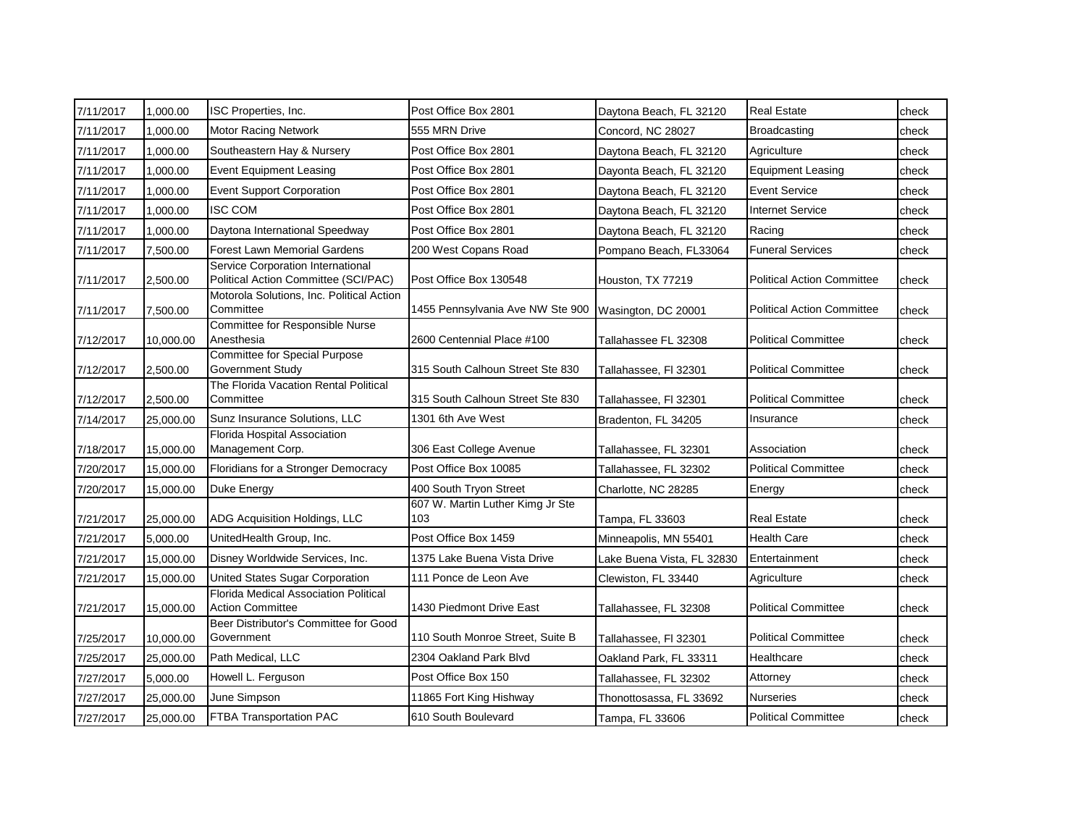| 7/11/2017 | 1,000.00  | ISC Properties, Inc.                                                      | Post Office Box 2801                    | Daytona Beach, FL 32120    | <b>Real Estate</b>                | check |
|-----------|-----------|---------------------------------------------------------------------------|-----------------------------------------|----------------------------|-----------------------------------|-------|
| 7/11/2017 | 1,000.00  | <b>Motor Racing Network</b>                                               | 555 MRN Drive                           | Concord, NC 28027          | <b>Broadcasting</b>               | check |
| 7/11/2017 | 1,000.00  | Southeastern Hay & Nursery                                                | Post Office Box 2801                    | Daytona Beach, FL 32120    | Agriculture                       | check |
| 7/11/2017 | 1,000.00  | <b>Event Equipment Leasing</b>                                            | Post Office Box 2801                    | Dayonta Beach, FL 32120    | <b>Equipment Leasing</b>          | check |
| 7/11/2017 | 1,000.00  | <b>Event Support Corporation</b>                                          | Post Office Box 2801                    | Daytona Beach, FL 32120    | <b>Event Service</b>              | check |
| 7/11/2017 | 1,000.00  | <b>ISC COM</b>                                                            | Post Office Box 2801                    | Daytona Beach, FL 32120    | <b>Internet Service</b>           | check |
| 7/11/2017 | 1,000.00  | Daytona International Speedway                                            | Post Office Box 2801                    | Daytona Beach, FL 32120    | Racing                            | check |
| 7/11/2017 | 7,500.00  | <b>Forest Lawn Memorial Gardens</b>                                       | 200 West Copans Road                    | Pompano Beach, FL33064     | <b>Funeral Services</b>           | check |
| 7/11/2017 | 2,500.00  | Service Corporation International<br>Political Action Committee (SCI/PAC) | Post Office Box 130548                  | Houston, TX 77219          | <b>Political Action Committee</b> | check |
| 7/11/2017 | 7,500.00  | Motorola Solutions, Inc. Political Action<br>Committee                    | 1455 Pennsylvania Ave NW Ste 900        | Wasington, DC 20001        | <b>Political Action Committee</b> | check |
| 7/12/2017 | 10,000.00 | Committee for Responsible Nurse<br>Anesthesia                             | 2600 Centennial Place #100              | Tallahassee FL 32308       | <b>Political Committee</b>        | check |
| 7/12/2017 | 2,500.00  | Committee for Special Purpose<br>Government Study                         | 315 South Calhoun Street Ste 830        | Tallahassee, Fl 32301      | <b>Political Committee</b>        | check |
| 7/12/2017 | 2,500.00  | The Florida Vacation Rental Political<br>Committee                        | 315 South Calhoun Street Ste 830        | Tallahassee, Fl 32301      | <b>Political Committee</b>        | check |
| 7/14/2017 | 25,000.00 | Sunz Insurance Solutions, LLC                                             | 1301 6th Ave West                       | Bradenton, FL 34205        | Insurance                         | check |
| 7/18/2017 | 15,000.00 | Florida Hospital Association<br>Management Corp.                          | 306 East College Avenue                 | Tallahassee, FL 32301      | Association                       | check |
| 7/20/2017 | 15,000.00 | Floridians for a Stronger Democracy                                       | Post Office Box 10085                   | Tallahassee, FL 32302      | <b>Political Committee</b>        | check |
| 7/20/2017 | 15,000.00 | Duke Energy                                                               | 400 South Tryon Street                  | Charlotte, NC 28285        | Energy                            | check |
| 7/21/2017 | 25,000.00 | ADG Acquisition Holdings, LLC                                             | 607 W. Martin Luther Kimg Jr Ste<br>103 | Tampa, FL 33603            | Real Estate                       | check |
| 7/21/2017 | 5,000.00  | UnitedHealth Group, Inc.                                                  | Post Office Box 1459                    | Minneapolis, MN 55401      | <b>Health Care</b>                | check |
| 7/21/2017 | 15,000.00 | Disney Worldwide Services, Inc.                                           | 1375 Lake Buena Vista Drive             | Lake Buena Vista, FL 32830 | Entertainment                     | check |
| 7/21/2017 | 15,000.00 | United States Sugar Corporation                                           | 111 Ponce de Leon Ave                   | Clewiston, FL 33440        | Agriculture                       | check |
| 7/21/2017 | 15,000.00 | Florida Medical Association Political<br><b>Action Committee</b>          | 1430 Piedmont Drive East                | Tallahassee, FL 32308      | <b>Political Committee</b>        | check |
| 7/25/2017 | 10,000.00 | Beer Distributor's Committee for Good<br>Government                       | 110 South Monroe Street, Suite B        | Tallahassee, Fl 32301      | <b>Political Committee</b>        | check |
| 7/25/2017 | 25,000.00 | Path Medical, LLC                                                         | 2304 Oakland Park Blvd                  | Oakland Park, FL 33311     | Healthcare                        | check |
| 7/27/2017 | 5,000.00  | Howell L. Ferguson                                                        | Post Office Box 150                     | Tallahassee, FL 32302      | Attorney                          | check |
| 7/27/2017 | 25,000.00 | June Simpson                                                              | 11865 Fort King Hishway                 | Thonottosassa, FL 33692    | <b>Nurseries</b>                  | check |
| 7/27/2017 | 25,000.00 | <b>FTBA Transportation PAC</b>                                            | 610 South Boulevard                     | Tampa, FL 33606            | <b>Political Committee</b>        | check |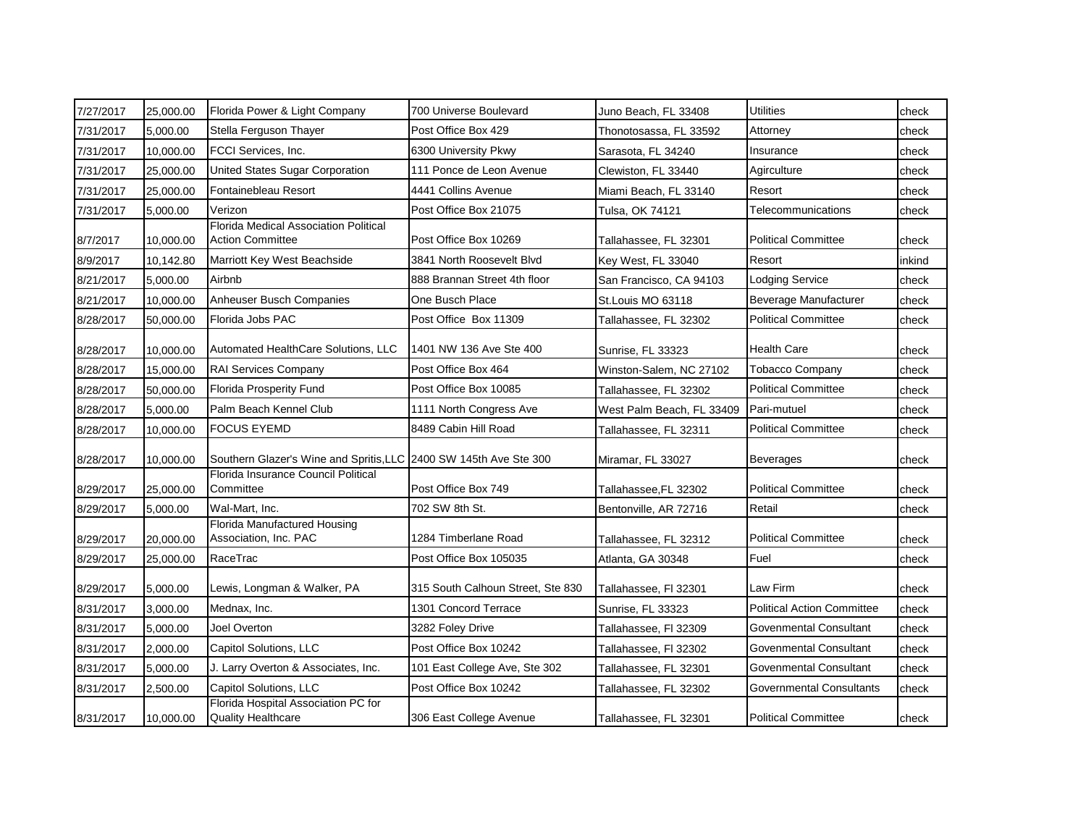| 7/27/2017 | 25,000.00 | Florida Power & Light Company                                     | 700 Universe Boulevard            | Juno Beach, FL 33408      | <b>Utilities</b>                  | check  |
|-----------|-----------|-------------------------------------------------------------------|-----------------------------------|---------------------------|-----------------------------------|--------|
| 7/31/2017 | 5,000.00  | Stella Ferguson Thayer                                            | Post Office Box 429               | Thonotosassa, FL 33592    | Attorney                          | check  |
| 7/31/2017 | 10,000.00 | FCCI Services, Inc.                                               | 6300 University Pkwy              | Sarasota, FL 34240        | Insurance                         | check  |
| 7/31/2017 | 25,000.00 | United States Sugar Corporation                                   | 111 Ponce de Leon Avenue          | Clewiston, FL 33440       | Agirculture                       | check  |
| 7/31/2017 | 25,000.00 | Fontainebleau Resort                                              | 4441 Collins Avenue               | Miami Beach, FL 33140     | Resort                            | check  |
| 7/31/2017 | 5,000.00  | Verizon                                                           | Post Office Box 21075             | Tulsa, OK 74121           | Telecommunications                | check  |
| 8/7/2017  | 10,000.00 | Florida Medical Association Political<br><b>Action Committee</b>  | Post Office Box 10269             | Tallahassee, FL 32301     | <b>Political Committee</b>        | check  |
| 8/9/2017  | 10,142.80 | Marriott Key West Beachside                                       | 3841 North Roosevelt Blvd         | Key West, FL 33040        | Resort                            | inkind |
| 8/21/2017 | 5,000.00  | Airbnb                                                            | 888 Brannan Street 4th floor      | San Francisco, CA 94103   | <b>Lodging Service</b>            | check  |
| 8/21/2017 | 10,000.00 | Anheuser Busch Companies                                          | One Busch Place                   | St.Louis MO 63118         | Beverage Manufacturer             | check  |
| 8/28/2017 | 50,000.00 | Florida Jobs PAC                                                  | Post Office Box 11309             | Tallahassee, FL 32302     | <b>Political Committee</b>        | check  |
| 8/28/2017 | 10,000.00 | Automated HealthCare Solutions, LLC                               | 1401 NW 136 Ave Ste 400           | Sunrise, FL 33323         | <b>Health Care</b>                | check  |
| 8/28/2017 | 15,000.00 | <b>RAI Services Company</b>                                       | Post Office Box 464               | Winston-Salem, NC 27102   | <b>Tobacco Company</b>            | check  |
| 8/28/2017 | 50,000.00 | <b>Florida Prosperity Fund</b>                                    | Post Office Box 10085             | Tallahassee, FL 32302     | <b>Political Committee</b>        | check  |
| 8/28/2017 | 5,000.00  | Palm Beach Kennel Club                                            | 1111 North Congress Ave           | West Palm Beach, FL 33409 | Pari-mutuel                       | check  |
| 8/28/2017 | 10,000.00 | <b>FOCUS EYEMD</b>                                                | 8489 Cabin Hill Road              | Tallahassee, FL 32311     | <b>Political Committee</b>        | check  |
| 8/28/2017 | 10,000.00 | Southern Glazer's Wine and Spritis, LLC 2400 SW 145th Ave Ste 300 |                                   | Miramar, FL 33027         | <b>Beverages</b>                  | check  |
| 8/29/2017 | 25,000.00 | Florida Insurance Council Political<br>Committee                  | Post Office Box 749               | Tallahassee,FL 32302      | <b>Political Committee</b>        | check  |
| 8/29/2017 | 5,000.00  | Wal-Mart, Inc.                                                    | 702 SW 8th St.                    | Bentonville, AR 72716     | Retail                            | check  |
| 8/29/2017 | 20,000.00 | <b>Florida Manufactured Housing</b><br>Association, Inc. PAC      | 1284 Timberlane Road              | Tallahassee, FL 32312     | <b>Political Committee</b>        | check  |
| 8/29/2017 | 25,000.00 | RaceTrac                                                          | Post Office Box 105035            | Atlanta, GA 30348         | Fuel                              | check  |
| 8/29/2017 | 5,000.00  | Lewis, Longman & Walker, PA                                       | 315 South Calhoun Street, Ste 830 | Tallahassee, Fl 32301     | Law Firm                          | check  |
| 8/31/2017 | 3,000.00  | Mednax, Inc.                                                      | 1301 Concord Terrace              | Sunrise, FL 33323         | <b>Political Action Committee</b> | check  |
| 8/31/2017 | 5,000.00  | Joel Overton                                                      | 3282 Foley Drive                  | Tallahassee, Fl 32309     | Govenmental Consultant            | check  |
| 8/31/2017 | 2,000.00  | Capitol Solutions, LLC                                            | Post Office Box 10242             | Tallahassee, FI 32302     | Govenmental Consultant            | check  |
| 8/31/2017 | 5,000.00  | J. Larry Overton & Associates, Inc.                               | 101 East College Ave, Ste 302     | Tallahassee, FL 32301     | Govenmental Consultant            | check  |
| 8/31/2017 | 2,500.00  | Capitol Solutions, LLC                                            | Post Office Box 10242             | Tallahassee, FL 32302     | <b>Governmental Consultants</b>   | check  |
| 8/31/2017 | 10.000.00 | Florida Hospital Association PC for<br><b>Quality Healthcare</b>  | 306 East College Avenue           | Tallahassee, FL 32301     | <b>Political Committee</b>        | check  |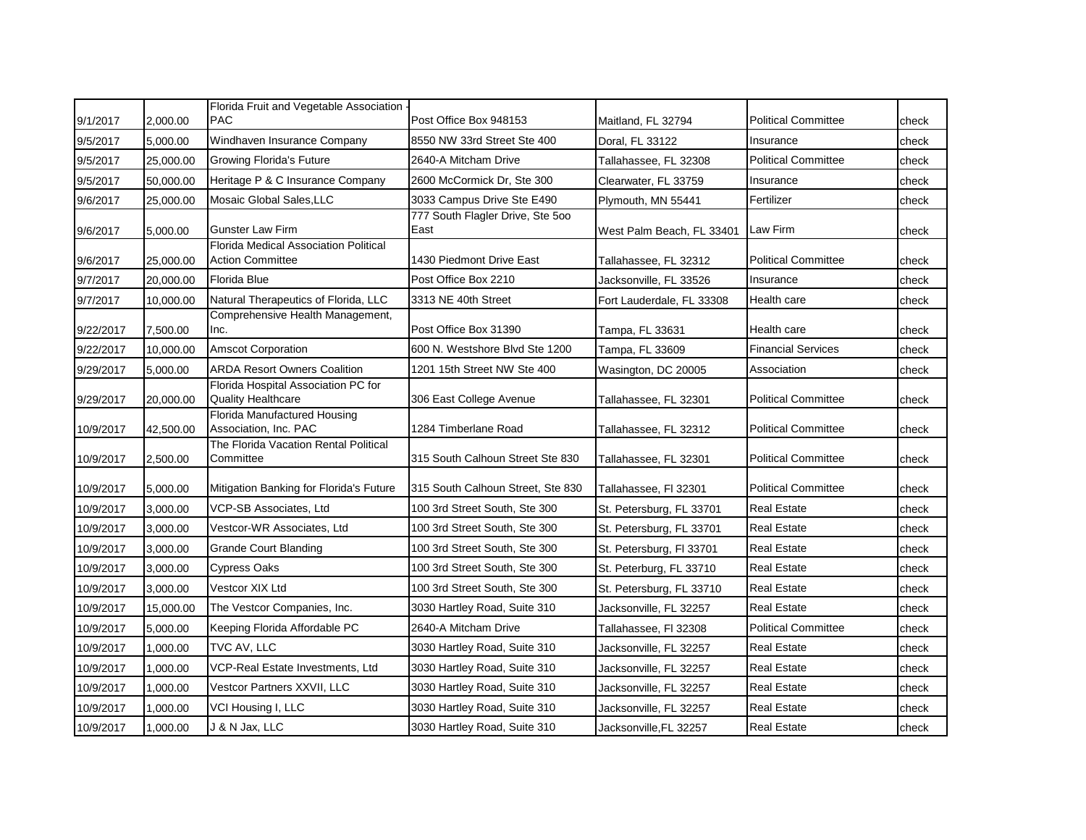|           |           | Florida Fruit and Vegetable Association -                               |                                          |                           |                            |       |
|-----------|-----------|-------------------------------------------------------------------------|------------------------------------------|---------------------------|----------------------------|-------|
| 9/1/2017  | 2,000.00  | <b>PAC</b>                                                              | Post Office Box 948153                   | Maitland, FL 32794        | <b>Political Committee</b> | check |
| 9/5/2017  | 5,000.00  | Windhaven Insurance Company                                             | 8550 NW 33rd Street Ste 400              | Doral, FL 33122           | Insurance                  | check |
| 9/5/2017  | 25,000.00 | <b>Growing Florida's Future</b>                                         | 2640-A Mitcham Drive                     | Tallahassee, FL 32308     | <b>Political Committee</b> | check |
| 9/5/2017  | 50,000.00 | Heritage P & C Insurance Company                                        | 2600 McCormick Dr, Ste 300               | Clearwater, FL 33759      | Insurance                  | check |
| 9/6/2017  | 25,000.00 | Mosaic Global Sales, LLC                                                | 3033 Campus Drive Ste E490               | Plymouth, MN 55441        | Fertilizer                 | check |
| 9/6/2017  | 5,000.00  | <b>Gunster Law Firm</b>                                                 | 777 South Flagler Drive, Ste 500<br>East | West Palm Beach, FL 33401 | Law Firm                   | check |
| 9/6/2017  | 25,000.00 | <b>Florida Medical Association Political</b><br><b>Action Committee</b> | 1430 Piedmont Drive East                 | Tallahassee, FL 32312     | <b>Political Committee</b> | check |
| 9/7/2017  | 20,000.00 | Florida Blue                                                            | Post Office Box 2210                     | Jacksonville, FL 33526    | Insurance                  | check |
| 9/7/2017  | 10,000.00 | Natural Therapeutics of Florida, LLC                                    | 3313 NE 40th Street                      | Fort Lauderdale, FL 33308 | Health care                | check |
| 9/22/2017 | 7,500.00  | Comprehensive Health Management,<br>Inc.                                | Post Office Box 31390                    | Tampa, FL 33631           | Health care                | check |
| 9/22/2017 | 10,000.00 | <b>Amscot Corporation</b>                                               | 600 N. Westshore Blyd Ste 1200           | Tampa, FL 33609           | <b>Financial Services</b>  | check |
| 9/29/2017 | 5,000.00  | <b>ARDA Resort Owners Coalition</b>                                     | 1201 15th Street NW Ste 400              | Wasington, DC 20005       | Association                | check |
| 9/29/2017 | 20,000.00 | Florida Hospital Association PC for<br><b>Quality Healthcare</b>        | 306 East College Avenue                  | Tallahassee, FL 32301     | <b>Political Committee</b> | check |
| 10/9/2017 | 42,500.00 | Florida Manufactured Housing<br>Association, Inc. PAC                   | 1284 Timberlane Road                     | Tallahassee, FL 32312     | <b>Political Committee</b> | check |
| 10/9/2017 | 2,500.00  | The Florida Vacation Rental Political<br>Committee                      | 315 South Calhoun Street Ste 830         | Tallahassee, FL 32301     | <b>Political Committee</b> | check |
| 10/9/2017 | 5,000.00  | Mitigation Banking for Florida's Future                                 | 315 South Calhoun Street, Ste 830        | Tallahassee, FI 32301     | <b>Political Committee</b> | check |
| 10/9/2017 | 3,000.00  | VCP-SB Associates, Ltd                                                  | 100 3rd Street South, Ste 300            | St. Petersburg, FL 33701  | <b>Real Estate</b>         | check |
| 10/9/2017 | 3,000.00  | Vestcor-WR Associates, Ltd                                              | 100 3rd Street South, Ste 300            | St. Petersburg, FL 33701  | <b>Real Estate</b>         | check |
| 10/9/2017 | 3,000.00  | <b>Grande Court Blanding</b>                                            | 100 3rd Street South, Ste 300            | St. Petersburg, FI 33701  | <b>Real Estate</b>         | check |
| 10/9/2017 | 3,000.00  | <b>Cypress Oaks</b>                                                     | 100 3rd Street South, Ste 300            | St. Peterburg, FL 33710   | Real Estate                | check |
| 10/9/2017 | 3,000.00  | Vestcor XIX Ltd                                                         | 100 3rd Street South, Ste 300            | St. Petersburg, FL 33710  | <b>Real Estate</b>         | check |
| 10/9/2017 | 15,000.00 | The Vestcor Companies, Inc.                                             | 3030 Hartley Road, Suite 310             | Jacksonville, FL 32257    | <b>Real Estate</b>         | check |
| 10/9/2017 | 5,000.00  | Keeping Florida Affordable PC                                           | 2640-A Mitcham Drive                     | Tallahassee, FI 32308     | <b>Political Committee</b> | check |
| 10/9/2017 | 1,000.00  | TVC AV, LLC                                                             | 3030 Hartley Road, Suite 310             | Jacksonville, FL 32257    | <b>Real Estate</b>         | check |
| 10/9/2017 | 1,000.00  | VCP-Real Estate Investments, Ltd                                        | 3030 Hartley Road, Suite 310             | Jacksonville, FL 32257    | <b>Real Estate</b>         | check |
| 10/9/2017 | 1,000.00  | Vestcor Partners XXVII, LLC                                             | 3030 Hartley Road, Suite 310             | Jacksonville, FL 32257    | <b>Real Estate</b>         | check |
| 10/9/2017 | 1,000.00  | VCI Housing I, LLC                                                      | 3030 Hartley Road, Suite 310             | Jacksonville, FL 32257    | <b>Real Estate</b>         | check |
| 10/9/2017 | 1,000.00  | J & N Jax, LLC                                                          | 3030 Hartley Road, Suite 310             | Jacksonville, FL 32257    | <b>Real Estate</b>         | check |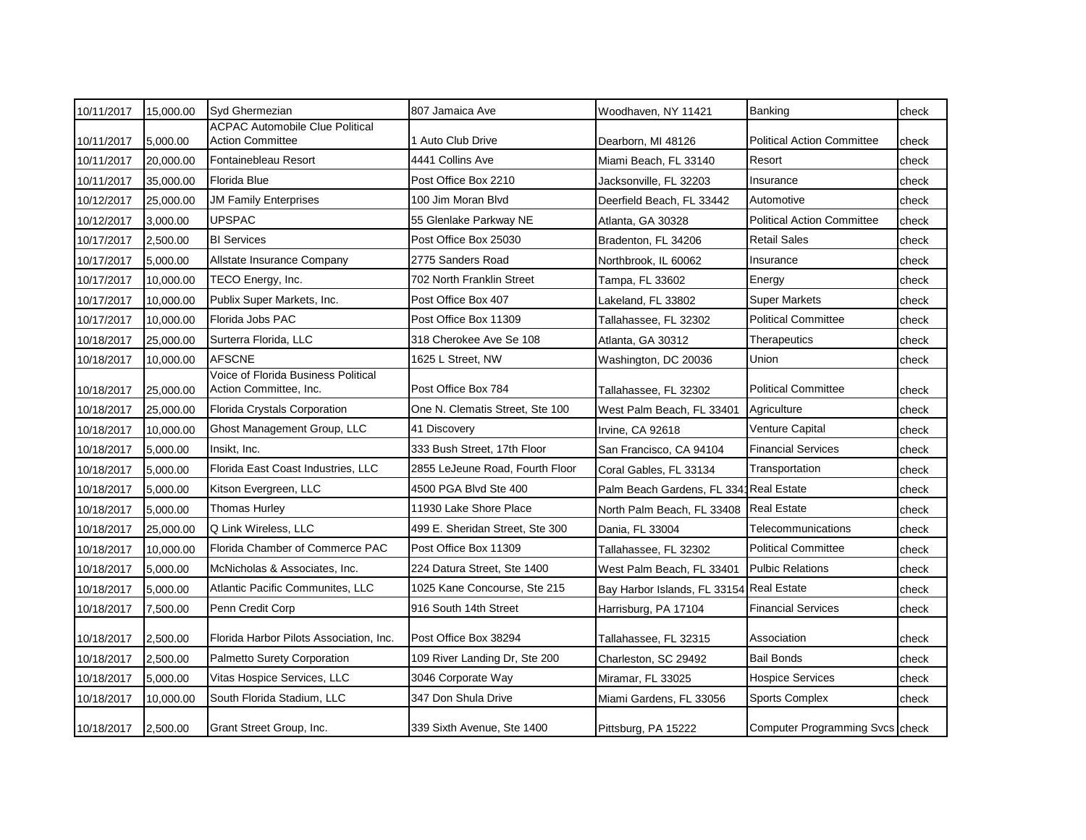| 10/11/2017 | 15,000.00 | Syd Ghermezian                                                | 807 Jamaica Ave                       | Woodhaven, NY 11421                    | Banking                                | check |
|------------|-----------|---------------------------------------------------------------|---------------------------------------|----------------------------------------|----------------------------------------|-------|
|            |           | <b>ACPAC Automobile Clue Political</b>                        |                                       |                                        | <b>Political Action Committee</b>      |       |
| 10/11/2017 | 5,000.00  | <b>Action Committee</b><br>Fontainebleau Resort               | 1 Auto Club Drive<br>4441 Collins Ave | Dearborn, MI 48126                     |                                        | check |
| 10/11/2017 | 20,000.00 |                                                               |                                       | Miami Beach, FL 33140                  | Resort                                 | check |
| 10/11/2017 | 35,000.00 | Florida Blue                                                  | Post Office Box 2210                  | Jacksonville, FL 32203                 | Insurance                              | check |
| 10/12/2017 | 25,000.00 | <b>JM Family Enterprises</b>                                  | 100 Jim Moran Blyd                    | Deerfield Beach, FL 33442              | Automotive                             | check |
| 10/12/2017 | 3,000.00  | <b>UPSPAC</b>                                                 | 55 Glenlake Parkway NE                | Atlanta, GA 30328                      | <b>Political Action Committee</b>      | check |
| 10/17/2017 | 2,500.00  | <b>BI</b> Services                                            | Post Office Box 25030                 | Bradenton, FL 34206                    | <b>Retail Sales</b>                    | check |
| 10/17/2017 | 5,000.00  | Allstate Insurance Company                                    | 2775 Sanders Road                     | Northbrook, IL 60062                   | Insurance                              | check |
| 10/17/2017 | 10,000.00 | TECO Energy, Inc.                                             | 702 North Franklin Street             | Tampa, FL 33602                        | Energy                                 | check |
| 10/17/2017 | 10,000.00 | Publix Super Markets, Inc.                                    | Post Office Box 407                   | Lakeland, FL 33802                     | <b>Super Markets</b>                   | check |
| 10/17/2017 | 10,000.00 | Florida Jobs PAC                                              | Post Office Box 11309                 | Tallahassee, FL 32302                  | <b>Political Committee</b>             | check |
| 10/18/2017 | 25,000.00 | Surterra Florida, LLC                                         | 318 Cherokee Ave Se 108               | Atlanta, GA 30312                      | Therapeutics                           | check |
| 10/18/2017 | 10,000.00 | <b>AFSCNE</b>                                                 | 1625 L Street, NW                     | Washington, DC 20036                   | Union                                  | check |
| 10/18/2017 | 25,000.00 | Voice of Florida Business Political<br>Action Committee, Inc. | Post Office Box 784                   | Tallahassee, FL 32302                  | <b>Political Committee</b>             | check |
| 10/18/2017 | 25,000.00 | Florida Crystals Corporation                                  | One N. Clematis Street, Ste 100       | West Palm Beach, FL 33401              | Agriculture                            | check |
| 10/18/2017 | 10,000.00 | Ghost Management Group, LLC                                   | 41 Discovery                          | Irvine, CA 92618                       | Venture Capital                        | check |
| 10/18/2017 | 5,000.00  | Insikt, Inc.                                                  | 333 Bush Street, 17th Floor           | San Francisco, CA 94104                | <b>Financial Services</b>              | check |
| 10/18/2017 | 5,000.00  | Florida East Coast Industries, LLC                            | 2855 LeJeune Road, Fourth Floor       | Coral Gables, FL 33134                 | Transportation                         | check |
| 10/18/2017 | 5,000.00  | Kitson Evergreen, LLC                                         | 4500 PGA Blvd Ste 400                 | Palm Beach Gardens, FL 3341Real Estate |                                        | check |
| 10/18/2017 | 5,000.00  | <b>Thomas Hurley</b>                                          | 11930 Lake Shore Place                | North Palm Beach, FL 33408             | <b>Real Estate</b>                     | check |
| 10/18/2017 | 25,000.00 | Q Link Wireless, LLC                                          | 499 E. Sheridan Street, Ste 300       | Dania, FL 33004                        | Telecommunications                     | check |
| 10/18/2017 | 10,000.00 | Florida Chamber of Commerce PAC                               | Post Office Box 11309                 | Tallahassee, FL 32302                  | <b>Political Committee</b>             | check |
| 10/18/2017 | 5,000.00  | McNicholas & Associates, Inc.                                 | 224 Datura Street, Ste 1400           | West Palm Beach, FL 33401              | <b>Pulbic Relations</b>                | check |
| 10/18/2017 | 5,000.00  | Atlantic Pacific Communites, LLC                              | 1025 Kane Concourse, Ste 215          | Bay Harbor Islands, FL 33154           | <b>Real Estate</b>                     | check |
| 10/18/2017 | 7,500.00  | Penn Credit Corp                                              | 916 South 14th Street                 | Harrisburg, PA 17104                   | <b>Financial Services</b>              | check |
| 10/18/2017 | 2,500.00  | Florida Harbor Pilots Association, Inc.                       | Post Office Box 38294                 | Tallahassee, FL 32315                  | Association                            | check |
| 10/18/2017 | 2,500.00  | Palmetto Surety Corporation                                   | 109 River Landing Dr, Ste 200         | Charleston, SC 29492                   | <b>Bail Bonds</b>                      | check |
| 10/18/2017 | 5,000.00  | Vitas Hospice Services, LLC                                   | 3046 Corporate Way                    | Miramar, FL 33025                      | <b>Hospice Services</b>                | check |
| 10/18/2017 | 10,000.00 | South Florida Stadium, LLC                                    | 347 Don Shula Drive                   | Miami Gardens, FL 33056                | Sports Complex                         | check |
| 10/18/2017 | 2,500.00  | Grant Street Group, Inc.                                      | 339 Sixth Avenue, Ste 1400            | Pittsburg, PA 15222                    | <b>Computer Programming Svcs check</b> |       |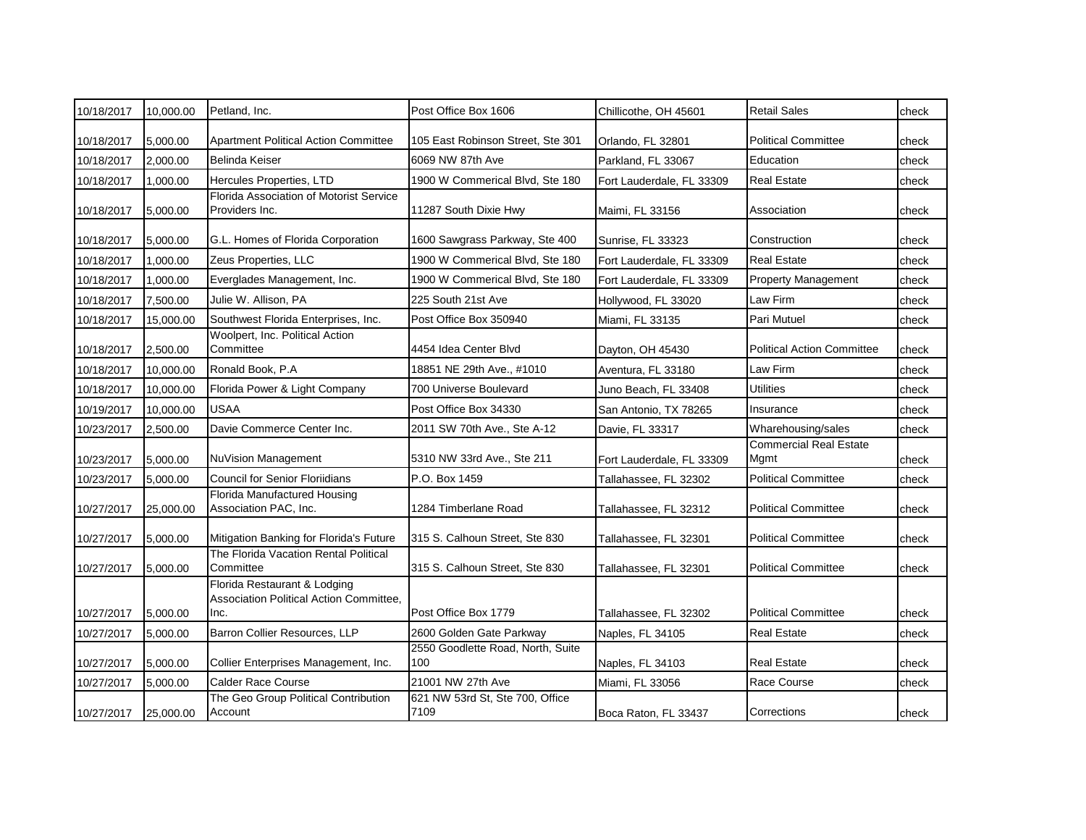| 10/18/2017 | 10,000.00 | Petland, Inc.                                                                   | Post Office Box 1606                     | Chillicothe, OH 45601     | <b>Retail Sales</b>                   | check |
|------------|-----------|---------------------------------------------------------------------------------|------------------------------------------|---------------------------|---------------------------------------|-------|
| 10/18/2017 | 5,000.00  | <b>Apartment Political Action Committee</b>                                     | 105 East Robinson Street, Ste 301        | Orlando, FL 32801         | <b>Political Committee</b>            | check |
| 10/18/2017 | 2,000.00  | <b>Belinda Keiser</b>                                                           | 6069 NW 87th Ave                         | Parkland, FL 33067        | Education                             | check |
| 10/18/2017 | 1,000.00  | Hercules Properties, LTD                                                        | 1900 W Commerical Blvd, Ste 180          | Fort Lauderdale, FL 33309 | <b>Real Estate</b>                    | check |
| 10/18/2017 | 5,000.00  | Florida Association of Motorist Service<br>Providers Inc.                       | 11287 South Dixie Hwy                    | Maimi, FL 33156           | Association                           | check |
| 10/18/2017 | 5,000.00  | G.L. Homes of Florida Corporation                                               | 1600 Sawgrass Parkway, Ste 400           | Sunrise, FL 33323         | Construction                          | check |
| 10/18/2017 | 1,000.00  | Zeus Properties, LLC                                                            | 1900 W Commerical Blvd, Ste 180          | Fort Lauderdale, FL 33309 | <b>Real Estate</b>                    | check |
| 10/18/2017 | 1,000.00  | Everglades Management, Inc.                                                     | 1900 W Commerical Blvd, Ste 180          | Fort Lauderdale, FL 33309 | <b>Property Management</b>            | check |
| 10/18/2017 | 7,500.00  | Julie W. Allison, PA                                                            | 225 South 21st Ave                       | Hollywood, FL 33020       | Law Firm                              | check |
| 10/18/2017 | 15,000.00 | Southwest Florida Enterprises, Inc.                                             | Post Office Box 350940                   | Miami, FL 33135           | Pari Mutuel                           | check |
| 10/18/2017 | 2,500.00  | Woolpert, Inc. Political Action<br>Committee                                    | 4454 Idea Center Blvd                    | Dayton, OH 45430          | <b>Political Action Committee</b>     | check |
| 10/18/2017 | 10,000.00 | Ronald Book, P.A                                                                | 18851 NE 29th Ave., #1010                | Aventura, FL 33180        | Law Firm                              | check |
| 10/18/2017 | 10,000.00 | Florida Power & Light Company                                                   | 700 Universe Boulevard                   | Juno Beach, FL 33408      | <b>Utilities</b>                      | check |
| 10/19/2017 | 10,000.00 | <b>USAA</b>                                                                     | Post Office Box 34330                    | San Antonio, TX 78265     | Insurance                             | check |
| 10/23/2017 | 2,500.00  | Davie Commerce Center Inc.                                                      | 2011 SW 70th Ave., Ste A-12              | Davie, FL 33317           | Wharehousing/sales                    | check |
| 10/23/2017 | 5,000.00  | NuVision Management                                                             | 5310 NW 33rd Ave., Ste 211               | Fort Lauderdale, FL 33309 | <b>Commercial Real Estate</b><br>Mgmt | check |
| 10/23/2017 | 5,000.00  | <b>Council for Senior Floriidians</b>                                           | P.O. Box 1459                            | Tallahassee, FL 32302     | <b>Political Committee</b>            | check |
| 10/27/2017 | 25,000.00 | Florida Manufactured Housing<br>Association PAC, Inc.                           | 1284 Timberlane Road                     | Tallahassee, FL 32312     | <b>Political Committee</b>            | check |
| 10/27/2017 | 5,000.00  | Mitigation Banking for Florida's Future                                         | 315 S. Calhoun Street, Ste 830           | Tallahassee, FL 32301     | <b>Political Committee</b>            | check |
| 10/27/2017 | 5,000.00  | The Florida Vacation Rental Political<br>Committee                              | 315 S. Calhoun Street, Ste 830           | Tallahassee, FL 32301     | <b>Political Committee</b>            | check |
| 10/27/2017 | 5,000.00  | Florida Restaurant & Lodging<br>Association Political Action Committee,<br>Inc. | Post Office Box 1779                     | Tallahassee, FL 32302     | <b>Political Committee</b>            | check |
| 10/27/2017 | 5.000.00  | Barron Collier Resources, LLP                                                   | 2600 Golden Gate Parkway                 | Naples, FL 34105          | Real Estate                           | check |
| 10/27/2017 | 5,000.00  | Collier Enterprises Management, Inc.                                            | 2550 Goodlette Road, North, Suite<br>100 | Naples, FL 34103          | <b>Real Estate</b>                    | check |
| 10/27/2017 | 5,000.00  | <b>Calder Race Course</b>                                                       | 21001 NW 27th Ave                        | Miami, FL 33056           | Race Course                           | check |
| 10/27/2017 | 25,000.00 | The Geo Group Political Contribution<br>Account                                 | 621 NW 53rd St, Ste 700, Office<br>7109  | Boca Raton, FL 33437      | Corrections                           | check |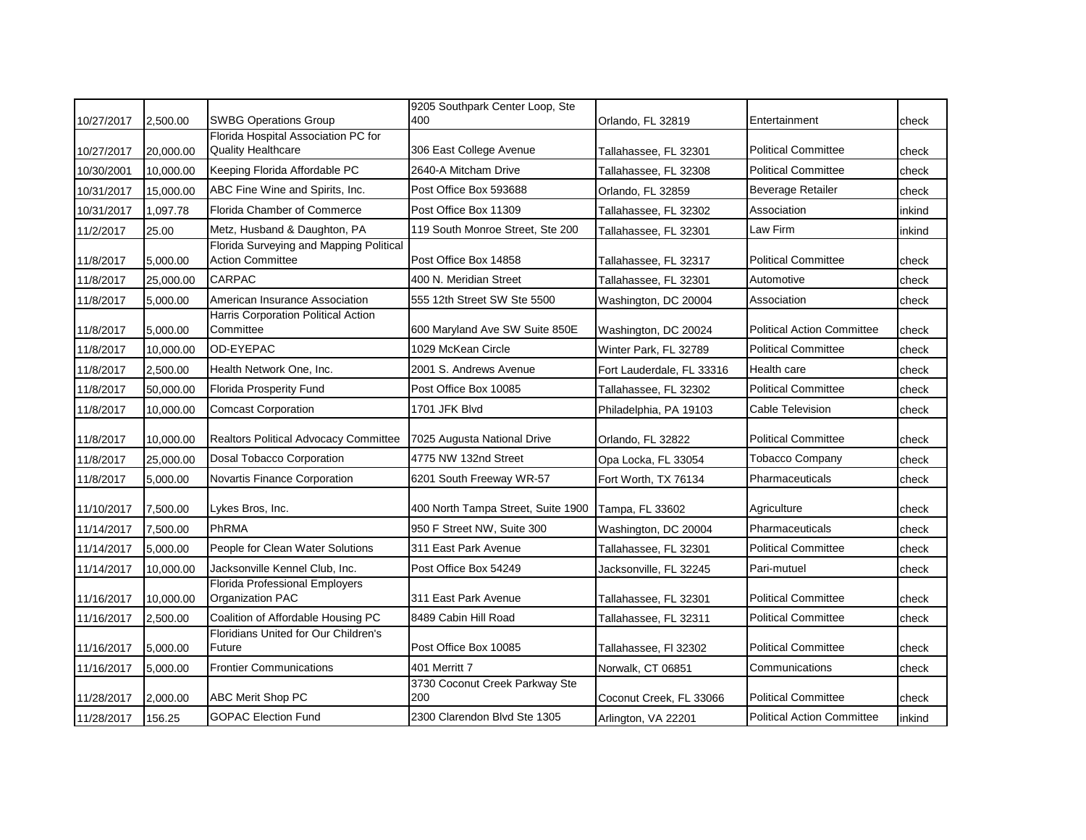| 10/27/2017 | 2,500.00  | <b>SWBG Operations Group</b>                                       | 9205 Southpark Center Loop, Ste<br>400 | Orlando, FL 32819         | Entertainment                     | check  |
|------------|-----------|--------------------------------------------------------------------|----------------------------------------|---------------------------|-----------------------------------|--------|
| 10/27/2017 | 20,000.00 | Florida Hospital Association PC for<br><b>Quality Healthcare</b>   | 306 East College Avenue                | Tallahassee, FL 32301     | <b>Political Committee</b>        | check  |
| 10/30/2001 | 10,000.00 | Keeping Florida Affordable PC                                      | 2640-A Mitcham Drive                   | Tallahassee, FL 32308     | <b>Political Committee</b>        | check  |
| 10/31/2017 | 15,000.00 | ABC Fine Wine and Spirits, Inc.                                    | Post Office Box 593688                 | Orlando, FL 32859         | <b>Beverage Retailer</b>          | check  |
| 10/31/2017 | 1,097.78  | Florida Chamber of Commerce                                        | Post Office Box 11309                  | Tallahassee, FL 32302     | Association                       | inkind |
| 11/2/2017  | 25.00     | Metz, Husband & Daughton, PA                                       | 119 South Monroe Street, Ste 200       | Tallahassee, FL 32301     | Law Firm                          | inkind |
| 11/8/2017  | 5,000.00  | Florida Surveying and Mapping Political<br><b>Action Committee</b> | Post Office Box 14858                  | Tallahassee, FL 32317     | <b>Political Committee</b>        | check  |
| 11/8/2017  | 25,000.00 | <b>CARPAC</b>                                                      | 400 N. Meridian Street                 | Tallahassee, FL 32301     | Automotive                        | check  |
| 11/8/2017  | 5,000.00  | American Insurance Association                                     | 555 12th Street SW Ste 5500            | Washington, DC 20004      | Association                       | check  |
| 11/8/2017  | 5,000.00  | Harris Corporation Political Action<br>Committee                   | 600 Maryland Ave SW Suite 850E         | Washington, DC 20024      | <b>Political Action Committee</b> | check  |
| 11/8/2017  | 10,000.00 | OD-EYEPAC                                                          | 1029 McKean Circle                     | Winter Park, FL 32789     | <b>Political Committee</b>        | check  |
| 11/8/2017  | 2,500.00  | Health Network One, Inc.                                           | 2001 S. Andrews Avenue                 | Fort Lauderdale, FL 33316 | Health care                       | check  |
| 11/8/2017  | 50,000.00 | <b>Florida Prosperity Fund</b>                                     | Post Office Box 10085                  | Tallahassee, FL 32302     | <b>Political Committee</b>        | check  |
| 11/8/2017  | 10,000.00 | <b>Comcast Corporation</b>                                         | 1701 JFK Blvd                          | Philadelphia, PA 19103    | Cable Television                  | check  |
| 11/8/2017  | 10,000.00 | <b>Realtors Political Advocacy Committee</b>                       | 7025 Augusta National Drive            | Orlando, FL 32822         | <b>Political Committee</b>        | check  |
| 11/8/2017  | 25,000.00 | <b>Dosal Tobacco Corporation</b>                                   | 4775 NW 132nd Street                   | Opa Locka, FL 33054       | <b>Tobacco Company</b>            | check  |
| 11/8/2017  | 5,000.00  | Novartis Finance Corporation                                       | 6201 South Freeway WR-57               | Fort Worth, TX 76134      | Pharmaceuticals                   | check  |
| 11/10/2017 | 7,500.00  | Lykes Bros, Inc.                                                   | 400 North Tampa Street, Suite 1900     | Tampa, FL 33602           | Agriculture                       | check  |
| 11/14/2017 | 7,500.00  | PhRMA                                                              | 950 F Street NW, Suite 300             | Washington, DC 20004      | Pharmaceuticals                   | check  |
| 11/14/2017 | 5,000.00  | People for Clean Water Solutions                                   | 311 East Park Avenue                   | Tallahassee, FL 32301     | <b>Political Committee</b>        | check  |
| 11/14/2017 | 10,000.00 | Jacksonville Kennel Club, Inc.                                     | Post Office Box 54249                  | Jacksonville, FL 32245    | Pari-mutuel                       | check  |
| 11/16/2017 | 10,000.00 | Florida Professional Employers<br>Organization PAC                 | 311 East Park Avenue                   | Tallahassee, FL 32301     | <b>Political Committee</b>        | check  |
| 11/16/2017 | 2,500.00  | Coalition of Affordable Housing PC                                 | 8489 Cabin Hill Road                   | Tallahassee, FL 32311     | <b>Political Committee</b>        | check  |
| 11/16/2017 | 5,000.00  | Floridians United for Our Children's<br>Future                     | Post Office Box 10085                  | Tallahassee, FI 32302     | <b>Political Committee</b>        | check  |
| 11/16/2017 | 5,000.00  | <b>Frontier Communications</b>                                     | 401 Merritt 7                          | Norwalk, CT 06851         | Communications                    | check  |
| 11/28/2017 | 2,000.00  | <b>ABC Merit Shop PC</b>                                           | 3730 Coconut Creek Parkway Ste<br>200  | Coconut Creek, FL 33066   | <b>Political Committee</b>        | check  |
| 11/28/2017 | 156.25    | <b>GOPAC Election Fund</b>                                         | 2300 Clarendon Blvd Ste 1305           | Arlington, VA 22201       | <b>Political Action Committee</b> | inkind |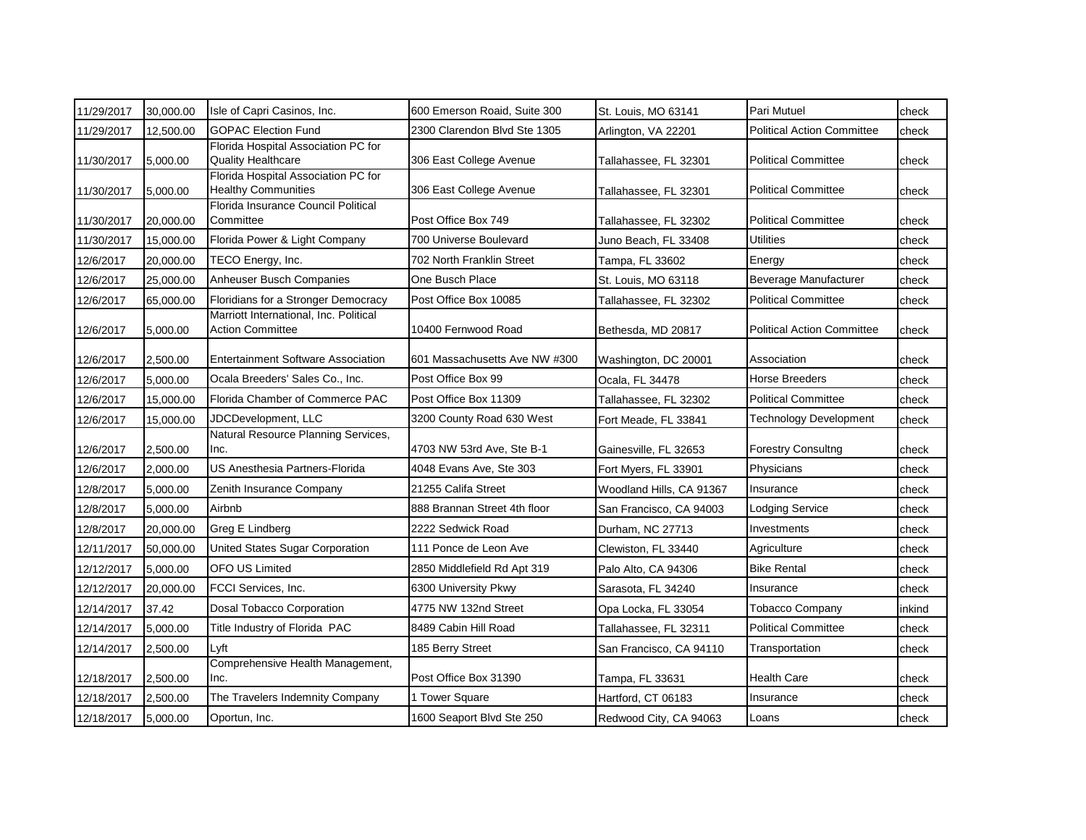| 11/29/2017 | 30,000.00 | Isle of Capri Casinos, Inc.                                       | 600 Emerson Roaid, Suite 300  | St. Louis, MO 63141      | Pari Mutuel                       | check  |
|------------|-----------|-------------------------------------------------------------------|-------------------------------|--------------------------|-----------------------------------|--------|
| 11/29/2017 | 12,500.00 | <b>GOPAC Election Fund</b>                                        | 2300 Clarendon Blvd Ste 1305  | Arlington, VA 22201      | <b>Political Action Committee</b> | check  |
| 11/30/2017 | 5,000.00  | Florida Hospital Association PC for<br><b>Quality Healthcare</b>  | 306 East College Avenue       | Tallahassee, FL 32301    | <b>Political Committee</b>        | check  |
| 11/30/2017 | 5,000.00  | Florida Hospital Association PC for<br><b>Healthy Communities</b> | 306 East College Avenue       | Tallahassee, FL 32301    | <b>Political Committee</b>        | check  |
| 11/30/2017 | 20,000.00 | Florida Insurance Council Political<br>Committee                  | Post Office Box 749           | Tallahassee, FL 32302    | <b>Political Committee</b>        | check  |
| 11/30/2017 | 15,000.00 | Florida Power & Light Company                                     | 700 Universe Boulevard        | Juno Beach, FL 33408     | Utilities                         | check  |
| 12/6/2017  | 20,000.00 | TECO Energy, Inc.                                                 | 702 North Franklin Street     | Tampa, FL 33602          | Energy                            | check  |
| 12/6/2017  | 25,000.00 | <b>Anheuser Busch Companies</b>                                   | One Busch Place               | St. Louis, MO 63118      | Beverage Manufacturer             | check  |
| 12/6/2017  | 65,000.00 | Floridians for a Stronger Democracy                               | Post Office Box 10085         | Tallahassee, FL 32302    | <b>Political Committee</b>        | check  |
| 12/6/2017  | 5,000.00  | Marriott International, Inc. Political<br><b>Action Committee</b> | 10400 Fernwood Road           | Bethesda, MD 20817       | <b>Political Action Committee</b> | check  |
| 12/6/2017  | 2,500.00  | <b>Entertainment Software Association</b>                         | 601 Massachusetts Ave NW #300 | Washington, DC 20001     | Association                       | check  |
| 12/6/2017  | 5,000.00  | Ocala Breeders' Sales Co., Inc.                                   | Post Office Box 99            | Ocala, FL 34478          | Horse Breeders                    | check  |
| 12/6/2017  | 15,000.00 | Florida Chamber of Commerce PAC                                   | Post Office Box 11309         | Tallahassee, FL 32302    | <b>Political Committee</b>        | check  |
| 12/6/2017  | 15,000.00 | JDCDevelopment, LLC                                               | 3200 County Road 630 West     | Fort Meade, FL 33841     | <b>Technology Development</b>     | check  |
| 12/6/2017  | 2,500.00  | Natural Resource Planning Services,<br>Inc.                       | 4703 NW 53rd Ave, Ste B-1     | Gainesville, FL 32653    | <b>Forestry Consultng</b>         | check  |
| 12/6/2017  | 2,000.00  | US Anesthesia Partners-Florida                                    | 4048 Evans Ave, Ste 303       | Fort Myers, FL 33901     | Physicians                        | check  |
| 12/8/2017  | 5,000.00  | Zenith Insurance Company                                          | 21255 Califa Street           | Woodland Hills, CA 91367 | Insurance                         | check  |
| 12/8/2017  | 5,000.00  | Airbnb                                                            | 888 Brannan Street 4th floor  | San Francisco, CA 94003  | <b>Lodging Service</b>            | check  |
| 12/8/2017  | 20,000.00 | Greg E Lindberg                                                   | 2222 Sedwick Road             | Durham, NC 27713         | Investments                       | check  |
| 12/11/2017 | 50,000.00 | United States Sugar Corporation                                   | 111 Ponce de Leon Ave         | Clewiston, FL 33440      | Agriculture                       | check  |
| 12/12/2017 | 5,000.00  | OFO US Limited                                                    | 2850 Middlefield Rd Apt 319   | Palo Alto, CA 94306      | <b>Bike Rental</b>                | check  |
| 12/12/2017 | 20,000.00 | FCCI Services, Inc.                                               | 6300 University Pkwy          | Sarasota, FL 34240       | Insurance                         | check  |
| 12/14/2017 | 37.42     | Dosal Tobacco Corporation                                         | 4775 NW 132nd Street          | Opa Locka, FL 33054      | <b>Tobacco Company</b>            | inkind |
| 12/14/2017 | 5,000.00  | Title Industry of Florida PAC                                     | 8489 Cabin Hill Road          | Tallahassee, FL 32311    | <b>Political Committee</b>        | check  |
| 12/14/2017 | 2,500.00  | Lyft                                                              | 185 Berry Street              | San Francisco, CA 94110  | Transportation                    | check  |
| 12/18/2017 | 2,500.00  | Comprehensive Health Management,<br>Inc.                          | Post Office Box 31390         | Tampa, FL 33631          | <b>Health Care</b>                | check  |
| 12/18/2017 | 2,500.00  | The Travelers Indemnity Company                                   | 1 Tower Square                | Hartford, CT 06183       | Insurance                         | check  |
| 12/18/2017 | 5,000.00  | Oportun, Inc.                                                     | 1600 Seaport Blvd Ste 250     | Redwood City, CA 94063   | Loans                             | check  |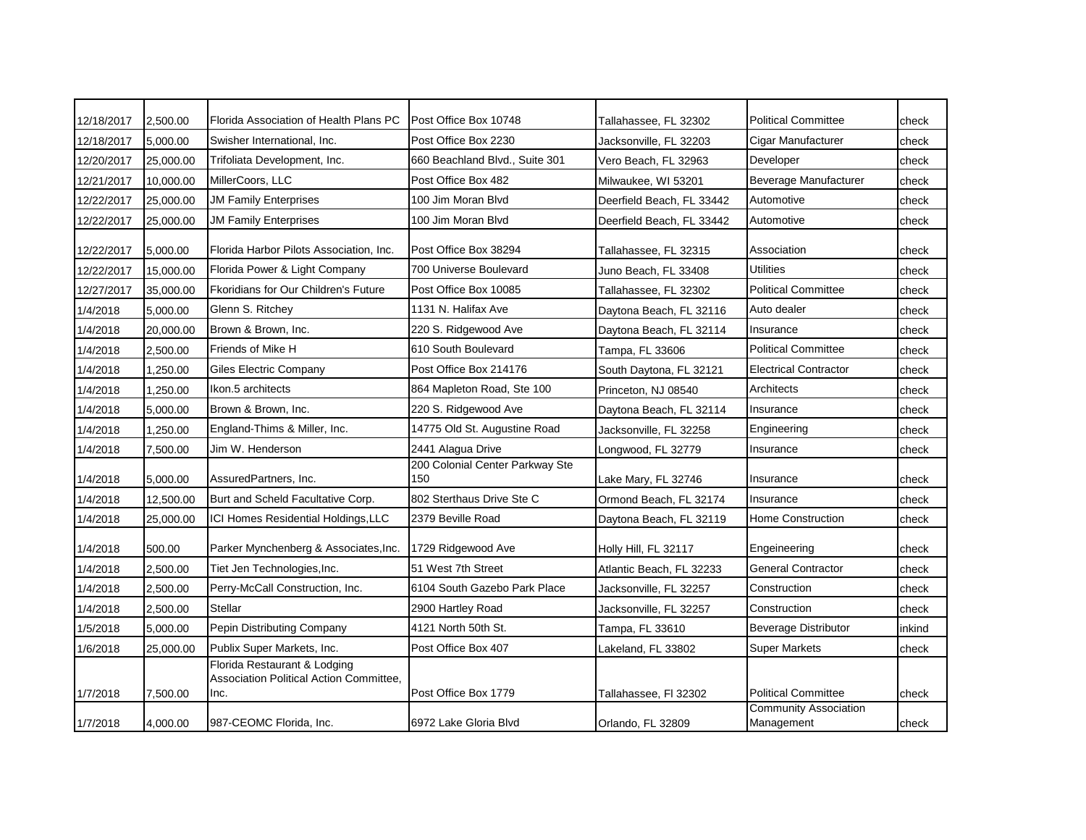| 12/18/2017 | 2,500.00  | Florida Association of Health Plans PC                                          | Post Office Box 10748                  | Tallahassee, FL 32302     | <b>Political Committee</b>                 | check  |
|------------|-----------|---------------------------------------------------------------------------------|----------------------------------------|---------------------------|--------------------------------------------|--------|
| 12/18/2017 | 5,000.00  | Swisher International, Inc.                                                     | Post Office Box 2230                   | Jacksonville, FL 32203    | Cigar Manufacturer                         | check  |
| 12/20/2017 | 25,000.00 | Trifoliata Development, Inc.                                                    | 660 Beachland Blvd., Suite 301         | Vero Beach, FL 32963      | Developer                                  | check  |
| 12/21/2017 | 10,000.00 | MillerCoors, LLC                                                                | Post Office Box 482                    | Milwaukee, WI 53201       | Beverage Manufacturer                      | check  |
| 12/22/2017 | 25,000.00 | <b>JM Family Enterprises</b>                                                    | 100 Jim Moran Blyd                     | Deerfield Beach, FL 33442 | Automotive                                 | check  |
| 12/22/2017 | 25,000.00 | <b>JM Family Enterprises</b>                                                    | 100 Jim Moran Blvd                     | Deerfield Beach, FL 33442 | Automotive                                 | check  |
| 12/22/2017 | 5,000.00  | Florida Harbor Pilots Association, Inc.                                         | Post Office Box 38294                  | Tallahassee, FL 32315     | Association                                | check  |
| 12/22/2017 | 15,000.00 | Florida Power & Light Company                                                   | 700 Universe Boulevard                 | Juno Beach, FL 33408      | <b>Utilities</b>                           | check  |
| 12/27/2017 | 35,000.00 | <b>Fkoridians for Our Children's Future</b>                                     | Post Office Box 10085                  | Tallahassee, FL 32302     | <b>Political Committee</b>                 | check  |
| 1/4/2018   | 5,000.00  | Glenn S. Ritchey                                                                | 1131 N. Halifax Ave                    | Daytona Beach, FL 32116   | Auto dealer                                | check  |
| 1/4/2018   | 20,000.00 | Brown & Brown, Inc.                                                             | 220 S. Ridgewood Ave                   | Daytona Beach, FL 32114   | Insurance                                  | check  |
| 1/4/2018   | 2,500.00  | Friends of Mike H                                                               | 610 South Boulevard                    | Tampa, FL 33606           | <b>Political Committee</b>                 | check  |
| 1/4/2018   | 1,250.00  | <b>Giles Electric Company</b>                                                   | Post Office Box 214176                 | South Daytona, FL 32121   | <b>Electrical Contractor</b>               | check  |
| 1/4/2018   | 1,250.00  | Ikon.5 architects                                                               | 864 Mapleton Road, Ste 100             | Princeton, NJ 08540       | Architects                                 | check  |
| 1/4/2018   | 5,000.00  | Brown & Brown, Inc.                                                             | 220 S. Ridgewood Ave                   | Daytona Beach, FL 32114   | Insurance                                  | check  |
| 1/4/2018   | 1,250.00  | England-Thims & Miller, Inc.                                                    | 14775 Old St. Augustine Road           | Jacksonville, FL 32258    | Engineering                                | check  |
| 1/4/2018   | 7,500.00  | Jim W. Henderson                                                                | 2441 Alagua Drive                      | Longwood, FL 32779        | Insurance                                  | check  |
| 1/4/2018   | 5,000.00  | AssuredPartners, Inc.                                                           | 200 Colonial Center Parkway Ste<br>150 | Lake Mary, FL 32746       | Insurance                                  | check  |
| 1/4/2018   | 12,500.00 | Burt and Scheld Facultative Corp.                                               | 802 Sterthaus Drive Ste C              | Ormond Beach, FL 32174    | Insurance                                  | check  |
| 1/4/2018   | 25,000.00 | ICI Homes Residential Holdings, LLC                                             | 2379 Beville Road                      | Daytona Beach, FL 32119   | <b>Home Construction</b>                   | check  |
| 1/4/2018   | 500.00    | Parker Mynchenberg & Associates, Inc.                                           | 1729 Ridgewood Ave                     | Holly Hill, FL 32117      | Engeineering                               | check  |
| 1/4/2018   | 2,500.00  | Tiet Jen Technologies, Inc.                                                     | 51 West 7th Street                     | Atlantic Beach, FL 32233  | <b>General Contractor</b>                  | check  |
| 1/4/2018   | 2,500.00  | Perry-McCall Construction, Inc.                                                 | 6104 South Gazebo Park Place           | Jacksonville, FL 32257    | Construction                               | check  |
| 1/4/2018   | 2,500.00  | Stellar                                                                         | 2900 Hartley Road                      | Jacksonville, FL 32257    | Construction                               | check  |
| 1/5/2018   | 5,000.00  | Pepin Distributing Company                                                      | 4121 North 50th St.                    | Tampa, FL 33610           | <b>Beverage Distributor</b>                | inkind |
| 1/6/2018   | 25,000.00 | Publix Super Markets, Inc.                                                      | Post Office Box 407                    | Lakeland, FL 33802        | <b>Super Markets</b>                       | check  |
| 1/7/2018   | 7,500.00  | Florida Restaurant & Lodging<br>Association Political Action Committee,<br>Inc. | Post Office Box 1779                   | Tallahassee, Fl 32302     | <b>Political Committee</b>                 | check  |
| 1/7/2018   | 4,000.00  | 987-CEOMC Florida, Inc.                                                         | 6972 Lake Gloria Blvd                  | Orlando, FL 32809         | <b>Community Association</b><br>Management | check  |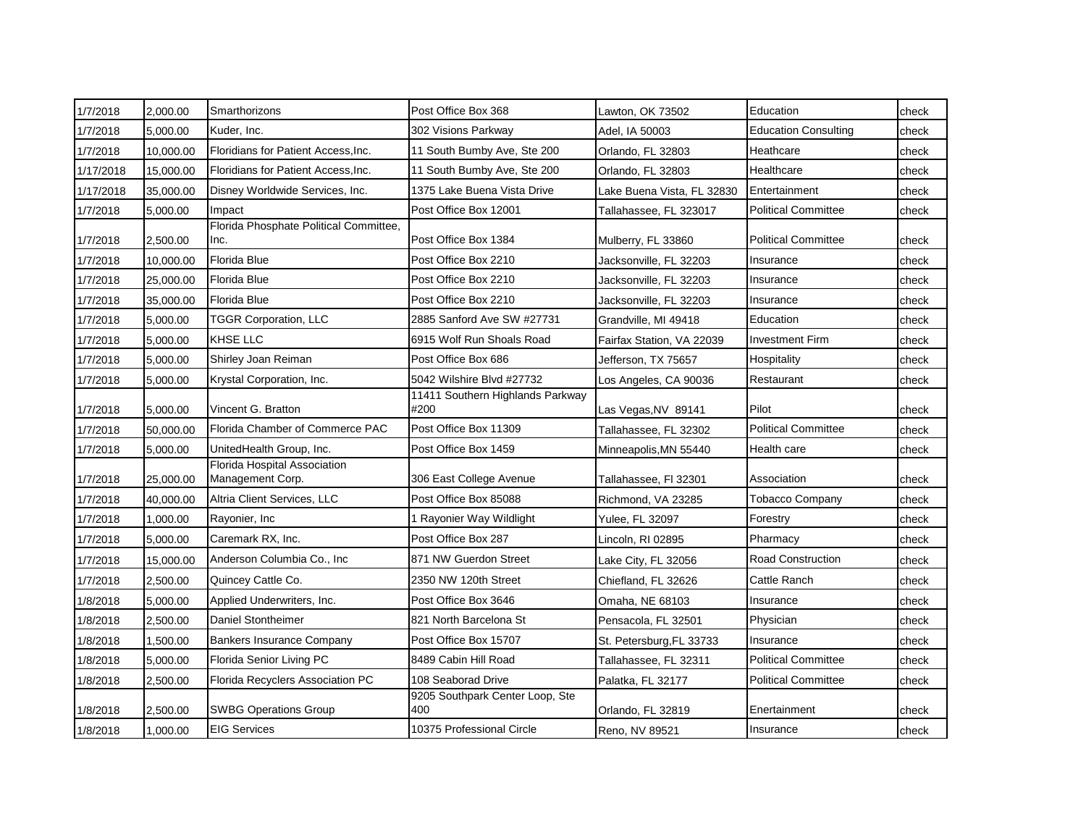| 1/7/2018  | 2,000.00  | Smarthorizons                                    | Post Office Box 368                      | Lawton, OK 73502           | Education                   | check |
|-----------|-----------|--------------------------------------------------|------------------------------------------|----------------------------|-----------------------------|-------|
| 1/7/2018  | 5,000.00  | Kuder, Inc.                                      | 302 Visions Parkway                      | Adel, IA 50003             | <b>Education Consulting</b> | check |
| 1/7/2018  | 10,000.00 | Floridians for Patient Access, Inc.              | 11 South Bumby Ave, Ste 200              | Orlando, FL 32803          | Heathcare                   | check |
| 1/17/2018 | 15,000.00 | Floridians for Patient Access, Inc.              | 11 South Bumby Ave, Ste 200              | Orlando, FL 32803          | Healthcare                  | check |
| 1/17/2018 | 35,000.00 | Disney Worldwide Services, Inc.                  | 1375 Lake Buena Vista Drive              | Lake Buena Vista, FL 32830 | Entertainment               | check |
| 1/7/2018  | 5,000.00  | Impact                                           | Post Office Box 12001                    | Tallahassee, FL 323017     | <b>Political Committee</b>  | check |
| 1/7/2018  | 2,500.00  | Florida Phosphate Political Committee,<br>Inc.   | Post Office Box 1384                     | Mulberry, FL 33860         | <b>Political Committee</b>  | check |
| 1/7/2018  | 10,000.00 | Florida Blue                                     | Post Office Box 2210                     | Jacksonville, FL 32203     | Insurance                   | check |
| 1/7/2018  | 25.000.00 | <b>Florida Blue</b>                              | Post Office Box 2210                     | Jacksonville, FL 32203     | Insurance                   | check |
| 1/7/2018  | 35,000.00 | Florida Blue                                     | Post Office Box 2210                     | Jacksonville, FL 32203     | Insurance                   | check |
| 1/7/2018  | 5,000.00  | <b>TGGR Corporation, LLC</b>                     | 2885 Sanford Ave SW #27731               | Grandville, MI 49418       | Education                   | check |
| 1/7/2018  | 5,000.00  | KHSE LLC                                         | 6915 Wolf Run Shoals Road                | Fairfax Station, VA 22039  | <b>Investment Firm</b>      | check |
| 1/7/2018  | 5,000.00  | Shirley Joan Reiman                              | Post Office Box 686                      | Jefferson, TX 75657        | Hospitality                 | check |
| 1/7/2018  | 5,000.00  | Krystal Corporation, Inc.                        | 5042 Wilshire Blvd #27732                | Los Angeles, CA 90036      | Restaurant                  | check |
| 1/7/2018  | 5,000.00  | Vincent G. Bratton                               | 11411 Southern Highlands Parkway<br>#200 | Las Vegas, NV 89141        | Pilot                       | check |
| 1/7/2018  | 50,000.00 | Florida Chamber of Commerce PAC                  | Post Office Box 11309                    | Tallahassee, FL 32302      | <b>Political Committee</b>  | check |
| 1/7/2018  | 5,000.00  | UnitedHealth Group, Inc.                         | Post Office Box 1459                     | Minneapolis, MN 55440      | Health care                 | check |
| 1/7/2018  | 25,000.00 | Florida Hospital Association<br>Management Corp. | 306 East College Avenue                  | Tallahassee, Fl 32301      | Association                 | check |
| 1/7/2018  | 40,000.00 | Altria Client Services, LLC                      | Post Office Box 85088                    | Richmond, VA 23285         | <b>Tobacco Company</b>      | check |
| 1/7/2018  | 1,000.00  | Rayonier, Inc.                                   | 1 Rayonier Way Wildlight                 | Yulee, FL 32097            | Forestry                    | check |
| 1/7/2018  | 5,000.00  | Caremark RX, Inc.                                | Post Office Box 287                      | Lincoln, RI 02895          | Pharmacy                    | check |
| 1/7/2018  | 15,000.00 | Anderson Columbia Co., Inc.                      | 871 NW Guerdon Street                    | Lake City, FL 32056        | <b>Road Construction</b>    | check |
| 1/7/2018  | 2,500.00  | Quincey Cattle Co.                               | 2350 NW 120th Street                     | Chiefland, FL 32626        | Cattle Ranch                | check |
| 1/8/2018  | 5,000.00  | Applied Underwriters, Inc.                       | Post Office Box 3646                     | Omaha, NE 68103            | Insurance                   | check |
| 1/8/2018  | 2,500.00  | Daniel Stontheimer                               | 821 North Barcelona St                   | Pensacola, FL 32501        | Physician                   | check |
| 1/8/2018  | 1,500.00  | <b>Bankers Insurance Company</b>                 | Post Office Box 15707                    | St. Petersburg, FL 33733   | Insurance                   | check |
| 1/8/2018  | 5,000.00  | Florida Senior Living PC                         | 8489 Cabin Hill Road                     | Tallahassee, FL 32311      | <b>Political Committee</b>  | check |
| 1/8/2018  | 2,500.00  | Florida Recyclers Association PC                 | 108 Seaborad Drive                       | Palatka, FL 32177          | <b>Political Committee</b>  | check |
| 1/8/2018  | 2,500.00  | <b>SWBG Operations Group</b>                     | 9205 Southpark Center Loop, Ste<br>400   | Orlando, FL 32819          | Enertainment                | check |
| 1/8/2018  | 1,000.00  | <b>EIG Services</b>                              | 10375 Professional Circle                | Reno, NV 89521             | Insurance                   | check |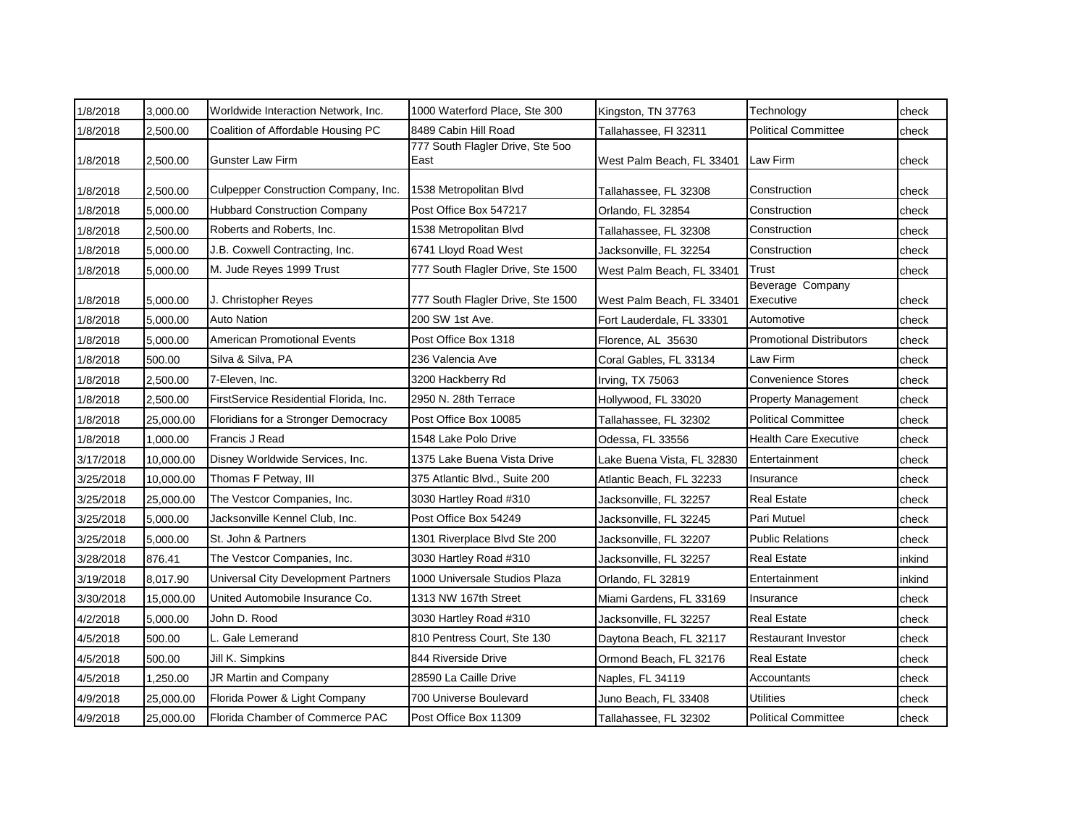| 1/8/2018  | 3,000.00  | Worldwide Interaction Network, Inc.        | 1000 Waterford Place, Ste 300            | Kingston, TN 37763         | Technology                      | check  |
|-----------|-----------|--------------------------------------------|------------------------------------------|----------------------------|---------------------------------|--------|
| 1/8/2018  | 2,500.00  | Coalition of Affordable Housing PC         | 8489 Cabin Hill Road                     | Tallahassee, Fl 32311      | <b>Political Committee</b>      | check  |
| 1/8/2018  | 2,500.00  | <b>Gunster Law Firm</b>                    | 777 South Flagler Drive, Ste 500<br>East | West Palm Beach, FL 33401  | Law Firm                        | check  |
| 1/8/2018  | 2,500.00  | Culpepper Construction Company, Inc.       | 1538 Metropolitan Blvd                   | Tallahassee, FL 32308      | Construction                    | check  |
| 1/8/2018  | 5,000.00  | <b>Hubbard Construction Company</b>        | Post Office Box 547217                   | Orlando, FL 32854          | Construction                    | check  |
| 1/8/2018  | 2,500.00  | Roberts and Roberts, Inc.                  | 1538 Metropolitan Blvd                   | Tallahassee, FL 32308      | Construction                    | check  |
| 1/8/2018  | 5,000.00  | J.B. Coxwell Contracting, Inc.             | 6741 Lloyd Road West                     | Jacksonville, FL 32254     | Construction                    | check  |
| 1/8/2018  | 5,000.00  | M. Jude Reyes 1999 Trust                   | 777 South Flagler Drive, Ste 1500        | West Palm Beach, FL 33401  | Trust                           | check  |
| 1/8/2018  | 5,000.00  | J. Christopher Reyes                       | 777 South Flagler Drive, Ste 1500        | West Palm Beach, FL 33401  | Beverage Company<br>Executive   | check  |
| 1/8/2018  | 5,000.00  | <b>Auto Nation</b>                         | 200 SW 1st Ave.                          | Fort Lauderdale, FL 33301  | Automotive                      | check  |
| 1/8/2018  | 5,000.00  | <b>American Promotional Events</b>         | Post Office Box 1318                     | Florence, AL 35630         | <b>Promotional Distributors</b> | check  |
| 1/8/2018  | 500.00    | Silva & Silva, PA                          | 236 Valencia Ave                         | Coral Gables, FL 33134     | Law Firm                        | check  |
| 1/8/2018  | 2,500.00  | 7-Eleven, Inc.                             | 3200 Hackberry Rd                        | Irving, TX 75063           | <b>Convenience Stores</b>       | check  |
| 1/8/2018  | 2,500.00  | FirstService Residential Florida, Inc.     | 2950 N. 28th Terrace                     | Hollywood, FL 33020        | <b>Property Management</b>      | check  |
| 1/8/2018  | 25,000.00 | Floridians for a Stronger Democracy        | Post Office Box 10085                    | Tallahassee, FL 32302      | <b>Political Committee</b>      | check  |
| 1/8/2018  | 1,000.00  | Francis J Read                             | 1548 Lake Polo Drive                     | Odessa, FL 33556           | <b>Health Care Executive</b>    | check  |
| 3/17/2018 | 10,000.00 | Disney Worldwide Services, Inc.            | 1375 Lake Buena Vista Drive              | Lake Buena Vista, FL 32830 | Entertainment                   | check  |
| 3/25/2018 | 10,000.00 | Thomas F Petway, III                       | 375 Atlantic Blvd., Suite 200            | Atlantic Beach, FL 32233   | Insurance                       | check  |
| 3/25/2018 | 25,000.00 | The Vestcor Companies, Inc.                | 3030 Hartley Road #310                   | Jacksonville, FL 32257     | <b>Real Estate</b>              | check  |
| 3/25/2018 | 5,000.00  | Jacksonville Kennel Club, Inc.             | Post Office Box 54249                    | Jacksonville, FL 32245     | Pari Mutuel                     | check  |
| 3/25/2018 | 5,000.00  | St. John & Partners                        | 1301 Riverplace Blvd Ste 200             | Jacksonville, FL 32207     | <b>Public Relations</b>         | check  |
| 3/28/2018 | 876.41    | The Vestcor Companies, Inc.                | 3030 Hartley Road #310                   | Jacksonville, FL 32257     | <b>Real Estate</b>              | inkind |
| 3/19/2018 | 8,017.90  | <b>Universal City Development Partners</b> | 1000 Universale Studios Plaza            | Orlando, FL 32819          | Entertainment                   | inkind |
| 3/30/2018 | 15,000.00 | United Automobile Insurance Co.            | 1313 NW 167th Street                     | Miami Gardens, FL 33169    | Insurance                       | check  |
| 4/2/2018  | 5,000.00  | John D. Rood                               | 3030 Hartley Road #310                   | Jacksonville, FL 32257     | <b>Real Estate</b>              | check  |
| 4/5/2018  | 500.00    | L. Gale Lemerand                           | 810 Pentress Court, Ste 130              | Daytona Beach, FL 32117    | <b>Restaurant Investor</b>      | check  |
| 4/5/2018  | 500.00    | Jill K. Simpkins                           | 844 Riverside Drive                      | Ormond Beach, FL 32176     | <b>Real Estate</b>              | check  |
| 4/5/2018  | 1,250.00  | JR Martin and Company                      | 28590 La Caille Drive                    | Naples, FL 34119           | Accountants                     | check  |
| 4/9/2018  | 25,000.00 | Florida Power & Light Company              | 700 Universe Boulevard                   | Juno Beach, FL 33408       | <b>Utilities</b>                | check  |
| 4/9/2018  | 25,000.00 | Florida Chamber of Commerce PAC            | Post Office Box 11309                    | Tallahassee. FL 32302      | <b>Political Committee</b>      | check  |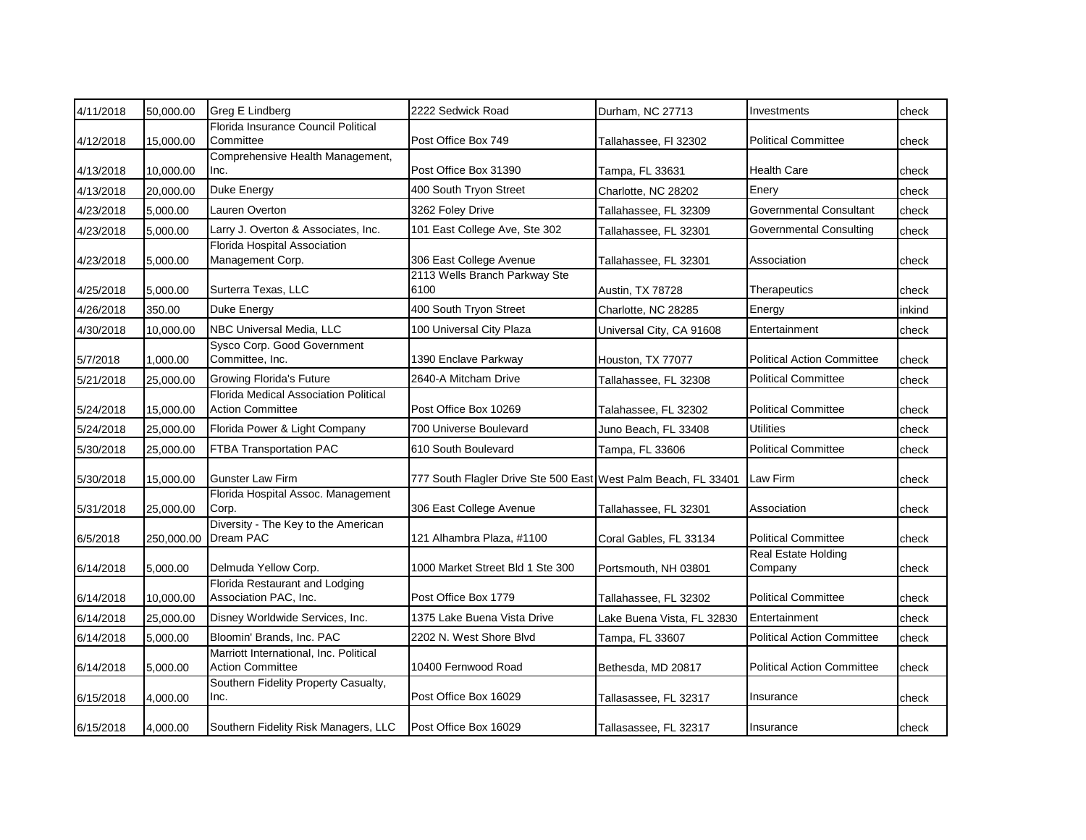| 4/11/2018 | 50,000.00  | Greg E Lindberg                                                   | 2222 Sedwick Road                                              | Durham, NC 27713           | Investments                           | check  |
|-----------|------------|-------------------------------------------------------------------|----------------------------------------------------------------|----------------------------|---------------------------------------|--------|
| 4/12/2018 | 15,000.00  | Florida Insurance Council Political<br>Committee                  | Post Office Box 749                                            | Tallahassee, FI 32302      | <b>Political Committee</b>            | check  |
| 4/13/2018 | 10,000.00  | Comprehensive Health Management,<br>Inc.                          | Post Office Box 31390                                          | Tampa, FL 33631            | <b>Health Care</b>                    | check  |
| 4/13/2018 | 20,000.00  | Duke Energy                                                       | 400 South Tryon Street                                         | Charlotte, NC 28202        | Enery                                 | check  |
| 4/23/2018 | 5,000.00   | Lauren Overton                                                    | 3262 Foley Drive                                               | Tallahassee, FL 32309      | Governmental Consultant               | check  |
| 4/23/2018 | 5,000.00   | Larry J. Overton & Associates, Inc.                               | 101 East College Ave, Ste 302                                  | Tallahassee, FL 32301      | <b>Governmental Consulting</b>        | check  |
| 4/23/2018 | 5,000.00   | Florida Hospital Association<br>Management Corp.                  | 306 East College Avenue                                        | Tallahassee, FL 32301      | Association                           | check  |
| 4/25/2018 | 5,000.00   | Surterra Texas, LLC                                               | 2113 Wells Branch Parkway Ste<br>6100                          | Austin, TX 78728           | Therapeutics                          | check  |
| 4/26/2018 | 350.00     | <b>Duke Energy</b>                                                | 400 South Tryon Street                                         | Charlotte, NC 28285        | Energy                                | inkind |
| 4/30/2018 | 10,000.00  | NBC Universal Media, LLC                                          | 100 Universal City Plaza                                       | Universal City, CA 91608   | Entertainment                         | check  |
| 5/7/2018  | 1,000.00   | Sysco Corp. Good Government<br>Committee, Inc.                    | 1390 Enclave Parkway                                           | Houston, TX 77077          | <b>Political Action Committee</b>     | check  |
| 5/21/2018 | 25,000.00  | <b>Growing Florida's Future</b>                                   | 2640-A Mitcham Drive                                           | Tallahassee, FL 32308      | <b>Political Committee</b>            | check  |
| 5/24/2018 | 15,000.00  | Florida Medical Association Political<br><b>Action Committee</b>  | Post Office Box 10269                                          | Talahassee, FL 32302       | <b>Political Committee</b>            | check  |
| 5/24/2018 | 25,000.00  | Florida Power & Light Company                                     | 700 Universe Boulevard                                         | Juno Beach, FL 33408       | <b>Utilities</b>                      | check  |
| 5/30/2018 | 25,000.00  | FTBA Transportation PAC                                           | 610 South Boulevard                                            | Tampa, FL 33606            | <b>Political Committee</b>            | check  |
| 5/30/2018 | 15,000.00  | <b>Gunster Law Firm</b>                                           | 777 South Flagler Drive Ste 500 East West Palm Beach, FL 33401 |                            | <b>Law Firm</b>                       | check  |
| 5/31/2018 | 25,000.00  | Florida Hospital Assoc. Management<br>Corp.                       | 306 East College Avenue                                        | Tallahassee, FL 32301      | Association                           | check  |
| 6/5/2018  | 250,000.00 | Diversity - The Key to the American<br>Dream PAC                  | 121 Alhambra Plaza, #1100                                      | Coral Gables, FL 33134     | <b>Political Committee</b>            | check  |
| 6/14/2018 | 5,000.00   | Delmuda Yellow Corp.                                              | 1000 Market Street Bld 1 Ste 300                               | Portsmouth, NH 03801       | <b>Real Estate Holding</b><br>Company | check  |
| 6/14/2018 | 10,000.00  | Florida Restaurant and Lodging<br>Association PAC, Inc.           | Post Office Box 1779                                           | Tallahassee, FL 32302      | <b>Political Committee</b>            | check  |
| 6/14/2018 | 25,000.00  | Disney Worldwide Services, Inc.                                   | 1375 Lake Buena Vista Drive                                    | Lake Buena Vista, FL 32830 | Entertainment                         | check  |
| 6/14/2018 | 5,000.00   | Bloomin' Brands, Inc. PAC                                         | 2202 N. West Shore Blvd                                        | Tampa, FL 33607            | <b>Political Action Committee</b>     | check  |
| 6/14/2018 | 5,000.00   | Marriott International, Inc. Political<br><b>Action Committee</b> | 10400 Fernwood Road                                            | Bethesda, MD 20817         | <b>Political Action Committee</b>     | check  |
| 6/15/2018 | 4,000.00   | Southern Fidelity Property Casualty,<br>Inc.                      | Post Office Box 16029                                          | Tallasassee, FL 32317      | Insurance                             | check  |
| 6/15/2018 | 4,000.00   | Southern Fidelity Risk Managers, LLC                              | Post Office Box 16029                                          | Tallasassee, FL 32317      | Insurance                             | check  |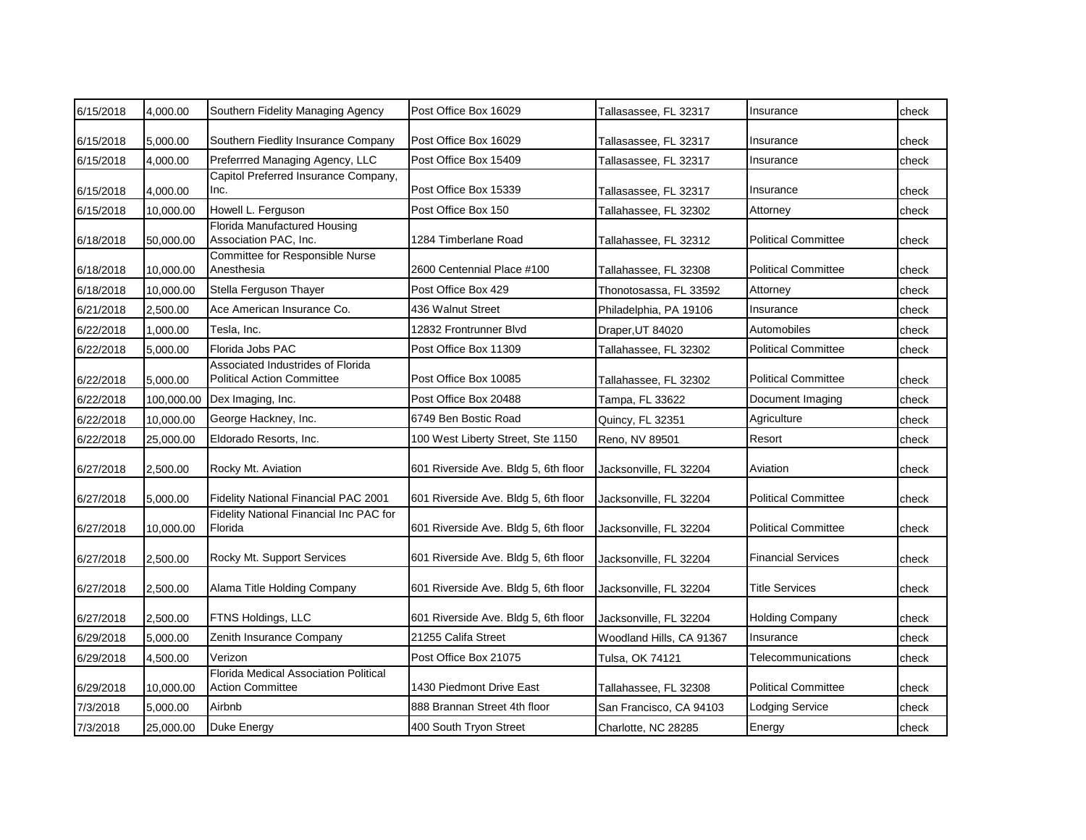| 6/15/2018 | 4,000.00   | Southern Fidelity Managing Agency                                      | Post Office Box 16029                | Tallasassee, FL 32317    | Insurance                  | check |
|-----------|------------|------------------------------------------------------------------------|--------------------------------------|--------------------------|----------------------------|-------|
| 6/15/2018 | 5,000.00   | Southern Fiedlity Insurance Company                                    | Post Office Box 16029                | Tallasassee, FL 32317    | Insurance                  | check |
| 6/15/2018 | 4,000.00   | Preferrred Managing Agency, LLC                                        | Post Office Box 15409                | Tallasassee, FL 32317    | Insurance                  | check |
| 6/15/2018 | 4,000.00   | Capitol Preferred Insurance Company,<br>Inc.                           | Post Office Box 15339                | Tallasassee, FL 32317    | Insurance                  | check |
| 6/15/2018 | 10,000.00  | Howell L. Ferguson                                                     | Post Office Box 150                  | Tallahassee, FL 32302    | Attorney                   | check |
| 6/18/2018 | 50,000.00  | <b>Florida Manufactured Housing</b><br>Association PAC, Inc.           | 1284 Timberlane Road                 | Tallahassee, FL 32312    | <b>Political Committee</b> | check |
| 6/18/2018 | 10,000.00  | Committee for Responsible Nurse<br>Anesthesia                          | 2600 Centennial Place #100           | Tallahassee, FL 32308    | <b>Political Committee</b> | check |
| 6/18/2018 | 10,000.00  | Stella Ferguson Thayer                                                 | Post Office Box 429                  | Thonotosassa, FL 33592   | Attorney                   | check |
| 6/21/2018 | 2,500.00   | Ace American Insurance Co.                                             | 436 Walnut Street                    | Philadelphia, PA 19106   | Insurance                  | check |
| 6/22/2018 | 1,000.00   | Tesla, Inc.                                                            | 12832 Frontrunner Blvd               | Draper, UT 84020         | Automobiles                | check |
| 6/22/2018 | 5,000.00   | Florida Jobs PAC                                                       | Post Office Box 11309                | Tallahassee, FL 32302    | <b>Political Committee</b> | check |
| 6/22/2018 | 5,000.00   | Associated Industrides of Florida<br><b>Political Action Committee</b> | Post Office Box 10085                | Tallahassee, FL 32302    | <b>Political Committee</b> | check |
| 6/22/2018 | 100,000.00 | Dex Imaging, Inc.                                                      | Post Office Box 20488                | Tampa, FL 33622          | Document Imaging           | check |
| 6/22/2018 | 10,000.00  | George Hackney, Inc.                                                   | 6749 Ben Bostic Road                 | Quincy, FL 32351         | Agriculture                | check |
| 6/22/2018 | 25,000.00  | Eldorado Resorts, Inc.                                                 | 100 West Liberty Street, Ste 1150    | Reno, NV 89501           | Resort                     | check |
| 6/27/2018 | 2,500.00   | Rocky Mt. Aviation                                                     | 601 Riverside Ave. Bldg 5, 6th floor | Jacksonville, FL 32204   | Aviation                   | check |
| 6/27/2018 | 5,000.00   | Fidelity National Financial PAC 2001                                   | 601 Riverside Ave. Bldg 5, 6th floor | Jacksonville, FL 32204   | <b>Political Committee</b> | check |
| 6/27/2018 | 10,000.00  | Fidelity National Financial Inc PAC for<br>Florida                     | 601 Riverside Ave. Bldg 5, 6th floor | Jacksonville, FL 32204   | <b>Political Committee</b> | check |
| 6/27/2018 | 2,500.00   | Rocky Mt. Support Services                                             | 601 Riverside Ave. Bldg 5, 6th floor | Jacksonville, FL 32204   | <b>Financial Services</b>  | check |
| 6/27/2018 | 2,500.00   | Alama Title Holding Company                                            | 601 Riverside Ave. Bldg 5, 6th floor | Jacksonville, FL 32204   | <b>Title Services</b>      | check |
| 6/27/2018 | 2,500.00   | FTNS Holdings, LLC                                                     | 601 Riverside Ave. Bldg 5, 6th floor | Jacksonville, FL 32204   | <b>Holding Company</b>     | check |
| 6/29/2018 | 5,000.00   | Zenith Insurance Company                                               | 21255 Califa Street                  | Woodland Hills, CA 91367 | Insurance                  | check |
| 6/29/2018 | 4,500.00   | Verizon                                                                | Post Office Box 21075                | Tulsa, OK 74121          | Telecommunications         | check |
| 6/29/2018 | 10,000.00  | Florida Medical Association Political<br><b>Action Committee</b>       | 1430 Piedmont Drive East             | Tallahassee, FL 32308    | <b>Political Committee</b> | check |
| 7/3/2018  | 5,000.00   | Airbnb                                                                 | 888 Brannan Street 4th floor         | San Francisco, CA 94103  | Lodging Service            | check |
| 7/3/2018  | 25,000.00  | Duke Energy                                                            | 400 South Tryon Street               | Charlotte, NC 28285      | Energy                     | check |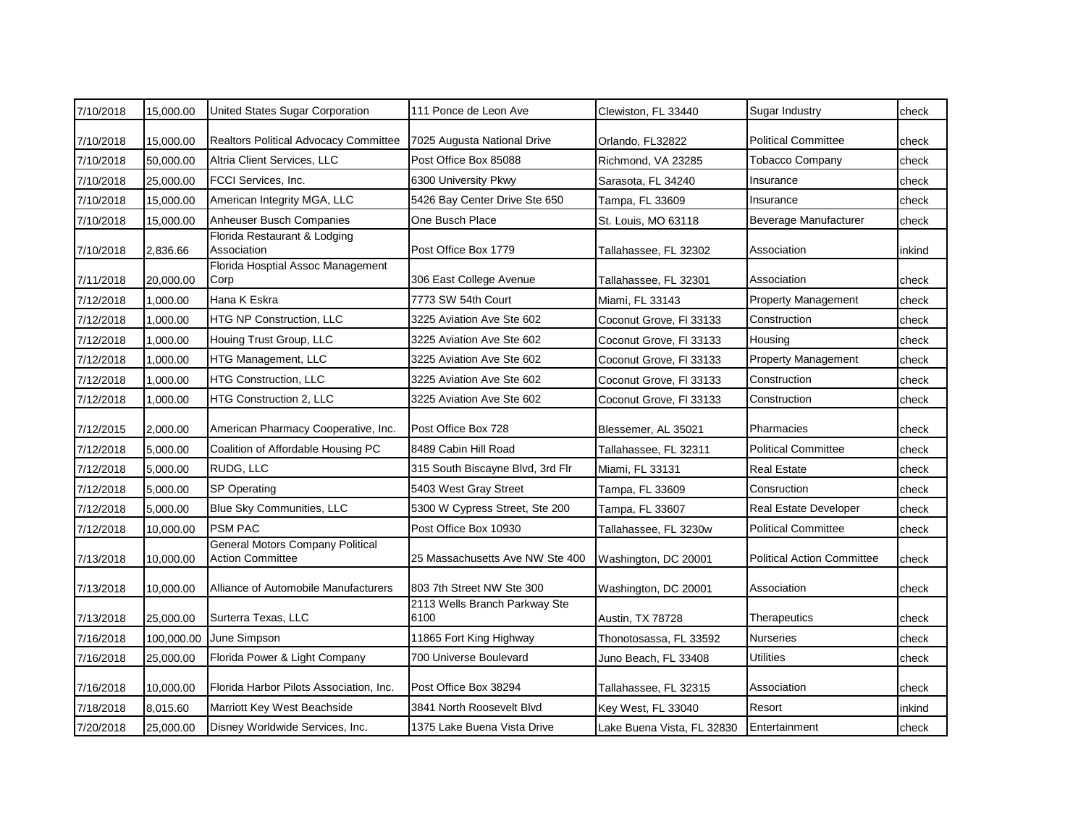| 7/10/2018 | 15,000.00  | United States Sugar Corporation                                    | 111 Ponce de Leon Ave                 | Clewiston, FL 33440        | <b>Sugar Industry</b>             | check  |
|-----------|------------|--------------------------------------------------------------------|---------------------------------------|----------------------------|-----------------------------------|--------|
| 7/10/2018 | 15,000.00  | Realtors Political Advocacy Committee                              | 7025 Augusta National Drive           | Orlando, FL32822           | <b>Political Committee</b>        | check  |
| 7/10/2018 | 50,000.00  | Altria Client Services, LLC                                        | Post Office Box 85088                 | Richmond, VA 23285         | <b>Tobacco Company</b>            | check  |
| 7/10/2018 | 25,000.00  | <b>FCCI Services, Inc.</b>                                         | 6300 University Pkwy                  | Sarasota, FL 34240         | Insurance                         | check  |
| 7/10/2018 | 15,000.00  | American Integrity MGA, LLC                                        | 5426 Bay Center Drive Ste 650         | Tampa, FL 33609            | Insurance                         | check  |
| 7/10/2018 | 15,000.00  | Anheuser Busch Companies                                           | One Busch Place                       | St. Louis, MO 63118        | Beverage Manufacturer             | check  |
| 7/10/2018 | 2,836.66   | Florida Restaurant & Lodging<br>Association                        | Post Office Box 1779                  | Tallahassee, FL 32302      | Association                       | inkind |
| 7/11/2018 | 20,000.00  | Florida Hosptial Assoc Management<br>Corp                          | 306 East College Avenue               | Tallahassee, FL 32301      | Association                       | check  |
| 7/12/2018 | 1,000.00   | Hana K Eskra                                                       | 7773 SW 54th Court                    | Miami. FL 33143            | <b>Property Management</b>        | check  |
| 7/12/2018 | 1,000.00   | <b>HTG NP Construction, LLC</b>                                    | 3225 Aviation Ave Ste 602             | Coconut Grove, FI 33133    | Construction                      | check  |
| 7/12/2018 | 1,000.00   | Houing Trust Group, LLC                                            | 3225 Aviation Ave Ste 602             | Coconut Grove, FI 33133    | Housing                           | check  |
| 7/12/2018 | 1,000.00   | HTG Management, LLC                                                | 3225 Aviation Ave Ste 602             | Coconut Grove, FI 33133    | <b>Property Management</b>        | check  |
| 7/12/2018 | 1,000.00   | <b>HTG Construction, LLC</b>                                       | 3225 Aviation Ave Ste 602             | Coconut Grove, FI 33133    | Construction                      | check  |
| 7/12/2018 | 1,000.00   | HTG Construction 2, LLC                                            | 3225 Aviation Ave Ste 602             | Coconut Grove, FI 33133    | Construction                      | check  |
| 7/12/2015 | 2,000.00   | American Pharmacy Cooperative, Inc.                                | Post Office Box 728                   | Blessemer, AL 35021        | Pharmacies                        | check  |
| 7/12/2018 | 5,000.00   | Coalition of Affordable Housing PC                                 | 8489 Cabin Hill Road                  | Tallahassee, FL 32311      | <b>Political Committee</b>        | check  |
| 7/12/2018 | 5,000.00   | RUDG, LLC                                                          | 315 South Biscayne Blvd, 3rd Flr      | Miami, FL 33131            | <b>Real Estate</b>                | check  |
| 7/12/2018 | 5,000.00   | <b>SP Operating</b>                                                | 5403 West Gray Street                 | Tampa, FL 33609            | Consruction                       | check  |
| 7/12/2018 | 5,000.00   | Blue Sky Communities, LLC                                          | 5300 W Cypress Street, Ste 200        | Tampa, FL 33607            | <b>Real Estate Developer</b>      | check  |
| 7/12/2018 | 10,000.00  | <b>PSM PAC</b>                                                     | Post Office Box 10930                 | Tallahassee, FL 3230w      | <b>Political Committee</b>        | check  |
| 7/13/2018 | 10,000.00  | <b>General Motors Company Political</b><br><b>Action Committee</b> | 25 Massachusetts Ave NW Ste 400       | Washington, DC 20001       | <b>Political Action Committee</b> | check  |
| 7/13/2018 | 10,000.00  | Alliance of Automobile Manufacturers                               | 803 7th Street NW Ste 300             | Washington, DC 20001       | Association                       | check  |
| 7/13/2018 | 25,000.00  | Surterra Texas, LLC                                                | 2113 Wells Branch Parkway Ste<br>6100 | Austin, TX 78728           | Therapeutics                      | check  |
| 7/16/2018 | 100,000.00 | June Simpson                                                       | 11865 Fort King Highway               | Thonotosassa, FL 33592     | <b>Nurseries</b>                  | check  |
| 7/16/2018 | 25,000.00  | Florida Power & Light Company                                      | 700 Universe Boulevard                | Juno Beach, FL 33408       | <b>Utilities</b>                  | check  |
| 7/16/2018 | 10,000.00  | Florida Harbor Pilots Association, Inc.                            | Post Office Box 38294                 | Tallahassee, FL 32315      | Association                       | check  |
| 7/18/2018 | 8,015.60   | Marriott Key West Beachside                                        | 3841 North Roosevelt Blvd             | Key West, FL 33040         | Resort                            | inkind |
| 7/20/2018 | 25,000.00  | Disney Worldwide Services, Inc.                                    | 1375 Lake Buena Vista Drive           | Lake Buena Vista, FL 32830 | Entertainment                     | check  |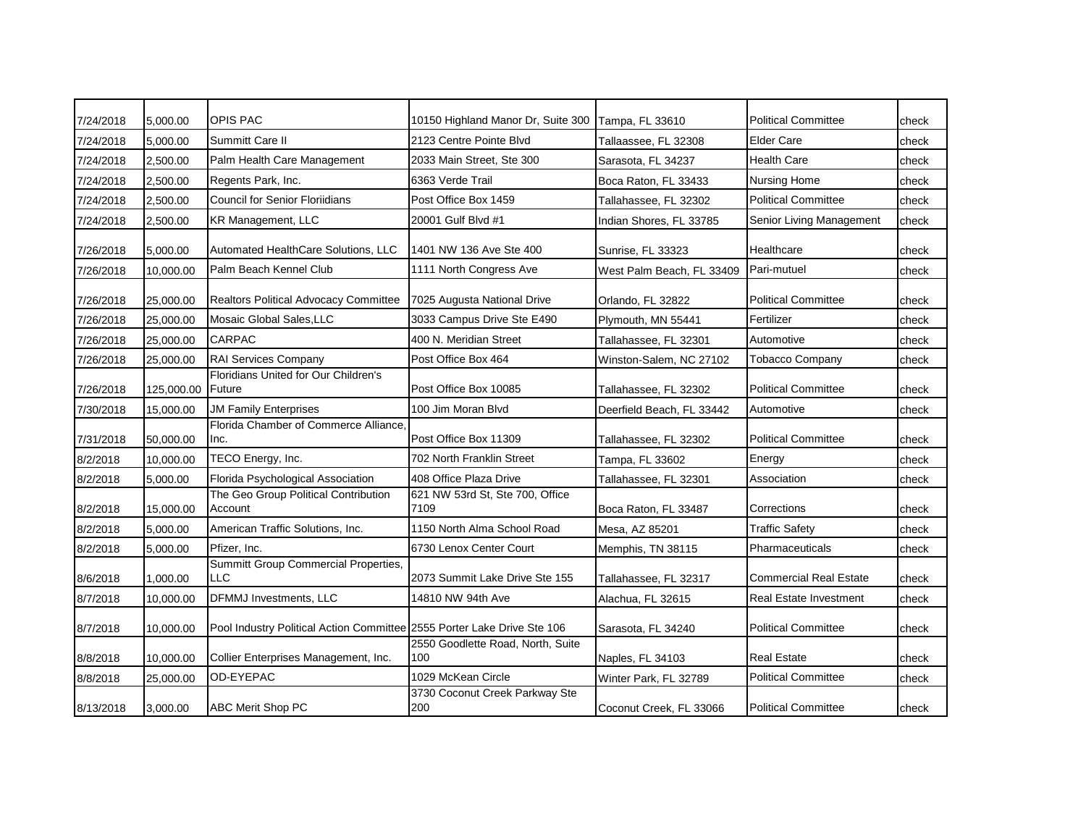| 7/24/2018 | 5,000.00   | <b>OPIS PAC</b>                                                         | 10150 Highland Manor Dr, Suite 300       | Tampa, FL 33610           | <b>Political Committee</b>    | check |
|-----------|------------|-------------------------------------------------------------------------|------------------------------------------|---------------------------|-------------------------------|-------|
| 7/24/2018 | 5,000.00   | Summitt Care II                                                         | 2123 Centre Pointe Blvd                  | Tallaassee, FL 32308      | <b>Elder Care</b>             | check |
| 7/24/2018 | 2,500.00   | Palm Health Care Management                                             | 2033 Main Street, Ste 300                | Sarasota, FL 34237        | <b>Health Care</b>            | check |
| 7/24/2018 | 2,500.00   | Regents Park, Inc.                                                      | 6363 Verde Trail                         | Boca Raton, FL 33433      | Nursing Home                  | check |
| 7/24/2018 | 2,500.00   | <b>Council for Senior Floriidians</b>                                   | Post Office Box 1459                     | Tallahassee, FL 32302     | <b>Political Committee</b>    | check |
| 7/24/2018 | 2,500.00   | KR Management, LLC                                                      | 20001 Gulf Blvd #1                       | Indian Shores, FL 33785   | Senior Living Management      | check |
| 7/26/2018 | 5,000.00   | Automated HealthCare Solutions, LLC                                     | 1401 NW 136 Ave Ste 400                  | Sunrise, FL 33323         | Healthcare                    | check |
| 7/26/2018 | 10,000.00  | Palm Beach Kennel Club                                                  | 1111 North Congress Ave                  | West Palm Beach, FL 33409 | Pari-mutuel                   | check |
| 7/26/2018 | 25,000.00  | Realtors Political Advocacy Committee                                   | 7025 Augusta National Drive              | Orlando, FL 32822         | <b>Political Committee</b>    | check |
| 7/26/2018 | 25,000.00  | Mosaic Global Sales, LLC                                                | 3033 Campus Drive Ste E490               | Plymouth, MN 55441        | Fertilizer                    | check |
| 7/26/2018 | 25,000.00  | <b>CARPAC</b>                                                           | 400 N. Meridian Street                   | Tallahassee, FL 32301     | Automotive                    | check |
| 7/26/2018 | 25,000.00  | <b>RAI Services Company</b>                                             | Post Office Box 464                      | Winston-Salem, NC 27102   | <b>Tobacco Company</b>        | check |
| 7/26/2018 | 125,000.00 | Floridians United for Our Children's<br>Future                          | Post Office Box 10085                    | Tallahassee. FL 32302     | <b>Political Committee</b>    | check |
| 7/30/2018 | 15,000.00  | <b>JM Family Enterprises</b>                                            | 100 Jim Moran Blvd                       | Deerfield Beach, FL 33442 | Automotive                    | check |
| 7/31/2018 | 50,000.00  | Florida Chamber of Commerce Alliance<br>Inc.                            | Post Office Box 11309                    | Tallahassee, FL 32302     | <b>Political Committee</b>    | check |
| 8/2/2018  | 10,000.00  | TECO Energy, Inc.                                                       | 702 North Franklin Street                | Tampa, FL 33602           | Energy                        | check |
| 8/2/2018  | 5,000.00   | Florida Psychological Association                                       | 408 Office Plaza Drive                   | Tallahassee, FL 32301     | Association                   | check |
| 8/2/2018  | 15,000.00  | The Geo Group Political Contribution<br>Account                         | 621 NW 53rd St, Ste 700, Office<br>7109  | Boca Raton, FL 33487      | Corrections                   | check |
| 8/2/2018  | 5,000.00   | American Traffic Solutions, Inc.                                        | 1150 North Alma School Road              | Mesa, AZ 85201            | <b>Traffic Safety</b>         | check |
| 8/2/2018  | 5,000.00   | Pfizer, Inc.                                                            | 6730 Lenox Center Court                  | Memphis, TN 38115         | Pharmaceuticals               | check |
| 8/6/2018  | 1,000.00   | Summitt Group Commercial Properties,<br><b>LLC</b>                      | 2073 Summit Lake Drive Ste 155           | Tallahassee, FL 32317     | <b>Commercial Real Estate</b> | check |
| 8/7/2018  | 10,000.00  | <b>DFMMJ Investments, LLC</b>                                           | 14810 NW 94th Ave                        | Alachua, FL 32615         | Real Estate Investment        | check |
| 8/7/2018  | 10,000.00  | Pool Industry Political Action Committee 2555 Porter Lake Drive Ste 106 |                                          | Sarasota, FL 34240        | <b>Political Committee</b>    | check |
| 8/8/2018  | 10,000.00  | Collier Enterprises Management, Inc.                                    | 2550 Goodlette Road, North, Suite<br>100 | Naples, FL 34103          | <b>Real Estate</b>            | check |
| 8/8/2018  | 25,000.00  | OD-EYEPAC                                                               | 1029 McKean Circle                       | Winter Park, FL 32789     | <b>Political Committee</b>    | check |
| 8/13/2018 | 3.000.00   | <b>ABC Merit Shop PC</b>                                                | 3730 Coconut Creek Parkway Ste<br>200    | Coconut Creek, FL 33066   | <b>Political Committee</b>    | check |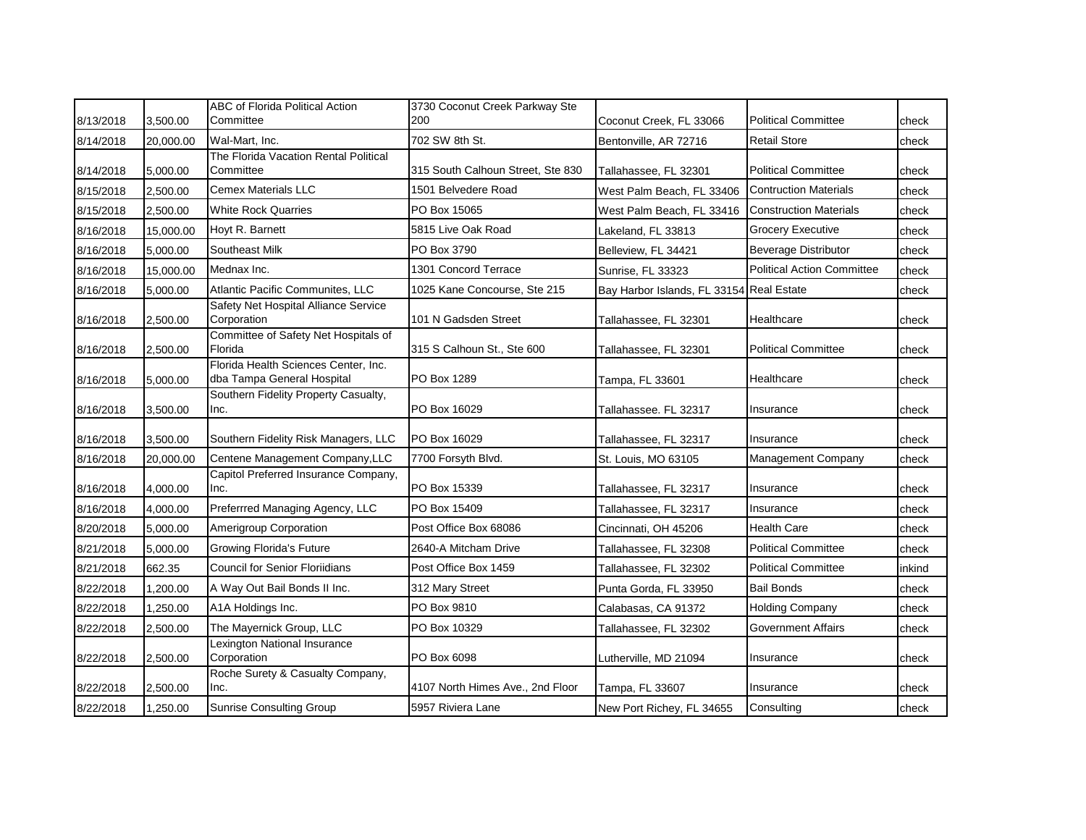| 8/13/2018 | 3,500.00  | ABC of Florida Political Action<br>Committee                       | 3730 Coconut Creek Parkway Ste<br>200 | Coconut Creek, FL 33066                  | <b>Political Committee</b>        | check  |
|-----------|-----------|--------------------------------------------------------------------|---------------------------------------|------------------------------------------|-----------------------------------|--------|
| 8/14/2018 | 20,000.00 | Wal-Mart, Inc.                                                     | 702 SW 8th St.                        | Bentonville, AR 72716                    | <b>Retail Store</b>               | check  |
| 8/14/2018 | 5,000.00  | The Florida Vacation Rental Political<br>Committee                 | 315 South Calhoun Street, Ste 830     | Tallahassee, FL 32301                    | <b>Political Committee</b>        | check  |
| 8/15/2018 | 2,500.00  | <b>Cemex Materials LLC</b>                                         | 1501 Belvedere Road                   | West Palm Beach, FL 33406                | <b>Contruction Materials</b>      | check  |
| 8/15/2018 | 2,500.00  | <b>White Rock Quarries</b>                                         | PO Box 15065                          | West Palm Beach, FL 33416                | <b>Construction Materials</b>     | check  |
| 8/16/2018 | 15,000.00 | Hoyt R. Barnett                                                    | 5815 Live Oak Road                    | Lakeland, FL 33813                       | Grocery Executive                 | check  |
| 8/16/2018 | 5,000.00  | Southeast Milk                                                     | PO Box 3790                           | Belleview, FL 34421                      | <b>Beverage Distributor</b>       | check  |
| 8/16/2018 | 15,000.00 | Mednax Inc.                                                        | 1301 Concord Terrace                  | Sunrise, FL 33323                        | <b>Political Action Committee</b> | check  |
| 8/16/2018 | 5,000.00  | Atlantic Pacific Communites, LLC                                   | 1025 Kane Concourse, Ste 215          | Bay Harbor Islands, FL 33154 Real Estate |                                   | check  |
| 8/16/2018 | 2,500.00  | Safety Net Hospital Alliance Service<br>Corporation                | 101 N Gadsden Street                  | Tallahassee, FL 32301                    | Healthcare                        | check  |
| 8/16/2018 | 2,500.00  | Committee of Safety Net Hospitals of<br>Florida                    | 315 S Calhoun St., Ste 600            | Tallahassee, FL 32301                    | <b>Political Committee</b>        | check  |
| 8/16/2018 | 5,000.00  | Florida Health Sciences Center, Inc.<br>dba Tampa General Hospital | PO Box 1289                           | Tampa, FL 33601                          | Healthcare                        | check  |
| 8/16/2018 | 3,500.00  | Southern Fidelity Property Casualty,<br>Inc.                       | PO Box 16029                          | Tallahassee. FL 32317                    | Insurance                         | check  |
| 8/16/2018 | 3,500.00  | Southern Fidelity Risk Managers, LLC                               | PO Box 16029                          | Tallahassee, FL 32317                    | Insurance                         | check  |
| 8/16/2018 | 20,000.00 | Centene Management Company, LLC                                    | 7700 Forsyth Blvd.                    | St. Louis, MO 63105                      | <b>Management Company</b>         | check  |
| 8/16/2018 | 4,000.00  | Capitol Preferred Insurance Company,<br>Inc.                       | PO Box 15339                          | Tallahassee, FL 32317                    | Insurance                         | check  |
| 8/16/2018 | 4,000.00  | Preferrred Managing Agency, LLC                                    | PO Box 15409                          | Tallahassee, FL 32317                    | Insurance                         | check  |
| 8/20/2018 | 5,000.00  | Amerigroup Corporation                                             | Post Office Box 68086                 | Cincinnati, OH 45206                     | <b>Health Care</b>                | check  |
| 8/21/2018 | 5,000.00  | <b>Growing Florida's Future</b>                                    | 2640-A Mitcham Drive                  | Tallahassee, FL 32308                    | <b>Political Committee</b>        | check  |
| 8/21/2018 | 662.35    | <b>Council for Senior Floriidians</b>                              | Post Office Box 1459                  | Tallahassee, FL 32302                    | <b>Political Committee</b>        | inkind |
| 8/22/2018 | 1,200.00  | A Way Out Bail Bonds II Inc.                                       | 312 Mary Street                       | Punta Gorda, FL 33950                    | <b>Bail Bonds</b>                 | check  |
| 8/22/2018 | 1,250.00  | A1A Holdings Inc.                                                  | PO Box 9810                           | Calabasas, CA 91372                      | <b>Holding Company</b>            | check  |
| 8/22/2018 | 2,500.00  | The Mayernick Group, LLC                                           | PO Box 10329                          | Tallahassee, FL 32302                    | Government Affairs                | check  |
| 8/22/2018 | 2,500.00  | Lexington National Insurance<br>Corporation                        | PO Box 6098                           | Lutherville, MD 21094                    | Insurance                         | check  |
| 8/22/2018 | 2,500.00  | Roche Surety & Casualty Company,<br>Inc.                           | 4107 North Himes Ave., 2nd Floor      | Tampa, FL 33607                          | Insurance                         | check  |
| 8/22/2018 | 1.250.00  | <b>Sunrise Consulting Group</b>                                    | 5957 Riviera Lane                     | New Port Richey, FL 34655                | Consulting                        | check  |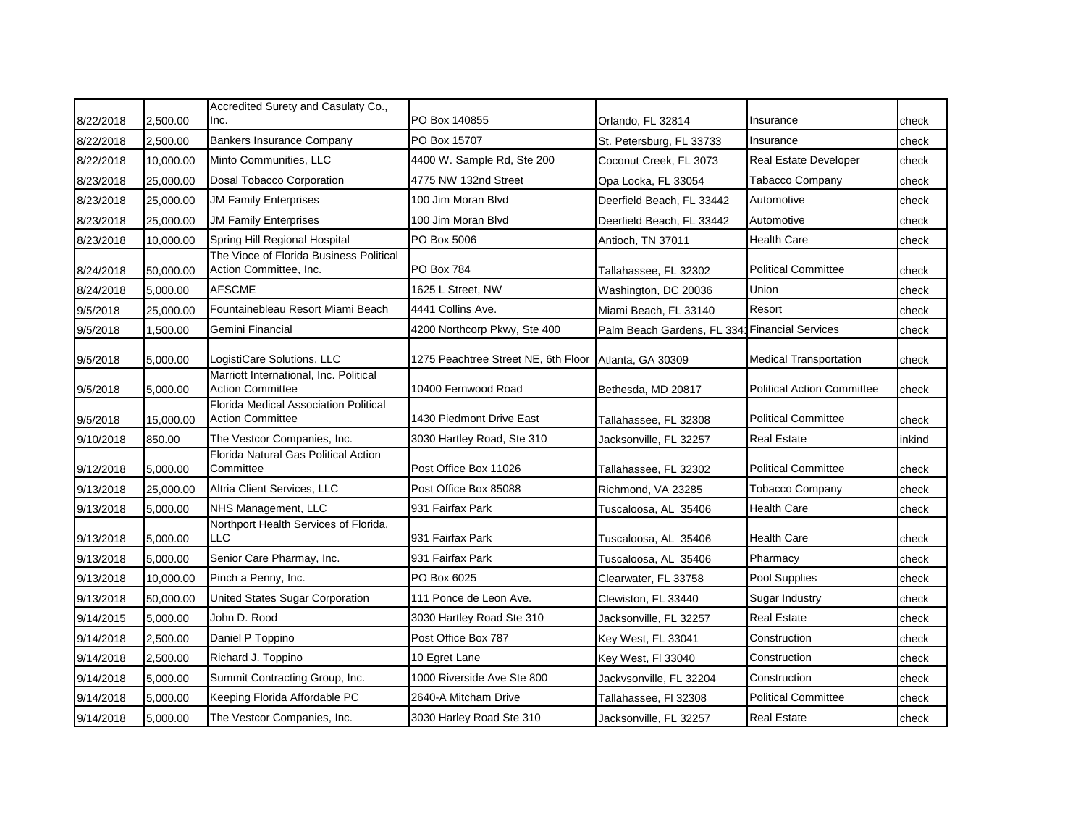| 8/22/2018 | 2,500.00  | Accredited Surety and Casulaty Co.,<br>Inc.                       | PO Box 140855                       | Orlando, FL 32814                              | Insurance                         | check  |
|-----------|-----------|-------------------------------------------------------------------|-------------------------------------|------------------------------------------------|-----------------------------------|--------|
| 8/22/2018 | 2.500.00  | <b>Bankers Insurance Company</b>                                  | PO Box 15707                        | St. Petersburg, FL 33733                       | Insurance                         | check  |
| 8/22/2018 | 10,000.00 | Minto Communities, LLC                                            | 4400 W. Sample Rd, Ste 200          | Coconut Creek, FL 3073                         | Real Estate Developer             | check  |
| 8/23/2018 | 25,000.00 | Dosal Tobacco Corporation                                         | 4775 NW 132nd Street                | Opa Locka, FL 33054                            | Tabacco Company                   | check  |
| 8/23/2018 | 25,000.00 | <b>JM Family Enterprises</b>                                      | 100 Jim Moran Blyd                  | Deerfield Beach, FL 33442                      | Automotive                        | check  |
| 8/23/2018 | 25,000.00 | <b>JM Family Enterprises</b>                                      | 100 Jim Moran Blyd                  | Deerfield Beach, FL 33442                      | Automotive                        | check  |
| 8/23/2018 | 10,000.00 | Spring Hill Regional Hospital                                     | PO Box 5006                         | Antioch, TN 37011                              | <b>Health Care</b>                | check  |
| 8/24/2018 | 50,000.00 | The Vioce of Florida Business Political<br>Action Committee, Inc. | PO Box 784                          | Tallahassee, FL 32302                          | <b>Political Committee</b>        | check  |
| 8/24/2018 | 5,000.00  | <b>AFSCME</b>                                                     | 1625 L Street, NW                   | Washington, DC 20036                           | Union                             | check  |
| 9/5/2018  | 25,000.00 | Fountainebleau Resort Miami Beach                                 | 4441 Collins Ave.                   | Miami Beach, FL 33140                          | Resort                            | check  |
| 9/5/2018  | 1,500.00  | Gemini Financial                                                  | 4200 Northcorp Pkwy, Ste 400        | Palm Beach Gardens, FL 3341 Financial Services |                                   | check  |
| 9/5/2018  | 5,000.00  | LogistiCare Solutions, LLC                                        | 1275 Peachtree Street NE, 6th Floor | Atlanta, GA 30309                              | <b>Medical Transportation</b>     | check  |
| 9/5/2018  | 5,000.00  | Marriott International, Inc. Political<br><b>Action Committee</b> | 10400 Fernwood Road                 | Bethesda, MD 20817                             | <b>Political Action Committee</b> | check  |
| 9/5/2018  | 15.000.00 | Florida Medical Association Political<br><b>Action Committee</b>  | 1430 Piedmont Drive East            | Tallahassee, FL 32308                          | <b>Political Committee</b>        | check  |
| 9/10/2018 | 850.00    | The Vestcor Companies, Inc.                                       | 3030 Hartley Road, Ste 310          | Jacksonville, FL 32257                         | <b>Real Estate</b>                | inkind |
| 9/12/2018 | 5,000.00  | Florida Natural Gas Political Action<br>Committee                 | Post Office Box 11026               | Tallahassee, FL 32302                          | <b>Political Committee</b>        | check  |
| 9/13/2018 | 25,000.00 | Altria Client Services, LLC                                       | Post Office Box 85088               | Richmond, VA 23285                             | <b>Tobacco Company</b>            | check  |
| 9/13/2018 | 5,000.00  | NHS Management, LLC                                               | 931 Fairfax Park                    | Tuscaloosa, AL 35406                           | <b>Health Care</b>                | check  |
| 9/13/2018 | 5,000.00  | Northport Health Services of Florida,<br><b>LLC</b>               | 931 Fairfax Park                    | Tuscaloosa, AL 35406                           | <b>Health Care</b>                | check  |
| 9/13/2018 | 5,000.00  | Senior Care Pharmay, Inc.                                         | 931 Fairfax Park                    | Tuscaloosa, AL 35406                           | Pharmacy                          | check  |
| 9/13/2018 | 10,000.00 | Pinch a Penny, Inc.                                               | PO Box 6025                         | Clearwater, FL 33758                           | Pool Supplies                     | check  |
| 9/13/2018 | 50,000.00 | United States Sugar Corporation                                   | 111 Ponce de Leon Ave.              | Clewiston, FL 33440                            | Sugar Industry                    | check  |
| 9/14/2015 | 5,000.00  | John D. Rood                                                      | 3030 Hartley Road Ste 310           | Jacksonville, FL 32257                         | <b>Real Estate</b>                | check  |
| 9/14/2018 | 2,500.00  | Daniel P Toppino                                                  | Post Office Box 787                 | Key West, FL 33041                             | Construction                      | check  |
| 9/14/2018 | 2,500.00  | Richard J. Toppino                                                | 10 Egret Lane                       | Key West, FI 33040                             | Construction                      | check  |
| 9/14/2018 | 5,000.00  | Summit Contracting Group, Inc.                                    | 1000 Riverside Ave Ste 800          | Jackvsonville, FL 32204                        | Construction                      | check  |
| 9/14/2018 | 5,000.00  | Keeping Florida Affordable PC                                     | 2640-A Mitcham Drive                | Tallahassee, FI 32308                          | <b>Political Committee</b>        | check  |
| 9/14/2018 | 5,000.00  | The Vestcor Companies, Inc.                                       | 3030 Harley Road Ste 310            | Jacksonville, FL 32257                         | <b>Real Estate</b>                | check  |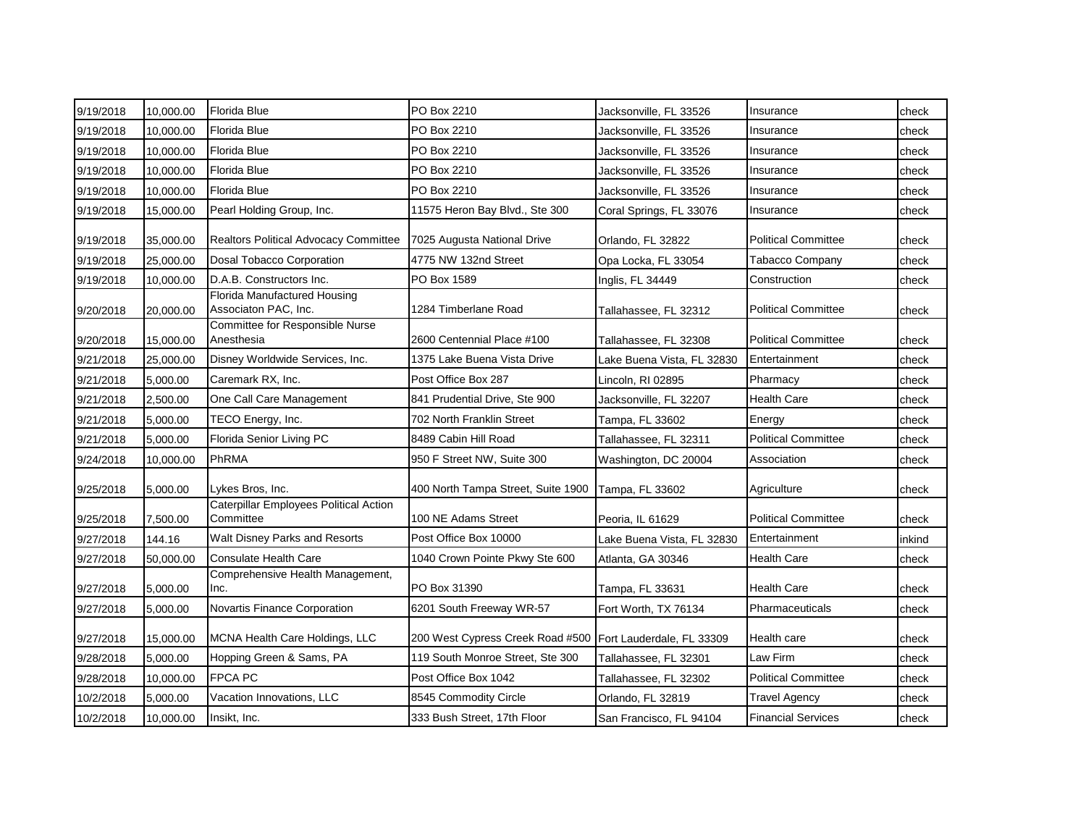| 9/19/2018 | 10,000.00 | <b>Florida Blue</b>                                        | PO Box 2210                                                | Jacksonville, FL 33526     | Insurance                  | check  |
|-----------|-----------|------------------------------------------------------------|------------------------------------------------------------|----------------------------|----------------------------|--------|
| 9/19/2018 | 10,000.00 | <b>Florida Blue</b>                                        | PO Box 2210                                                | Jacksonville, FL 33526     | Insurance                  | check  |
| 9/19/2018 | 10,000.00 | Florida Blue                                               | PO Box 2210                                                | Jacksonville, FL 33526     | Insurance                  | check  |
| 9/19/2018 | 10,000.00 | <b>Florida Blue</b>                                        | PO Box 2210                                                | Jacksonville, FL 33526     | Insurance                  | check  |
| 9/19/2018 | 10,000.00 | Florida Blue                                               | PO Box 2210                                                | Jacksonville, FL 33526     | Insurance                  | check  |
| 9/19/2018 | 15,000.00 | Pearl Holding Group, Inc.                                  | 11575 Heron Bay Blvd., Ste 300                             | Coral Springs, FL 33076    | Insurance                  | check  |
| 9/19/2018 | 35,000.00 | Realtors Political Advocacy Committee                      | 7025 Augusta National Drive                                | Orlando, FL 32822          | <b>Political Committee</b> | check  |
| 9/19/2018 | 25,000.00 | Dosal Tobacco Corporation                                  | 4775 NW 132nd Street                                       | Opa Locka. FL 33054        | <b>Tabacco Company</b>     | check  |
| 9/19/2018 | 10,000.00 | D.A.B. Constructors Inc.                                   | PO Box 1589                                                | Inglis, FL 34449           | Construction               | check  |
| 9/20/2018 | 20,000.00 | Florida Manufactured Housing<br>Associaton PAC, Inc.       | 1284 Timberlane Road                                       | Tallahassee, FL 32312      | <b>Political Committee</b> | check  |
| 9/20/2018 | 15,000.00 | Committee for Responsible Nurse<br>Anesthesia              | 2600 Centennial Place #100                                 | Tallahassee, FL 32308      | <b>Political Committee</b> | check  |
| 9/21/2018 | 25,000.00 | Disney Worldwide Services, Inc.                            | 1375 Lake Buena Vista Drive                                | Lake Buena Vista, FL 32830 | Entertainment              | check  |
| 9/21/2018 | 5,000.00  | Caremark RX, Inc.                                          | Post Office Box 287                                        | Lincoln, RI 02895          | Pharmacy                   | check  |
| 9/21/2018 | 2,500.00  | One Call Care Management                                   | 841 Prudential Drive, Ste 900                              | Jacksonville, FL 32207     | Health Care                | check  |
| 9/21/2018 | 5,000.00  | TECO Energy, Inc.                                          | 702 North Franklin Street                                  | Tampa, FL 33602            | Energy                     | check  |
| 9/21/2018 | 5,000.00  | Florida Senior Living PC                                   | 8489 Cabin Hill Road                                       | Tallahassee, FL 32311      | <b>Political Committee</b> | check  |
| 9/24/2018 | 10,000.00 | PhRMA                                                      | 950 F Street NW, Suite 300                                 | Washington, DC 20004       | Association                | check  |
| 9/25/2018 | 5,000.00  | Lykes Bros, Inc.                                           | 400 North Tampa Street, Suite 1900                         | Tampa, FL 33602            | Agriculture                | check  |
| 9/25/2018 | 7,500.00  | <b>Caterpillar Employees Political Action</b><br>Committee | 100 NE Adams Street                                        | Peoria, IL 61629           | <b>Political Committee</b> | check  |
| 9/27/2018 | 144.16    | Walt Disney Parks and Resorts                              | Post Office Box 10000                                      | Lake Buena Vista, FL 32830 | Entertainment              | inkind |
| 9/27/2018 | 50,000.00 | <b>Consulate Health Care</b>                               | 1040 Crown Pointe Pkwy Ste 600                             | Atlanta, GA 30346          | Health Care                | check  |
| 9/27/2018 | 5,000.00  | Comprehensive Health Management,<br>Inc.                   | PO Box 31390                                               | Tampa, FL 33631            | Health Care                | check  |
| 9/27/2018 | 5,000.00  | Novartis Finance Corporation                               | 6201 South Freeway WR-57                                   | Fort Worth, TX 76134       | Pharmaceuticals            | check  |
| 9/27/2018 | 15,000.00 | MCNA Health Care Holdings, LLC                             | 200 West Cypress Creek Road #500 Fort Lauderdale, FL 33309 |                            | Health care                | check  |
| 9/28/2018 | 5,000.00  | Hopping Green & Sams, PA                                   | 119 South Monroe Street, Ste 300                           | Tallahassee, FL 32301      | Law Firm                   | check  |
| 9/28/2018 | 10,000.00 | <b>FPCA PC</b>                                             | Post Office Box 1042                                       | Tallahassee, FL 32302      | <b>Political Committee</b> | check  |
| 10/2/2018 | 5,000.00  | Vacation Innovations, LLC                                  | 8545 Commodity Circle                                      | Orlando, FL 32819          | <b>Travel Agency</b>       | check  |
| 10/2/2018 | 10,000.00 | Insikt, Inc.                                               | 333 Bush Street, 17th Floor                                | San Francisco, FL 94104    | <b>Financial Services</b>  | check  |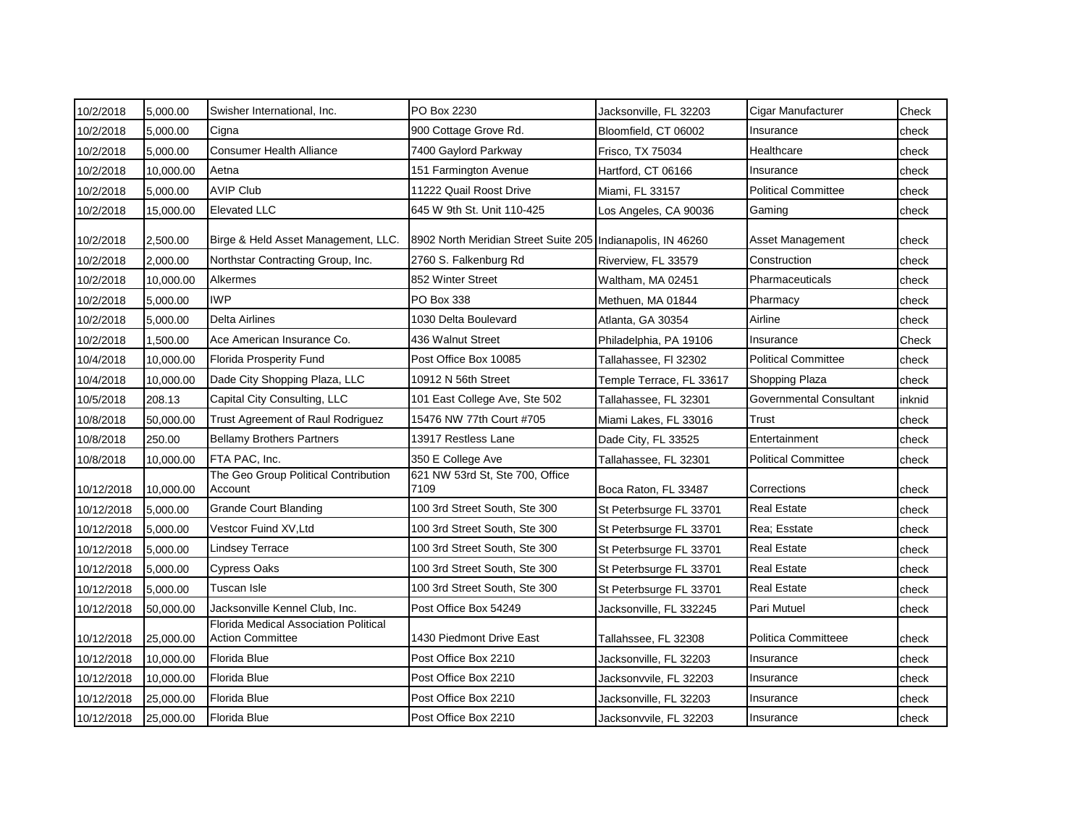| 10/2/2018  | 5,000.00  | Swisher International, Inc.                                      | PO Box 2230                                                 | Jacksonville, FL 32203   | Cigar Manufacturer         | Check  |
|------------|-----------|------------------------------------------------------------------|-------------------------------------------------------------|--------------------------|----------------------------|--------|
| 10/2/2018  | 5,000.00  | Cigna                                                            | 900 Cottage Grove Rd.                                       | Bloomfield, CT 06002     | Insurance                  | check  |
| 10/2/2018  | 5,000.00  | <b>Consumer Health Alliance</b>                                  | 7400 Gaylord Parkway                                        | Frisco, TX 75034         | Healthcare                 | check  |
| 10/2/2018  | 10,000.00 | Aetna                                                            | 151 Farmington Avenue                                       | Hartford, CT 06166       | Insurance                  | check  |
| 10/2/2018  | 5,000.00  | <b>AVIP Club</b>                                                 | 11222 Quail Roost Drive                                     | Miami, FL 33157          | <b>Political Committee</b> | check  |
| 10/2/2018  | 15,000.00 | <b>Elevated LLC</b>                                              | 645 W 9th St. Unit 110-425                                  | Los Angeles, CA 90036    | Gaming                     | check  |
| 10/2/2018  | 2,500.00  | Birge & Held Asset Management, LLC.                              | 8902 North Meridian Street Suite 205 Indianapolis, IN 46260 |                          | Asset Management           | check  |
| 10/2/2018  | 2,000.00  | Northstar Contracting Group, Inc.                                | 2760 S. Falkenburg Rd                                       | Riverview, FL 33579      | Construction               | check  |
| 10/2/2018  | 10,000.00 | Alkermes                                                         | 852 Winter Street                                           | Waltham, MA 02451        | Pharmaceuticals            | check  |
| 10/2/2018  | 5,000.00  | <b>IWP</b>                                                       | PO Box 338                                                  | Methuen, MA 01844        | Pharmacy                   | check  |
| 10/2/2018  | 5,000.00  | <b>Delta Airlines</b>                                            | 1030 Delta Boulevard                                        | Atlanta, GA 30354        | Airline                    | check  |
| 10/2/2018  | 1,500.00  | Ace American Insurance Co.                                       | 436 Walnut Street                                           | Philadelphia, PA 19106   | Insurance                  | Check  |
| 10/4/2018  | 10,000.00 | <b>Florida Prosperity Fund</b>                                   | Post Office Box 10085                                       | Tallahassee, Fl 32302    | <b>Political Committee</b> | check  |
| 10/4/2018  | 10,000.00 | Dade City Shopping Plaza, LLC                                    | 10912 N 56th Street                                         | Temple Terrace, FL 33617 | Shopping Plaza             | check  |
| 10/5/2018  | 208.13    | Capital City Consulting, LLC                                     | 101 East College Ave, Ste 502                               | Tallahassee, FL 32301    | Governmental Consultant    | inknid |
| 10/8/2018  | 50,000.00 | Trust Agreement of Raul Rodriguez                                | 15476 NW 77th Court #705                                    | Miami Lakes, FL 33016    | Trust                      | check  |
| 10/8/2018  | 250.00    | <b>Bellamy Brothers Partners</b>                                 | 13917 Restless Lane                                         | Dade City, FL 33525      | Entertainment              | check  |
| 10/8/2018  | 10,000.00 | FTA PAC, Inc.                                                    | 350 E College Ave                                           | Tallahassee, FL 32301    | <b>Political Committee</b> | check  |
| 10/12/2018 | 10,000.00 | The Geo Group Political Contribution<br>Account                  | 621 NW 53rd St, Ste 700, Office<br>7109                     | Boca Raton, FL 33487     | Corrections                | check  |
| 10/12/2018 | 5,000.00  | <b>Grande Court Blanding</b>                                     | 100 3rd Street South, Ste 300                               | St Peterbsurge FL 33701  | <b>Real Estate</b>         | check  |
| 10/12/2018 | 5,000.00  | Vestcor Fuind XV,Ltd                                             | 100 3rd Street South, Ste 300                               | St Peterbsurge FL 33701  | Rea: Esstate               | check  |
| 10/12/2018 | 5,000.00  | <b>Lindsey Terrace</b>                                           | 100 3rd Street South, Ste 300                               | St Peterbsurge FL 33701  | <b>Real Estate</b>         | check  |
| 10/12/2018 | 5,000.00  | <b>Cypress Oaks</b>                                              | 100 3rd Street South, Ste 300                               | St Peterbsurge FL 33701  | <b>Real Estate</b>         | check  |
| 10/12/2018 | 5,000.00  | Tuscan Isle                                                      | 100 3rd Street South, Ste 300                               | St Peterbsurge FL 33701  | <b>Real Estate</b>         | check  |
| 10/12/2018 | 50,000.00 | Jacksonville Kennel Club, Inc.                                   | Post Office Box 54249                                       | Jacksonville, FL 332245  | Pari Mutuel                | check  |
| 10/12/2018 | 25,000.00 | Florida Medical Association Political<br><b>Action Committee</b> | 1430 Piedmont Drive East                                    | Tallahssee, FL 32308     | Politica Committeee        | check  |
| 10/12/2018 | 10,000.00 | Florida Blue                                                     | Post Office Box 2210                                        | Jacksonville, FL 32203   | Insurance                  | check  |
| 10/12/2018 | 10,000.00 | Florida Blue                                                     | Post Office Box 2210                                        | Jacksonvvile, FL 32203   | Insurance                  | check  |
| 10/12/2018 | 25,000.00 | Florida Blue                                                     | Post Office Box 2210                                        | Jacksonville, FL 32203   | Insurance                  | check  |
| 10/12/2018 | 25,000.00 | Florida Blue                                                     | Post Office Box 2210                                        | Jacksonvvile, FL 32203   | Insurance                  | check  |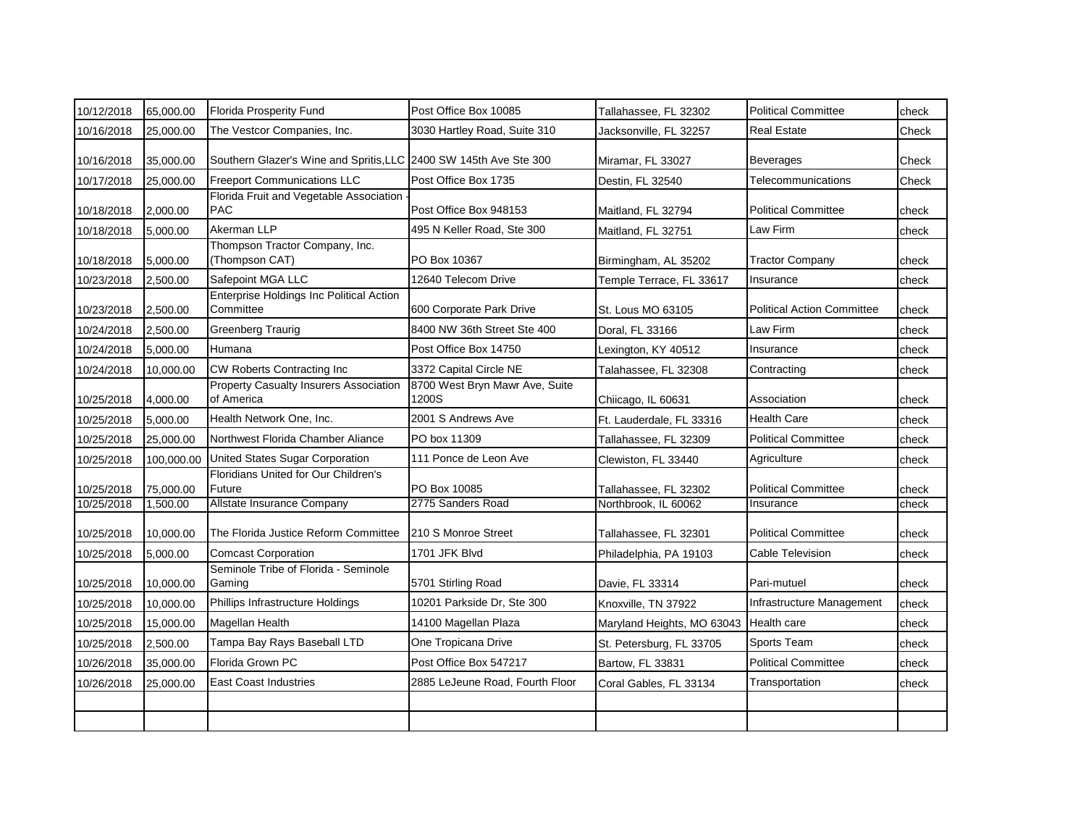| 10/12/2018 | 65,000.00  | <b>Florida Prosperity Fund</b>                                    | Post Office Box 10085                   | Tallahassee, FL 32302      | <b>Political Committee</b>        | check |
|------------|------------|-------------------------------------------------------------------|-----------------------------------------|----------------------------|-----------------------------------|-------|
| 10/16/2018 | 25,000.00  | The Vestcor Companies, Inc.                                       | 3030 Hartley Road, Suite 310            | Jacksonville, FL 32257     | <b>Real Estate</b>                | Check |
| 10/16/2018 | 35,000.00  | Southern Glazer's Wine and Spritis, LLC 2400 SW 145th Ave Ste 300 |                                         | Miramar, FL 33027          | <b>Beverages</b>                  | Check |
| 10/17/2018 | 25,000.00  | <b>Freeport Communications LLC</b>                                | Post Office Box 1735                    | Destin, FL 32540           | Telecommunications                | Check |
| 10/18/2018 | 2,000.00   | Florida Fruit and Vegetable Association<br><b>PAC</b>             | Post Office Box 948153                  | Maitland, FL 32794         | <b>Political Committee</b>        | check |
| 10/18/2018 | 5,000.00   | Akerman LLP                                                       | 495 N Keller Road, Ste 300              | Maitland, FL 32751         | Law Firm                          | check |
| 10/18/2018 | 5,000.00   | Thompson Tractor Company, Inc.<br>(Thompson CAT)                  | PO Box 10367                            | Birmingham, AL 35202       | <b>Tractor Company</b>            | check |
| 10/23/2018 | 2,500.00   | Safepoint MGA LLC                                                 | 12640 Telecom Drive                     | Temple Terrace, FL 33617   | Insurance                         | check |
| 10/23/2018 | 2,500.00   | <b>Enterprise Holdings Inc Political Action</b><br>Committee      | 600 Corporate Park Drive                | St. Lous MO 63105          | <b>Political Action Committee</b> | check |
| 10/24/2018 | 2,500.00   | <b>Greenberg Traurig</b>                                          | 8400 NW 36th Street Ste 400             | Doral, FL 33166            | Law Firm                          | check |
| 10/24/2018 | 5,000.00   | Humana                                                            | Post Office Box 14750                   | Lexington, KY 40512        | Insurance                         | check |
| 10/24/2018 | 10,000.00  | CW Roberts Contracting Inc                                        | 3372 Capital Circle NE                  | Talahassee, FL 32308       | Contracting                       | check |
| 10/25/2018 | 4,000.00   | <b>Property Casualty Insurers Association</b><br>of America       | 8700 West Bryn Mawr Ave, Suite<br>1200S | Chiicago, IL 60631         | Association                       | check |
| 10/25/2018 | 5,000.00   | Health Network One, Inc.                                          | 2001 S Andrews Ave                      | Ft. Lauderdale, FL 33316   | Health Care                       | check |
| 10/25/2018 | 25,000.00  | Northwest Florida Chamber Aliance                                 | PO box 11309                            | Tallahassee, FL 32309      | <b>Political Committee</b>        | check |
| 10/25/2018 | 100,000.00 | United States Sugar Corporation                                   | 111 Ponce de Leon Ave                   | Clewiston, FL 33440        | Agriculture                       | check |
| 10/25/2018 | 75,000.00  | Floridians United for Our Children's<br>Future                    | PO Box 10085                            | Tallahassee, FL 32302      | <b>Political Committee</b>        | check |
| 10/25/2018 | 1,500.00   | Allstate Insurance Company                                        | 2775 Sanders Road                       | Northbrook, IL 60062       | Insurance                         | check |
| 10/25/2018 | 10,000.00  | The Florida Justice Reform Committee                              | 210 S Monroe Street                     | Tallahassee, FL 32301      | <b>Political Committee</b>        | check |
| 10/25/2018 | 5,000.00   | <b>Comcast Corporation</b>                                        | 1701 JFK Blvd                           | Philadelphia, PA 19103     | <b>Cable Television</b>           | check |
| 10/25/2018 | 10,000.00  | Seminole Tribe of Florida - Seminole<br>Gaming                    | 5701 Stirling Road                      | Davie, FL 33314            | Pari-mutuel                       | check |
| 10/25/2018 | 10,000.00  | Phillips Infrastructure Holdings                                  | 10201 Parkside Dr, Ste 300              | Knoxville, TN 37922        | Infrastructure Management         | check |
| 10/25/2018 | 15,000.00  | Magellan Health                                                   | 14100 Magellan Plaza                    | Maryland Heights, MO 63043 | Health care                       | check |
| 10/25/2018 | 2,500.00   | Tampa Bay Rays Baseball LTD                                       | One Tropicana Drive                     | St. Petersburg, FL 33705   | Sports Team                       | check |
| 10/26/2018 | 35,000.00  | Florida Grown PC                                                  | Post Office Box 547217                  | Bartow, FL 33831           | <b>Political Committee</b>        | check |
| 10/26/2018 | 25,000.00  | <b>East Coast Industries</b>                                      | 2885 LeJeune Road, Fourth Floor         | Coral Gables, FL 33134     | Transportation                    | check |
|            |            |                                                                   |                                         |                            |                                   |       |
|            |            |                                                                   |                                         |                            |                                   |       |